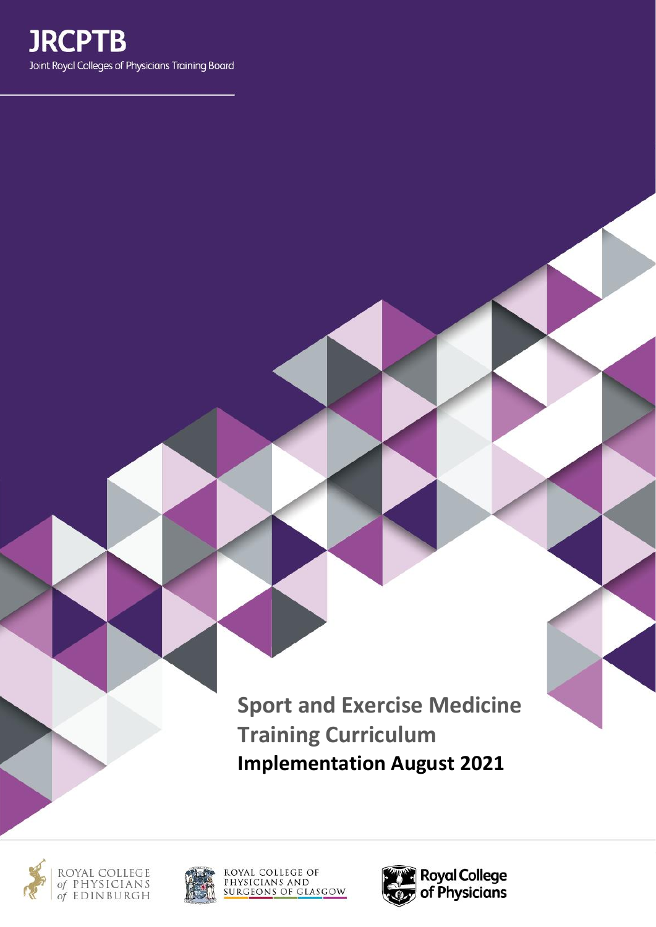

**Sport and Exercise Medicine Training Curriculum Implementation August 2021**







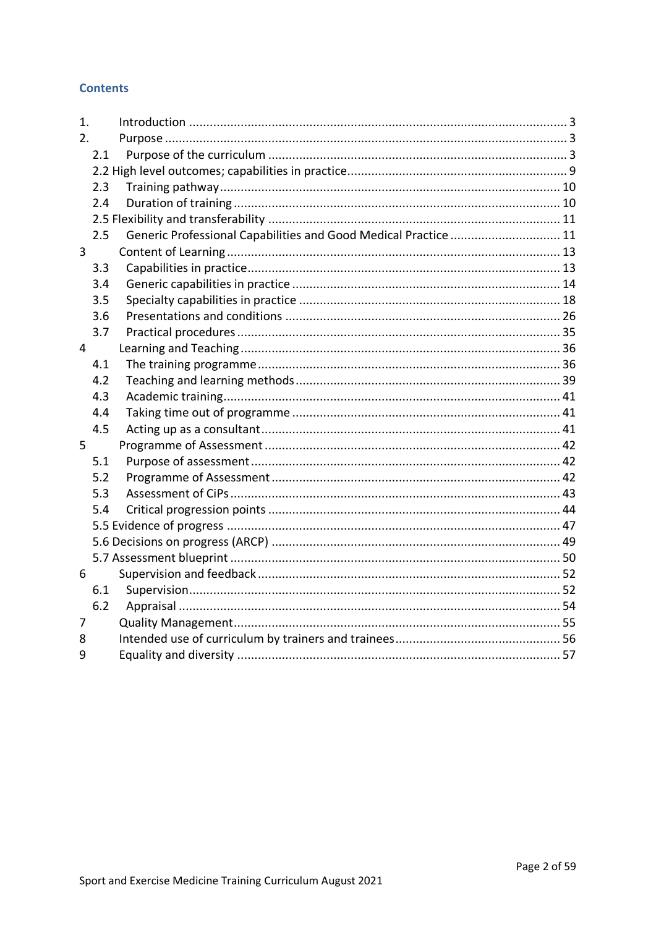## **Contents**

| 1.             |     |                                                                 |  |
|----------------|-----|-----------------------------------------------------------------|--|
| 2.             |     |                                                                 |  |
|                | 2.1 |                                                                 |  |
|                |     |                                                                 |  |
|                | 2.3 |                                                                 |  |
|                | 2.4 |                                                                 |  |
|                |     |                                                                 |  |
|                | 2.5 | Generic Professional Capabilities and Good Medical Practice  11 |  |
| $\overline{3}$ |     |                                                                 |  |
|                | 3.3 |                                                                 |  |
|                | 3.4 |                                                                 |  |
|                | 3.5 |                                                                 |  |
|                | 3.6 |                                                                 |  |
|                | 3.7 |                                                                 |  |
| $\overline{4}$ |     |                                                                 |  |
|                | 4.1 |                                                                 |  |
|                | 4.2 |                                                                 |  |
|                | 4.3 |                                                                 |  |
|                | 4.4 |                                                                 |  |
|                | 4.5 |                                                                 |  |
| 5              |     |                                                                 |  |
|                | 5.1 |                                                                 |  |
|                | 5.2 |                                                                 |  |
|                | 5.3 |                                                                 |  |
|                | 5.4 |                                                                 |  |
|                |     |                                                                 |  |
|                |     |                                                                 |  |
|                |     |                                                                 |  |
| 6              |     |                                                                 |  |
|                | 6.1 |                                                                 |  |
|                | 6.2 |                                                                 |  |
| 7              |     |                                                                 |  |
| 8              |     |                                                                 |  |
| 9              |     |                                                                 |  |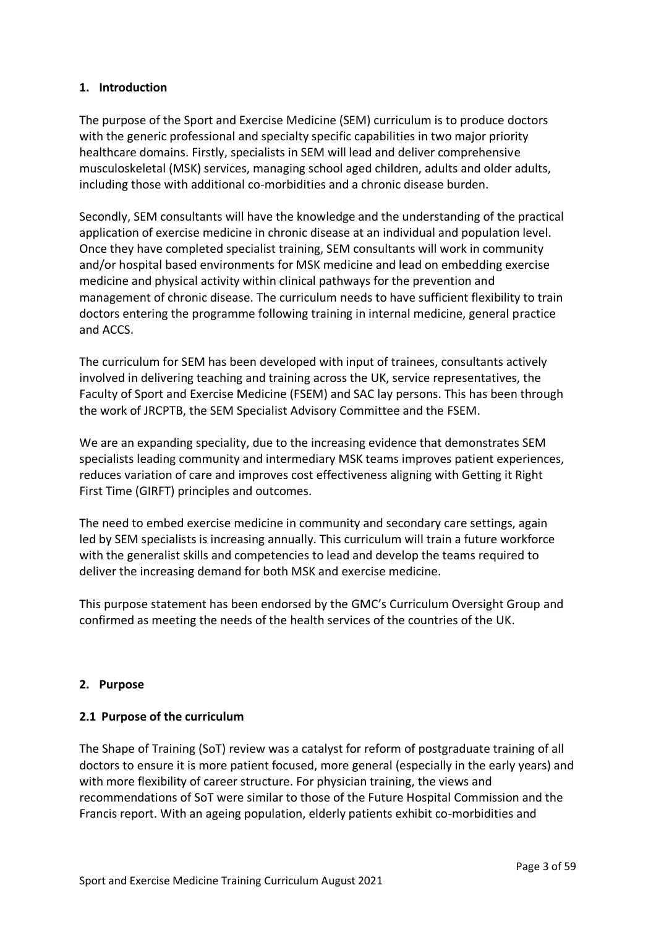## <span id="page-2-0"></span>**1. Introduction**

The purpose of the Sport and Exercise Medicine (SEM) curriculum is to produce doctors with the generic professional and specialty specific capabilities in two major priority healthcare domains. Firstly, specialists in SEM will lead and deliver comprehensive musculoskeletal (MSK) services, managing school aged children, adults and older adults, including those with additional co-morbidities and a chronic disease burden.

Secondly, SEM consultants will have the knowledge and the understanding of the practical application of exercise medicine in chronic disease at an individual and population level. Once they have completed specialist training, SEM consultants will work in community and/or hospital based environments for MSK medicine and lead on embedding exercise medicine and physical activity within clinical pathways for the prevention and management of chronic disease. The curriculum needs to have sufficient flexibility to train doctors entering the programme following training in internal medicine, general practice and ACCS.

The curriculum for SEM has been developed with input of trainees, consultants actively involved in delivering teaching and training across the UK, service representatives, the Faculty of Sport and Exercise Medicine (FSEM) and SAC lay persons. This has been through the work of JRCPTB, the SEM Specialist Advisory Committee and the FSEM.

We are an expanding speciality, due to the increasing evidence that demonstrates SEM specialists leading community and intermediary MSK teams improves patient experiences, reduces variation of care and improves cost effectiveness aligning with Getting it Right First Time (GIRFT) principles and outcomes.

The need to embed exercise medicine in community and secondary care settings, again led by SEM specialists is increasing annually. This curriculum will train a future workforce with the generalist skills and competencies to lead and develop the teams required to deliver the increasing demand for both MSK and exercise medicine.

This purpose statement has been endorsed by the GMC's Curriculum Oversight Group and confirmed as meeting the needs of the health services of the countries of the UK.

## <span id="page-2-1"></span>**2. Purpose**

## <span id="page-2-2"></span>**2.1 Purpose of the curriculum**

The Shape of Training (SoT) review was a catalyst for reform of postgraduate training of all doctors to ensure it is more patient focused, more general (especially in the early years) and with more flexibility of career structure. For physician training, the views and recommendations of SoT were similar to those of the Future Hospital Commission and the Francis report. With an ageing population, elderly patients exhibit co-morbidities and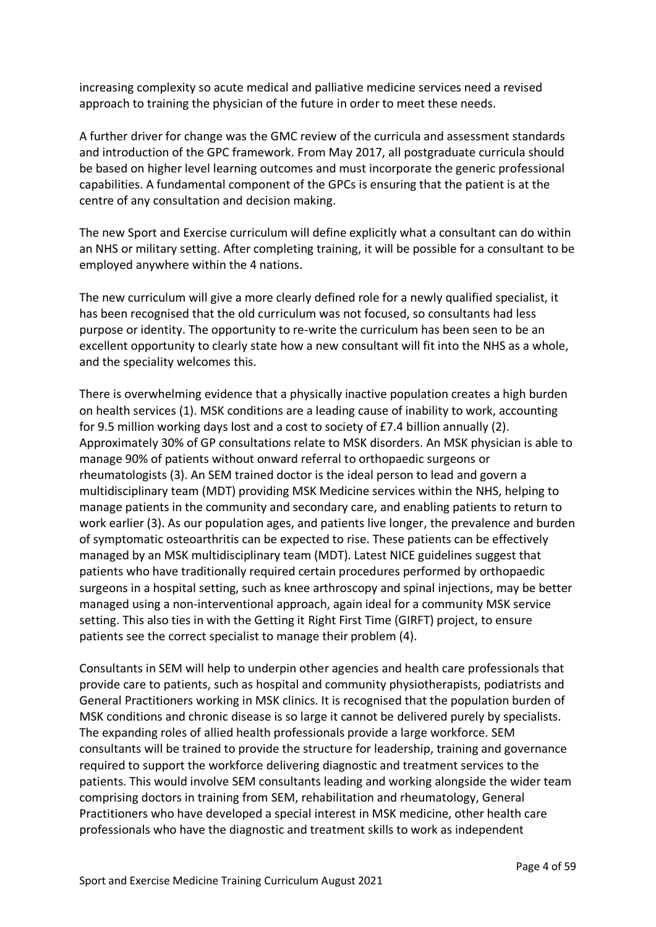increasing complexity so acute medical and palliative medicine services need a revised approach to training the physician of the future in order to meet these needs.

A further driver for change was the GMC review of the curricula and assessment standards and introduction of the GPC framework. From May 2017, all postgraduate curricula should be based on higher level learning outcomes and must incorporate the generic professional capabilities. A fundamental component of the GPCs is ensuring that the patient is at the centre of any consultation and decision making.

The new Sport and Exercise curriculum will define explicitly what a consultant can do within an NHS or military setting. After completing training, it will be possible for a consultant to be employed anywhere within the 4 nations.

The new curriculum will give a more clearly defined role for a newly qualified specialist, it has been recognised that the old curriculum was not focused, so consultants had less purpose or identity. The opportunity to re-write the curriculum has been seen to be an excellent opportunity to clearly state how a new consultant will fit into the NHS as a whole, and the speciality welcomes this.

There is overwhelming evidence that a physically inactive population creates a high burden on health services (1). MSK conditions are a leading cause of inability to work, accounting for 9.5 million working days lost and a cost to society of £7.4 billion annually (2). Approximately 30% of GP consultations relate to MSK disorders. An MSK physician is able to manage 90% of patients without onward referral to orthopaedic surgeons or rheumatologists (3). An SEM trained doctor is the ideal person to lead and govern a multidisciplinary team (MDT) providing MSK Medicine services within the NHS, helping to manage patients in the community and secondary care, and enabling patients to return to work earlier (3). As our population ages, and patients live longer, the prevalence and burden of symptomatic osteoarthritis can be expected to rise. These patients can be effectively managed by an MSK multidisciplinary team (MDT). Latest NICE guidelines suggest that patients who have traditionally required certain procedures performed by orthopaedic surgeons in a hospital setting, such as knee arthroscopy and spinal injections, may be better managed using a non-interventional approach, again ideal for a community MSK service setting. This also ties in with the Getting it Right First Time (GIRFT) project, to ensure patients see the correct specialist to manage their problem (4).

Consultants in SEM will help to underpin other agencies and health care professionals that provide care to patients, such as hospital and community physiotherapists, podiatrists and General Practitioners working in MSK clinics. It is recognised that the population burden of MSK conditions and chronic disease is so large it cannot be delivered purely by specialists. The expanding roles of allied health professionals provide a large workforce. SEM consultants will be trained to provide the structure for leadership, training and governance required to support the workforce delivering diagnostic and treatment services to the patients. This would involve SEM consultants leading and working alongside the wider team comprising doctors in training from SEM, rehabilitation and rheumatology, General Practitioners who have developed a special interest in MSK medicine, other health care professionals who have the diagnostic and treatment skills to work as independent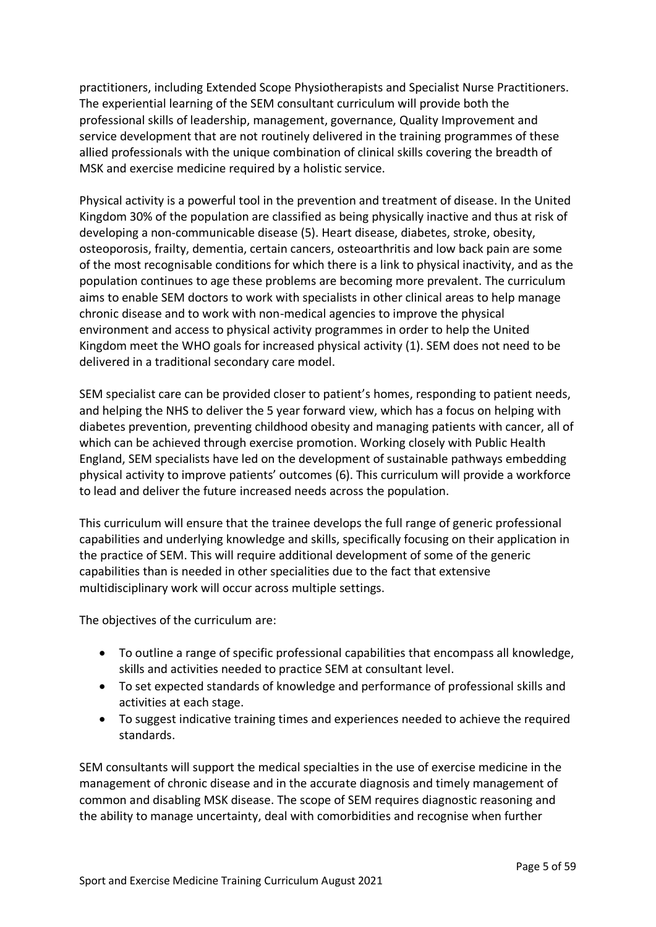practitioners, including Extended Scope Physiotherapists and Specialist Nurse Practitioners. The experiential learning of the SEM consultant curriculum will provide both the professional skills of leadership, management, governance, Quality Improvement and service development that are not routinely delivered in the training programmes of these allied professionals with the unique combination of clinical skills covering the breadth of MSK and exercise medicine required by a holistic service.

Physical activity is a powerful tool in the prevention and treatment of disease. In the United Kingdom 30% of the population are classified as being physically inactive and thus at risk of developing a non-communicable disease (5). Heart disease, diabetes, stroke, obesity, osteoporosis, frailty, dementia, certain cancers, osteoarthritis and low back pain are some of the most recognisable conditions for which there is a link to physical inactivity, and as the population continues to age these problems are becoming more prevalent. The curriculum aims to enable SEM doctors to work with specialists in other clinical areas to help manage chronic disease and to work with non-medical agencies to improve the physical environment and access to physical activity programmes in order to help the United Kingdom meet the WHO goals for increased physical activity (1). SEM does not need to be delivered in a traditional secondary care model.

SEM specialist care can be provided closer to patient's homes, responding to patient needs, and helping the NHS to deliver the 5 year forward view, which has a focus on helping with diabetes prevention, preventing childhood obesity and managing patients with cancer, all of which can be achieved through exercise promotion. Working closely with Public Health England, SEM specialists have led on the development of sustainable pathways embedding physical activity to improve patients' outcomes (6). This curriculum will provide a workforce to lead and deliver the future increased needs across the population.

This curriculum will ensure that the trainee develops the full range of generic professional capabilities and underlying knowledge and skills, specifically focusing on their application in the practice of SEM. This will require additional development of some of the generic capabilities than is needed in other specialities due to the fact that extensive multidisciplinary work will occur across multiple settings.

The objectives of the curriculum are:

- To outline a range of specific professional capabilities that encompass all knowledge, skills and activities needed to practice SEM at consultant level.
- To set expected standards of knowledge and performance of professional skills and activities at each stage.
- To suggest indicative training times and experiences needed to achieve the required standards.

SEM consultants will support the medical specialties in the use of exercise medicine in the management of chronic disease and in the accurate diagnosis and timely management of common and disabling MSK disease. The scope of SEM requires diagnostic reasoning and the ability to manage uncertainty, deal with comorbidities and recognise when further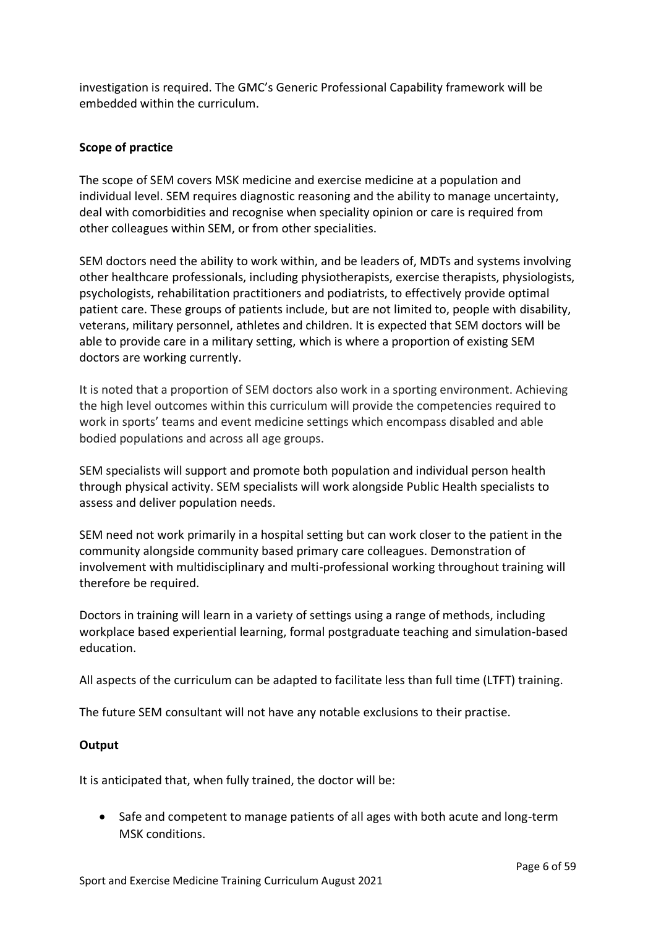investigation is required. The GMC's Generic Professional Capability framework will be embedded within the curriculum.

## **Scope of practice**

The scope of SEM covers MSK medicine and exercise medicine at a population and individual level. SEM requires diagnostic reasoning and the ability to manage uncertainty, deal with comorbidities and recognise when speciality opinion or care is required from other colleagues within SEM, or from other specialities.

SEM doctors need the ability to work within, and be leaders of, MDTs and systems involving other healthcare professionals, including physiotherapists, exercise therapists, physiologists, psychologists, rehabilitation practitioners and podiatrists, to effectively provide optimal patient care. These groups of patients include, but are not limited to, people with disability, veterans, military personnel, athletes and children. It is expected that SEM doctors will be able to provide care in a military setting, which is where a proportion of existing SEM doctors are working currently.

It is noted that a proportion of SEM doctors also work in a sporting environment. Achieving the high level outcomes within this curriculum will provide the competencies required to work in sports' teams and event medicine settings which encompass disabled and able bodied populations and across all age groups.

SEM specialists will support and promote both population and individual person health through physical activity. SEM specialists will work alongside Public Health specialists to assess and deliver population needs.

SEM need not work primarily in a hospital setting but can work closer to the patient in the community alongside community based primary care colleagues. Demonstration of involvement with multidisciplinary and multi-professional working throughout training will therefore be required.

Doctors in training will learn in a variety of settings using a range of methods, including workplace based experiential learning, formal postgraduate teaching and simulation-based education.

All aspects of the curriculum can be adapted to facilitate less than full time (LTFT) training.

The future SEM consultant will not have any notable exclusions to their practise.

## **Output**

It is anticipated that, when fully trained, the doctor will be:

• Safe and competent to manage patients of all ages with both acute and long-term MSK conditions.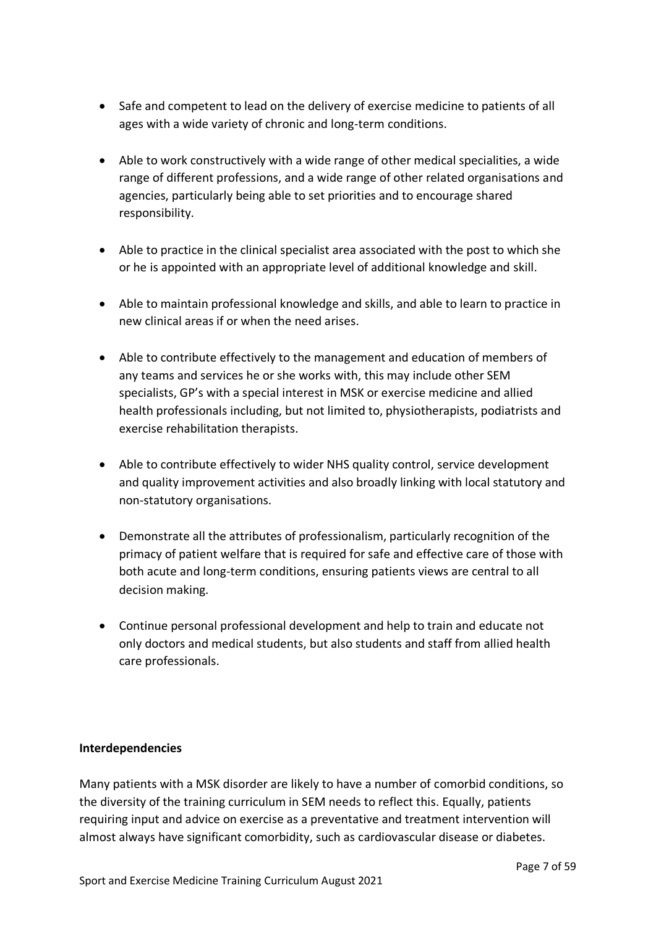- Safe and competent to lead on the delivery of exercise medicine to patients of all ages with a wide variety of chronic and long-term conditions.
- Able to work constructively with a wide range of other medical specialities, a wide range of different professions, and a wide range of other related organisations and agencies, particularly being able to set priorities and to encourage shared responsibility.
- Able to practice in the clinical specialist area associated with the post to which she or he is appointed with an appropriate level of additional knowledge and skill.
- Able to maintain professional knowledge and skills, and able to learn to practice in new clinical areas if or when the need arises.
- Able to contribute effectively to the management and education of members of any teams and services he or she works with, this may include other SEM specialists, GP's with a special interest in MSK or exercise medicine and allied health professionals including, but not limited to, physiotherapists, podiatrists and exercise rehabilitation therapists.
- Able to contribute effectively to wider NHS quality control, service development and quality improvement activities and also broadly linking with local statutory and non-statutory organisations.
- Demonstrate all the attributes of professionalism, particularly recognition of the primacy of patient welfare that is required for safe and effective care of those with both acute and long-term conditions, ensuring patients views are central to all decision making.
- Continue personal professional development and help to train and educate not only doctors and medical students, but also students and staff from allied health care professionals.

## **Interdependencies**

Many patients with a MSK disorder are likely to have a number of comorbid conditions, so the diversity of the training curriculum in SEM needs to reflect this. Equally, patients requiring input and advice on exercise as a preventative and treatment intervention will almost always have significant comorbidity, such as cardiovascular disease or diabetes.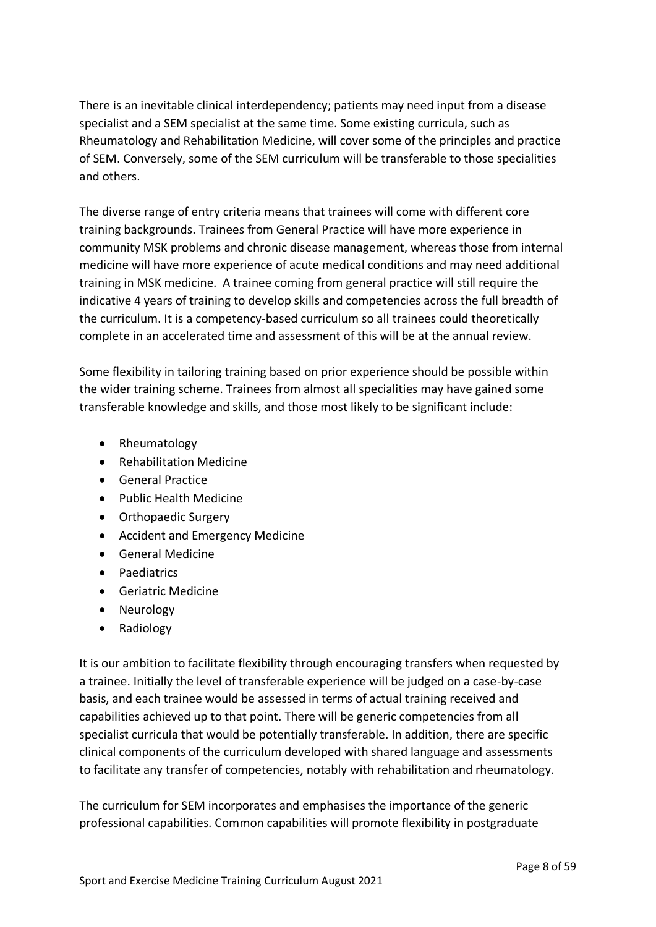There is an inevitable clinical interdependency; patients may need input from a disease specialist and a SEM specialist at the same time. Some existing curricula, such as Rheumatology and Rehabilitation Medicine, will cover some of the principles and practice of SEM. Conversely, some of the SEM curriculum will be transferable to those specialities and others.

The diverse range of entry criteria means that trainees will come with different core training backgrounds. Trainees from General Practice will have more experience in community MSK problems and chronic disease management, whereas those from internal medicine will have more experience of acute medical conditions and may need additional training in MSK medicine. A trainee coming from general practice will still require the indicative 4 years of training to develop skills and competencies across the full breadth of the curriculum. It is a competency-based curriculum so all trainees could theoretically complete in an accelerated time and assessment of this will be at the annual review.

Some flexibility in tailoring training based on prior experience should be possible within the wider training scheme. Trainees from almost all specialities may have gained some transferable knowledge and skills, and those most likely to be significant include:

- Rheumatology
- Rehabilitation Medicine
- General Practice
- Public Health Medicine
- Orthopaedic Surgery
- Accident and Emergency Medicine
- General Medicine
- Paediatrics
- Geriatric Medicine
- Neurology
- Radiology

It is our ambition to facilitate flexibility through encouraging transfers when requested by a trainee. Initially the level of transferable experience will be judged on a case-by-case basis, and each trainee would be assessed in terms of actual training received and capabilities achieved up to that point. There will be generic competencies from all specialist curricula that would be potentially transferable. In addition, there are specific clinical components of the curriculum developed with shared language and assessments to facilitate any transfer of competencies, notably with rehabilitation and rheumatology.

The curriculum for SEM incorporates and emphasises the importance of the generic professional capabilities. Common capabilities will promote flexibility in postgraduate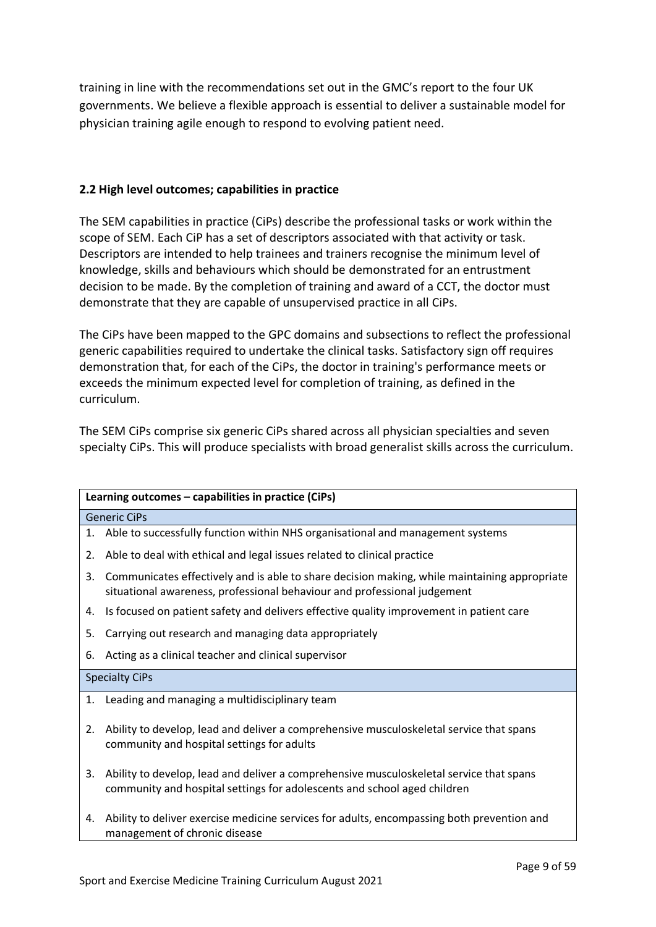training in line with the recommendations set out in the GMC's report to the four UK governments. We believe a flexible approach is essential to deliver a sustainable model for physician training agile enough to respond to evolving patient need.

## <span id="page-8-0"></span>**2.2 High level outcomes; capabilities in practice**

The SEM capabilities in practice (CiPs) describe the professional tasks or work within the scope of SEM. Each CiP has a set of descriptors associated with that activity or task. Descriptors are intended to help trainees and trainers recognise the minimum level of knowledge, skills and behaviours which should be demonstrated for an entrustment decision to be made. By the completion of training and award of a CCT, the doctor must demonstrate that they are capable of unsupervised practice in all CiPs.

The CiPs have been mapped to the GPC domains and subsections to reflect the professional generic capabilities required to undertake the clinical tasks. Satisfactory sign off requires demonstration that, for each of the CiPs, the doctor in training's performance meets or exceeds the minimum expected level for completion of training, as defined in the curriculum.

The SEM CiPs comprise six generic CiPs shared across all physician specialties and seven specialty CiPs. This will produce specialists with broad generalist skills across the curriculum.

|    | Learning outcomes - capabilities in practice (CiPs)                                                                                                                      |  |  |
|----|--------------------------------------------------------------------------------------------------------------------------------------------------------------------------|--|--|
|    | <b>Generic CiPs</b>                                                                                                                                                      |  |  |
| 1. | Able to successfully function within NHS organisational and management systems                                                                                           |  |  |
| 2. | Able to deal with ethical and legal issues related to clinical practice                                                                                                  |  |  |
| 3. | Communicates effectively and is able to share decision making, while maintaining appropriate<br>situational awareness, professional behaviour and professional judgement |  |  |
| 4. | Is focused on patient safety and delivers effective quality improvement in patient care                                                                                  |  |  |
| 5. | Carrying out research and managing data appropriately                                                                                                                    |  |  |
| 6. | Acting as a clinical teacher and clinical supervisor                                                                                                                     |  |  |
|    | <b>Specialty CiPs</b>                                                                                                                                                    |  |  |
| 1. | Leading and managing a multidisciplinary team                                                                                                                            |  |  |
| 2. | Ability to develop, lead and deliver a comprehensive musculoskeletal service that spans<br>community and hospital settings for adults                                    |  |  |
| 3. | Ability to develop, lead and deliver a comprehensive musculoskeletal service that spans<br>community and hospital settings for adolescents and school aged children      |  |  |
| 4. | Ability to deliver exercise medicine services for adults, encompassing both prevention and<br>management of chronic disease                                              |  |  |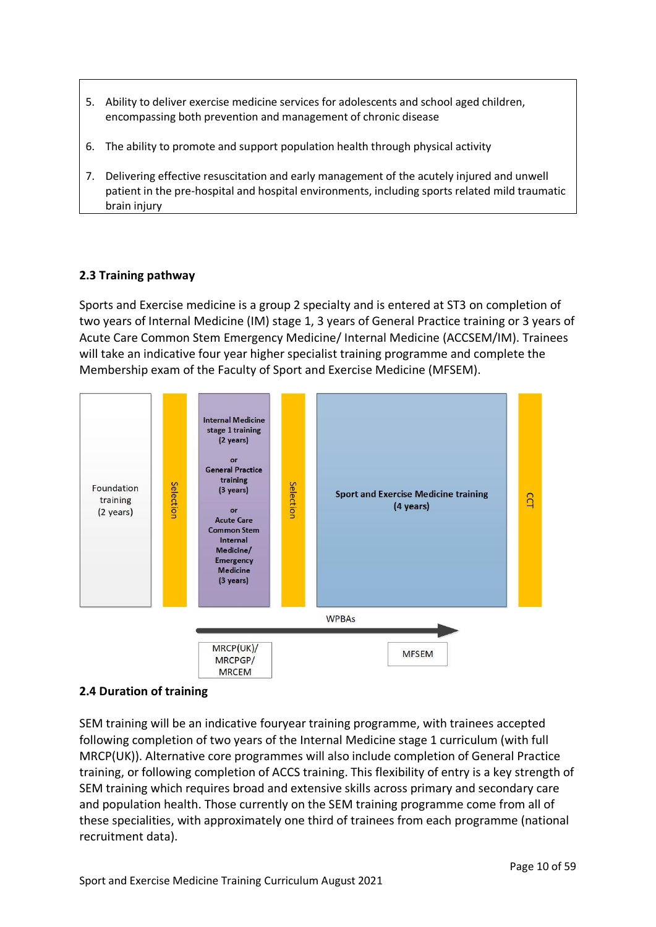- 5. Ability to deliver exercise medicine services for adolescents and school aged children, encompassing both prevention and management of chronic disease
- 6. The ability to promote and support population health through physical activity
- 7. Delivering effective resuscitation and early management of the acutely injured and unwell patient in the pre-hospital and hospital environments, including sports related mild traumatic brain injury

## <span id="page-9-0"></span>**2.3 Training pathway**

Sports and Exercise medicine is a group 2 specialty and is entered at ST3 on completion of two years of Internal Medicine (IM) stage 1, 3 years of General Practice training or 3 years of Acute Care Common Stem Emergency Medicine/ Internal Medicine (ACCSEM/IM). Trainees will take an indicative four year higher specialist training programme and complete the Membership exam of the Faculty of Sport and Exercise Medicine (MFSEM).



## <span id="page-9-1"></span>**2.4 Duration of training**

SEM training will be an indicative fouryear training programme, with trainees accepted following completion of two years of the Internal Medicine stage 1 curriculum (with full MRCP(UK)). Alternative core programmes will also include completion of General Practice training, or following completion of ACCS training. This flexibility of entry is a key strength of SEM training which requires broad and extensive skills across primary and secondary care and population health. Those currently on the SEM training programme come from all of these specialities, with approximately one third of trainees from each programme (national recruitment data).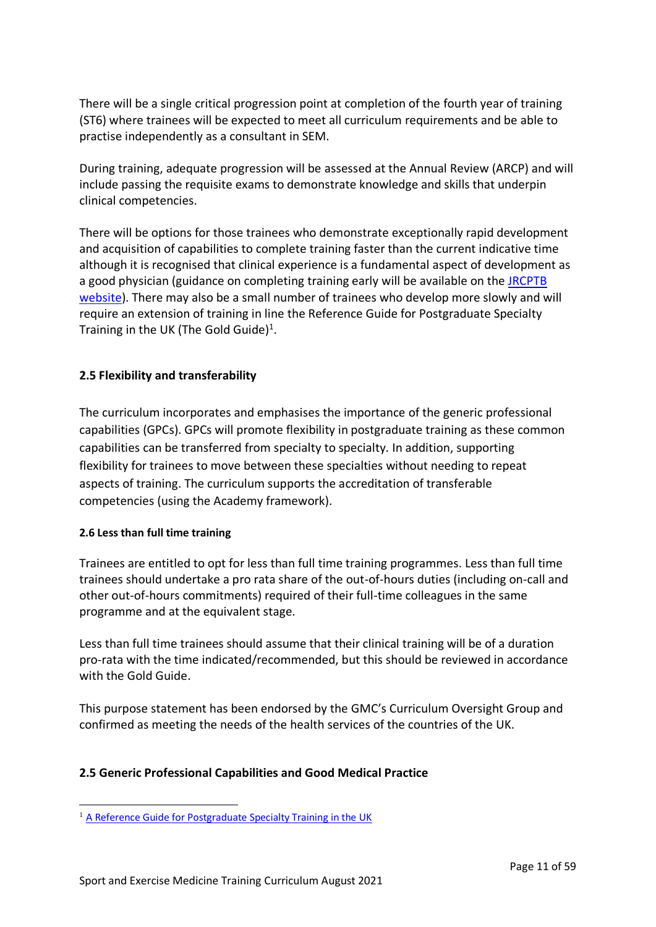There will be a single critical progression point at completion of the fourth year of training (ST6) where trainees will be expected to meet all curriculum requirements and be able to practise independently as a consultant in SEM.

During training, adequate progression will be assessed at the Annual Review (ARCP) and will include passing the requisite exams to demonstrate knowledge and skills that underpin clinical competencies.

There will be options for those trainees who demonstrate exceptionally rapid development and acquisition of capabilities to complete training faster than the current indicative time although it is recognised that clinical experience is a fundamental aspect of development as a good physician (guidance on completing training early will be available on the JRCPTB [website\)](http://www.jrcptb.org.uk/). There may also be a small number of trainees who develop more slowly and will require an extension of training in line the Reference Guide for Postgraduate Specialty Training in the UK (The Gold Guide)<sup>1</sup>.

## <span id="page-10-0"></span>**2.5 Flexibility and transferability**

The curriculum incorporates and emphasises the importance of the generic professional capabilities (GPCs). GPCs will promote flexibility in postgraduate training as these common capabilities can be transferred from specialty to specialty. In addition, supporting flexibility for trainees to move between these specialties without needing to repeat aspects of training. The curriculum supports the accreditation of transferable competencies (using the Academy framework).

## **2.6 Less than full time training**

Trainees are entitled to opt for less than full time training programmes. Less than full time trainees should undertake a pro rata share of the out-of-hours duties (including on-call and other out-of-hours commitments) required of their full-time colleagues in the same programme and at the equivalent stage.

Less than full time trainees should assume that their clinical training will be of a duration pro-rata with the time indicated/recommended, but this should be reviewed in accordance with the Gold Guide.

This purpose statement has been endorsed by the GMC's Curriculum Oversight Group and confirmed as meeting the needs of the health services of the countries of the UK.

## <span id="page-10-1"></span>**2.5 Generic Professional Capabilities and Good Medical Practice**

<sup>&</sup>lt;sup>1</sup> [A Reference Guide for Postgraduate Specialty Training in the UK](https://www.copmed.org.uk/publications/the-gold-guide)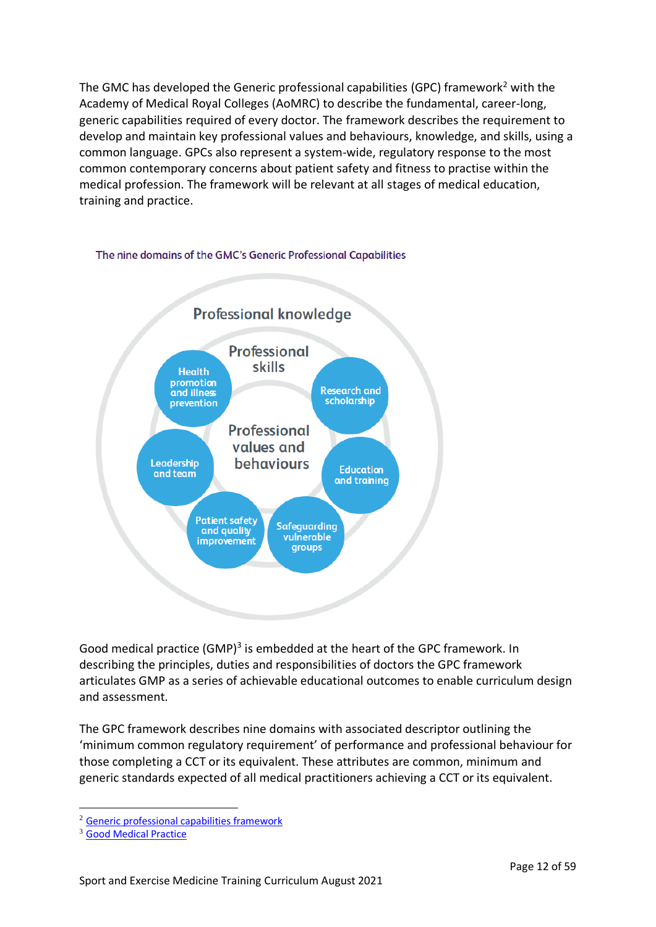The GMC has developed the Generic professional capabilities (GPC) framework<sup>2</sup> with the Academy of Medical Royal Colleges (AoMRC) to describe the fundamental, career-long, generic capabilities required of every doctor. The framework describes the requirement to develop and maintain key professional values and behaviours, knowledge, and skills, using a common language. GPCs also represent a system-wide, regulatory response to the most common contemporary concerns about patient safety and fitness to practise within the medical profession. The framework will be relevant at all stages of medical education, training and practice.



#### The nine domains of the GMC's Generic Professional Capabilities

Good medical practice (GMP)<sup>3</sup> is embedded at the heart of the GPC framework. In describing the principles, duties and responsibilities of doctors the GPC framework articulates GMP as a series of achievable educational outcomes to enable curriculum design and assessment.

The GPC framework describes nine domains with associated descriptor outlining the 'minimum common regulatory requirement' of performance and professional behaviour for those completing a CCT or its equivalent. These attributes are common, minimum and generic standards expected of all medical practitioners achieving a CCT or its equivalent.

<sup>2</sup> [Generic professional capabilities framework](http://www.gmc-uk.org/education/postgraduate/GPC.asp)

<sup>3</sup> [Good Medical Practice](http://www.gmc-uk.org/guidance/good_medical_practice.asp)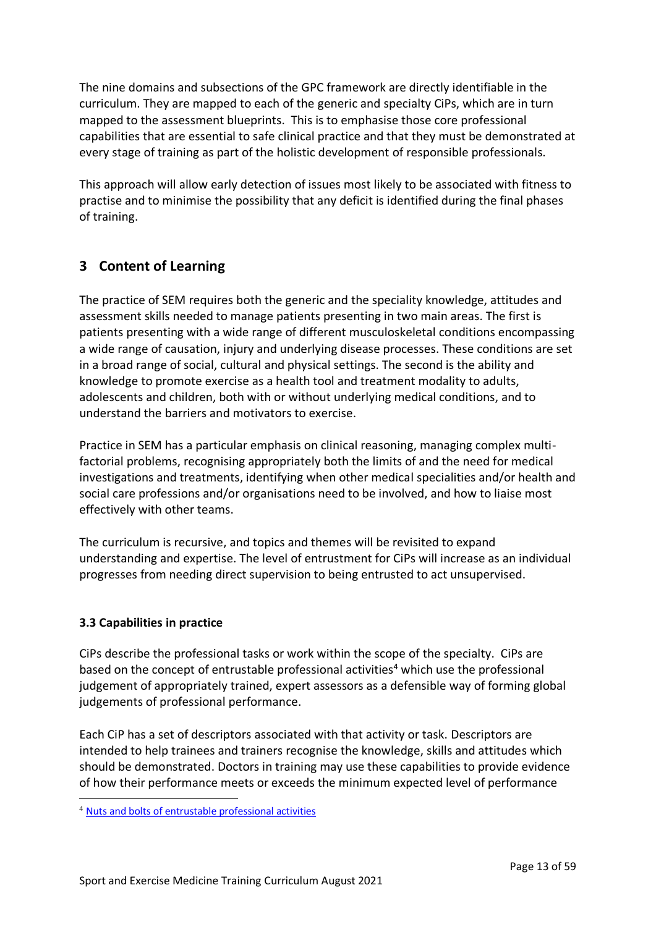The nine domains and subsections of the GPC framework are directly identifiable in the curriculum. They are mapped to each of the generic and specialty CiPs, which are in turn mapped to the assessment blueprints. This is to emphasise those core professional capabilities that are essential to safe clinical practice and that they must be demonstrated at every stage of training as part of the holistic development of responsible professionals.

This approach will allow early detection of issues most likely to be associated with fitness to practise and to minimise the possibility that any deficit is identified during the final phases of training.

# <span id="page-12-0"></span>**3 Content of Learning**

The practice of SEM requires both the generic and the speciality knowledge, attitudes and assessment skills needed to manage patients presenting in two main areas. The first is patients presenting with a wide range of different musculoskeletal conditions encompassing a wide range of causation, injury and underlying disease processes. These conditions are set in a broad range of social, cultural and physical settings. The second is the ability and knowledge to promote exercise as a health tool and treatment modality to adults, adolescents and children, both with or without underlying medical conditions, and to understand the barriers and motivators to exercise.

Practice in SEM has a particular emphasis on clinical reasoning, managing complex multifactorial problems, recognising appropriately both the limits of and the need for medical investigations and treatments, identifying when other medical specialities and/or health and social care professions and/or organisations need to be involved, and how to liaise most effectively with other teams.

The curriculum is recursive, and topics and themes will be revisited to expand understanding and expertise. The level of entrustment for CiPs will increase as an individual progresses from needing direct supervision to being entrusted to act unsupervised.

# <span id="page-12-1"></span>**3.3 Capabilities in practice**

CiPs describe the professional tasks or work within the scope of the specialty. CiPs are based on the concept of entrustable professional activities<sup>4</sup> which use the professional judgement of appropriately trained, expert assessors as a defensible way of forming global judgements of professional performance.

Each CiP has a set of descriptors associated with that activity or task. Descriptors are intended to help trainees and trainers recognise the knowledge, skills and attitudes which should be demonstrated. Doctors in training may use these capabilities to provide evidence of how their performance meets or exceeds the minimum expected level of performance

<sup>4</sup> [Nuts and bolts of entrustable professional activities](https://www.ncbi.nlm.nih.gov/pmc/articles/PMC3613304/)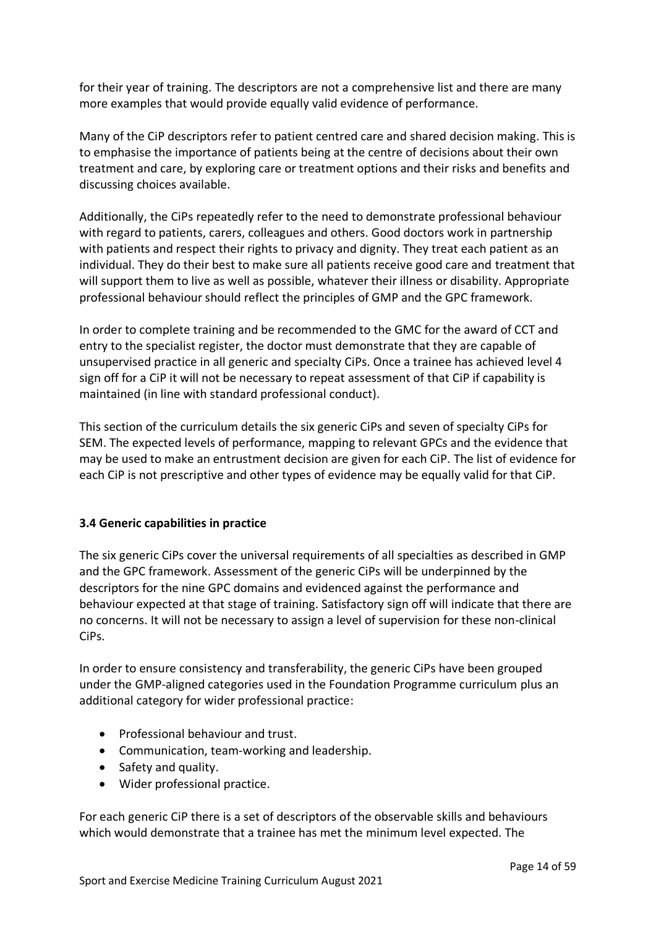for their year of training. The descriptors are not a comprehensive list and there are many more examples that would provide equally valid evidence of performance.

Many of the CiP descriptors refer to patient centred care and shared decision making. This is to emphasise the importance of patients being at the centre of decisions about their own treatment and care, by exploring care or treatment options and their risks and benefits and discussing choices available.

Additionally, the CiPs repeatedly refer to the need to demonstrate professional behaviour with regard to patients, carers, colleagues and others. Good doctors work in partnership with patients and respect their rights to privacy and dignity. They treat each patient as an individual. They do their best to make sure all patients receive good care and treatment that will support them to live as well as possible, whatever their illness or disability. Appropriate professional behaviour should reflect the principles of GMP and the GPC framework.

In order to complete training and be recommended to the GMC for the award of CCT and entry to the specialist register, the doctor must demonstrate that they are capable of unsupervised practice in all generic and specialty CiPs. Once a trainee has achieved level 4 sign off for a CiP it will not be necessary to repeat assessment of that CiP if capability is maintained (in line with standard professional conduct).

This section of the curriculum details the six generic CiPs and seven of specialty CiPs for SEM. The expected levels of performance, mapping to relevant GPCs and the evidence that may be used to make an entrustment decision are given for each CiP. The list of evidence for each CiP is not prescriptive and other types of evidence may be equally valid for that CiP.

## <span id="page-13-0"></span>**3.4 Generic capabilities in practice**

The six generic CiPs cover the universal requirements of all specialties as described in GMP and the GPC framework. Assessment of the generic CiPs will be underpinned by the descriptors for the nine GPC domains and evidenced against the performance and behaviour expected at that stage of training. Satisfactory sign off will indicate that there are no concerns. It will not be necessary to assign a level of supervision for these non-clinical CiPs.

In order to ensure consistency and transferability, the generic CiPs have been grouped under the GMP-aligned categories used in the Foundation Programme curriculum plus an additional category for wider professional practice:

- Professional behaviour and trust.
- Communication, team-working and leadership.
- Safety and quality.
- Wider professional practice.

For each generic CiP there is a set of descriptors of the observable skills and behaviours which would demonstrate that a trainee has met the minimum level expected. The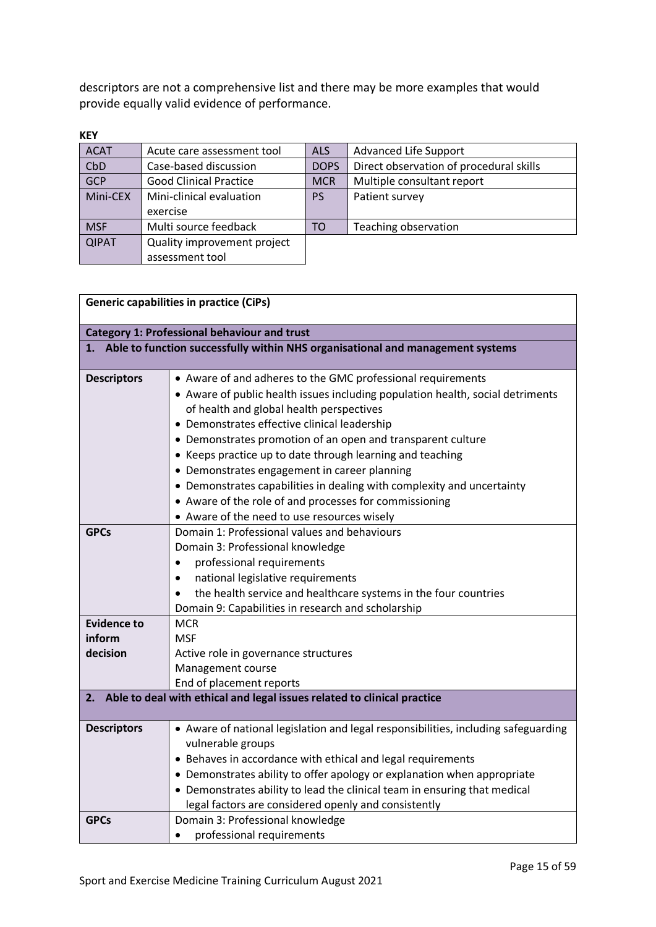descriptors are not a comprehensive list and there may be more examples that would provide equally valid evidence of performance.

| <b>KEY</b>   |                               |             |                                         |
|--------------|-------------------------------|-------------|-----------------------------------------|
| <b>ACAT</b>  | Acute care assessment tool    | <b>ALS</b>  | <b>Advanced Life Support</b>            |
| CbD          | Case-based discussion         | <b>DOPS</b> | Direct observation of procedural skills |
| <b>GCP</b>   | <b>Good Clinical Practice</b> | <b>MCR</b>  | Multiple consultant report              |
| Mini-CEX     | Mini-clinical evaluation      | <b>PS</b>   | Patient survey                          |
|              | exercise                      |             |                                         |
| <b>MSF</b>   | Multi source feedback         | TO          | Teaching observation                    |
| <b>QIPAT</b> | Quality improvement project   |             |                                         |
|              | assessment tool               |             |                                         |

| <b>Generic capabilities in practice (CiPs)</b>                             |                                                                                                                                                                                                                                                                                                                                                                                                                                                                                                                                                                                                          |  |  |  |
|----------------------------------------------------------------------------|----------------------------------------------------------------------------------------------------------------------------------------------------------------------------------------------------------------------------------------------------------------------------------------------------------------------------------------------------------------------------------------------------------------------------------------------------------------------------------------------------------------------------------------------------------------------------------------------------------|--|--|--|
| <b>Category 1: Professional behaviour and trust</b>                        |                                                                                                                                                                                                                                                                                                                                                                                                                                                                                                                                                                                                          |  |  |  |
|                                                                            | 1. Able to function successfully within NHS organisational and management systems                                                                                                                                                                                                                                                                                                                                                                                                                                                                                                                        |  |  |  |
| <b>Descriptors</b>                                                         | • Aware of and adheres to the GMC professional requirements<br>• Aware of public health issues including population health, social detriments<br>of health and global health perspectives<br>• Demonstrates effective clinical leadership<br>• Demonstrates promotion of an open and transparent culture<br>• Keeps practice up to date through learning and teaching<br>• Demonstrates engagement in career planning<br>• Demonstrates capabilities in dealing with complexity and uncertainty<br>• Aware of the role of and processes for commissioning<br>• Aware of the need to use resources wisely |  |  |  |
| <b>GPCs</b>                                                                | Domain 1: Professional values and behaviours<br>Domain 3: Professional knowledge<br>professional requirements<br>$\bullet$<br>national legislative requirements<br>$\bullet$<br>the health service and healthcare systems in the four countries<br>$\bullet$<br>Domain 9: Capabilities in research and scholarship                                                                                                                                                                                                                                                                                       |  |  |  |
| <b>Evidence to</b>                                                         | <b>MCR</b>                                                                                                                                                                                                                                                                                                                                                                                                                                                                                                                                                                                               |  |  |  |
| inform<br>decision                                                         | <b>MSF</b>                                                                                                                                                                                                                                                                                                                                                                                                                                                                                                                                                                                               |  |  |  |
|                                                                            | Active role in governance structures<br>Management course                                                                                                                                                                                                                                                                                                                                                                                                                                                                                                                                                |  |  |  |
|                                                                            | End of placement reports                                                                                                                                                                                                                                                                                                                                                                                                                                                                                                                                                                                 |  |  |  |
| 2. Able to deal with ethical and legal issues related to clinical practice |                                                                                                                                                                                                                                                                                                                                                                                                                                                                                                                                                                                                          |  |  |  |
|                                                                            |                                                                                                                                                                                                                                                                                                                                                                                                                                                                                                                                                                                                          |  |  |  |
| <b>Descriptors</b>                                                         | • Aware of national legislation and legal responsibilities, including safeguarding<br>vulnerable groups<br>• Behaves in accordance with ethical and legal requirements<br>• Demonstrates ability to offer apology or explanation when appropriate<br>• Demonstrates ability to lead the clinical team in ensuring that medical<br>legal factors are considered openly and consistently                                                                                                                                                                                                                   |  |  |  |
| <b>GPCs</b>                                                                | Domain 3: Professional knowledge<br>professional requirements<br>$\bullet$                                                                                                                                                                                                                                                                                                                                                                                                                                                                                                                               |  |  |  |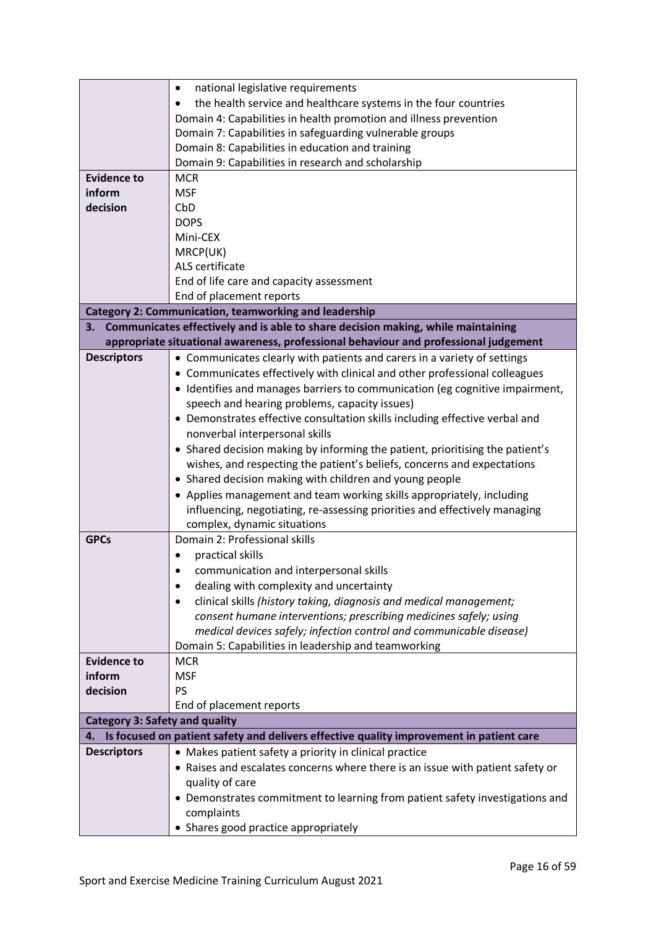|                                       | national legislative requirements<br>٠                                                  |
|---------------------------------------|-----------------------------------------------------------------------------------------|
|                                       | the health service and healthcare systems in the four countries                         |
|                                       | Domain 4: Capabilities in health promotion and illness prevention                       |
|                                       | Domain 7: Capabilities in safeguarding vulnerable groups                                |
|                                       | Domain 8: Capabilities in education and training                                        |
|                                       | Domain 9: Capabilities in research and scholarship                                      |
| <b>Evidence to</b>                    | <b>MCR</b>                                                                              |
| inform                                | <b>MSF</b>                                                                              |
| decision                              | CbD                                                                                     |
|                                       | <b>DOPS</b>                                                                             |
|                                       | Mini-CEX                                                                                |
|                                       | MRCP(UK)                                                                                |
|                                       | ALS certificate                                                                         |
|                                       | End of life care and capacity assessment                                                |
|                                       | End of placement reports                                                                |
|                                       | <b>Category 2: Communication, teamworking and leadership</b>                            |
|                                       | 3. Communicates effectively and is able to share decision making, while maintaining     |
|                                       | appropriate situational awareness, professional behaviour and professional judgement    |
| <b>Descriptors</b>                    | • Communicates clearly with patients and carers in a variety of settings                |
|                                       | • Communicates effectively with clinical and other professional colleagues              |
|                                       | • Identifies and manages barriers to communication (eg cognitive impairment,            |
|                                       | speech and hearing problems, capacity issues)                                           |
|                                       | • Demonstrates effective consultation skills including effective verbal and             |
|                                       | nonverbal interpersonal skills                                                          |
|                                       | • Shared decision making by informing the patient, prioritising the patient's           |
|                                       | wishes, and respecting the patient's beliefs, concerns and expectations                 |
|                                       | • Shared decision making with children and young people                                 |
|                                       | • Applies management and team working skills appropriately, including                   |
|                                       | influencing, negotiating, re-assessing priorities and effectively managing              |
|                                       | complex, dynamic situations                                                             |
| <b>GPCs</b>                           | Domain 2: Professional skills                                                           |
|                                       | practical skills                                                                        |
|                                       | communication and interpersonal skills                                                  |
|                                       | dealing with complexity and uncertainty                                                 |
|                                       | clinical skills (history taking, diagnosis and medical management;                      |
|                                       | consent humane interventions; prescribing medicines safely; using                       |
|                                       | medical devices safely; infection control and communicable disease)                     |
|                                       | Domain 5: Capabilities in leadership and teamworking                                    |
| <b>Evidence to</b>                    | <b>MCR</b>                                                                              |
| inform                                | <b>MSF</b>                                                                              |
| decision                              | PS                                                                                      |
|                                       | End of placement reports                                                                |
| <b>Category 3: Safety and quality</b> |                                                                                         |
| 4.                                    | Is focused on patient safety and delivers effective quality improvement in patient care |
| <b>Descriptors</b>                    | • Makes patient safety a priority in clinical practice                                  |
|                                       | • Raises and escalates concerns where there is an issue with patient safety or          |
|                                       | quality of care                                                                         |
|                                       | • Demonstrates commitment to learning from patient safety investigations and            |
|                                       | complaints                                                                              |
|                                       | • Shares good practice appropriately                                                    |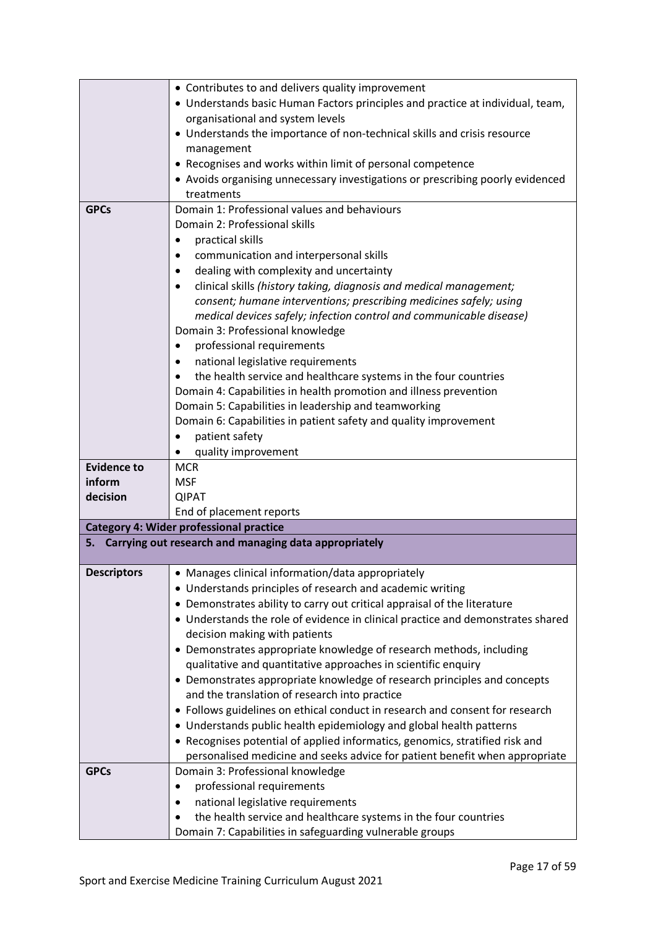|                    | • Contributes to and delivers quality improvement                                                                         |
|--------------------|---------------------------------------------------------------------------------------------------------------------------|
|                    | • Understands basic Human Factors principles and practice at individual, team,                                            |
|                    | organisational and system levels                                                                                          |
|                    | • Understands the importance of non-technical skills and crisis resource                                                  |
|                    | management                                                                                                                |
|                    | • Recognises and works within limit of personal competence                                                                |
|                    | • Avoids organising unnecessary investigations or prescribing poorly evidenced                                            |
|                    | treatments                                                                                                                |
| <b>GPCs</b>        | Domain 1: Professional values and behaviours                                                                              |
|                    | Domain 2: Professional skills                                                                                             |
|                    | practical skills<br>$\bullet$                                                                                             |
|                    | communication and interpersonal skills                                                                                    |
|                    | dealing with complexity and uncertainty                                                                                   |
|                    | clinical skills (history taking, diagnosis and medical management;                                                        |
|                    | consent; humane interventions; prescribing medicines safely; using                                                        |
|                    | medical devices safely; infection control and communicable disease)                                                       |
|                    | Domain 3: Professional knowledge                                                                                          |
|                    | professional requirements<br>$\bullet$                                                                                    |
|                    | national legislative requirements                                                                                         |
|                    | the health service and healthcare systems in the four countries                                                           |
|                    | Domain 4: Capabilities in health promotion and illness prevention                                                         |
|                    | Domain 5: Capabilities in leadership and teamworking                                                                      |
|                    | Domain 6: Capabilities in patient safety and quality improvement                                                          |
|                    | patient safety                                                                                                            |
|                    | quality improvement                                                                                                       |
| <b>Evidence to</b> | <b>MCR</b>                                                                                                                |
| inform             | <b>MSF</b>                                                                                                                |
| decision           |                                                                                                                           |
|                    | <b>QIPAT</b>                                                                                                              |
|                    | End of placement reports                                                                                                  |
|                    | <b>Category 4: Wider professional practice</b>                                                                            |
| 5.                 | Carrying out research and managing data appropriately                                                                     |
|                    |                                                                                                                           |
| <b>Descriptors</b> | Manages clinical information/data appropriately                                                                           |
|                    | • Understands principles of research and academic writing                                                                 |
|                    | • Demonstrates ability to carry out critical appraisal of the literature                                                  |
|                    | • Understands the role of evidence in clinical practice and demonstrates shared                                           |
|                    | decision making with patients                                                                                             |
|                    | • Demonstrates appropriate knowledge of research methods, including                                                       |
|                    | qualitative and quantitative approaches in scientific enquiry                                                             |
|                    | • Demonstrates appropriate knowledge of research principles and concepts<br>and the translation of research into practice |
|                    | • Follows guidelines on ethical conduct in research and consent for research                                              |
|                    | • Understands public health epidemiology and global health patterns                                                       |
|                    | • Recognises potential of applied informatics, genomics, stratified risk and                                              |
|                    | personalised medicine and seeks advice for patient benefit when appropriate                                               |
| <b>GPCs</b>        | Domain 3: Professional knowledge                                                                                          |
|                    | professional requirements<br>$\bullet$                                                                                    |
|                    | national legislative requirements                                                                                         |
|                    | the health service and healthcare systems in the four countries                                                           |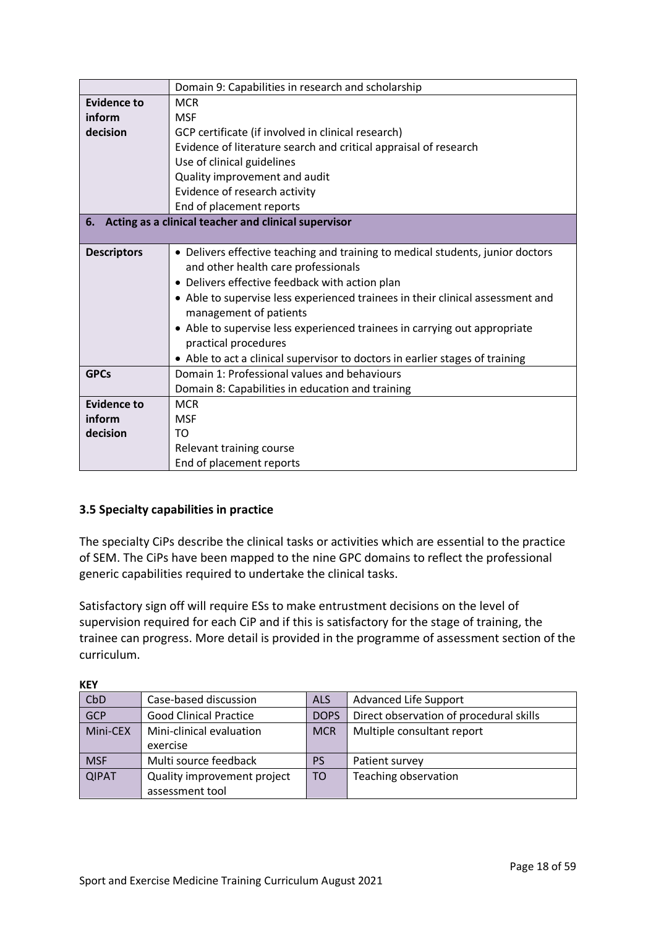|                            | Domain 9: Capabilities in research and scholarship                             |  |
|----------------------------|--------------------------------------------------------------------------------|--|
| <b>Evidence to</b>         | <b>MCR</b>                                                                     |  |
| inform                     | <b>MSF</b>                                                                     |  |
| decision                   | GCP certificate (if involved in clinical research)                             |  |
|                            | Evidence of literature search and critical appraisal of research               |  |
| Use of clinical guidelines |                                                                                |  |
|                            | Quality improvement and audit                                                  |  |
|                            | Evidence of research activity                                                  |  |
|                            | End of placement reports                                                       |  |
|                            | 6. Acting as a clinical teacher and clinical supervisor                        |  |
|                            |                                                                                |  |
| <b>Descriptors</b>         | • Delivers effective teaching and training to medical students, junior doctors |  |
|                            | and other health care professionals                                            |  |
|                            | • Delivers effective feedback with action plan                                 |  |
|                            | • Able to supervise less experienced trainees in their clinical assessment and |  |
|                            | management of patients                                                         |  |
|                            | • Able to supervise less experienced trainees in carrying out appropriate      |  |
|                            | practical procedures                                                           |  |
|                            | • Able to act a clinical supervisor to doctors in earlier stages of training   |  |
| <b>GPCs</b>                | Domain 1: Professional values and behaviours                                   |  |
|                            | Domain 8: Capabilities in education and training                               |  |
| <b>Evidence to</b>         | <b>MCR</b>                                                                     |  |
| inform                     | <b>MSF</b>                                                                     |  |
| decision                   | TO.                                                                            |  |
|                            | Relevant training course                                                       |  |
|                            | End of placement reports                                                       |  |

## <span id="page-17-0"></span>**3.5 Specialty capabilities in practice**

 $k$ EY

The specialty CiPs describe the clinical tasks or activities which are essential to the practice of SEM. The CiPs have been mapped to the nine GPC domains to reflect the professional generic capabilities required to undertake the clinical tasks.

Satisfactory sign off will require ESs to make entrustment decisions on the level of supervision required for each CiP and if this is satisfactory for the stage of training, the trainee can progress. More detail is provided in the programme of assessment section of the curriculum.

| INL I        |                               |             |                                         |  |
|--------------|-------------------------------|-------------|-----------------------------------------|--|
| CbD          | Case-based discussion         | <b>ALS</b>  | <b>Advanced Life Support</b>            |  |
| GCP          | <b>Good Clinical Practice</b> | <b>DOPS</b> | Direct observation of procedural skills |  |
| Mini-CEX     | Mini-clinical evaluation      | <b>MCR</b>  | Multiple consultant report              |  |
|              | exercise                      |             |                                         |  |
| <b>MSF</b>   | Multi source feedback         | <b>PS</b>   | Patient survey                          |  |
| <b>QIPAT</b> | Quality improvement project   | <b>TO</b>   | Teaching observation                    |  |
|              | assessment tool               |             |                                         |  |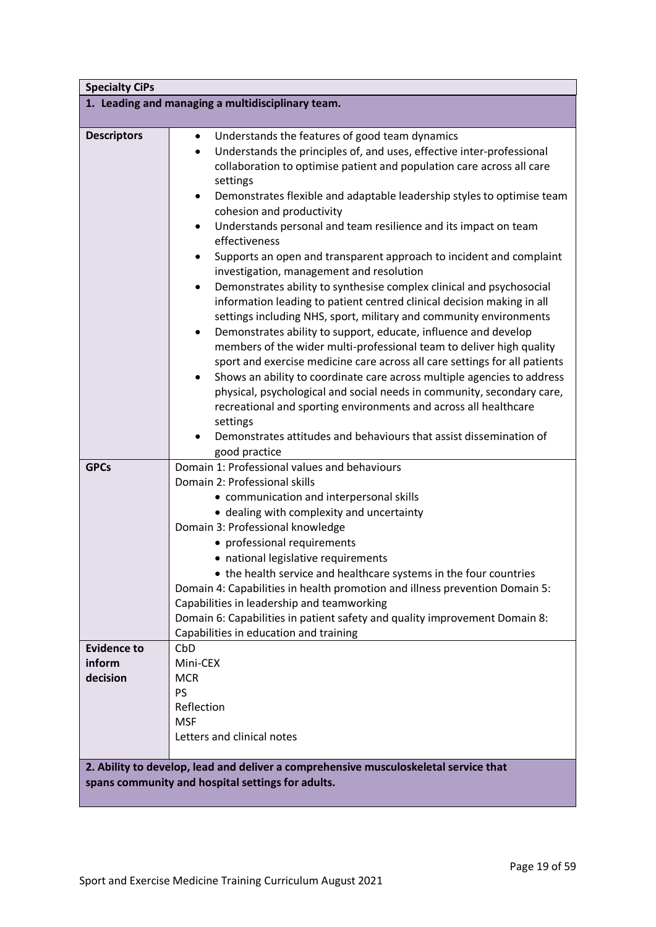| <b>Specialty CiPs</b>                                                                                                                     |                                                                                                                                                                                                                                                                                                                                                                                                                                                                                                                                                                                                                                                                                                                                                                                                                                                                                                                                                                                                                                                                                                                                                                                                                                                                                                                                                                                 |  |
|-------------------------------------------------------------------------------------------------------------------------------------------|---------------------------------------------------------------------------------------------------------------------------------------------------------------------------------------------------------------------------------------------------------------------------------------------------------------------------------------------------------------------------------------------------------------------------------------------------------------------------------------------------------------------------------------------------------------------------------------------------------------------------------------------------------------------------------------------------------------------------------------------------------------------------------------------------------------------------------------------------------------------------------------------------------------------------------------------------------------------------------------------------------------------------------------------------------------------------------------------------------------------------------------------------------------------------------------------------------------------------------------------------------------------------------------------------------------------------------------------------------------------------------|--|
|                                                                                                                                           | 1. Leading and managing a multidisciplinary team.                                                                                                                                                                                                                                                                                                                                                                                                                                                                                                                                                                                                                                                                                                                                                                                                                                                                                                                                                                                                                                                                                                                                                                                                                                                                                                                               |  |
| <b>Descriptors</b>                                                                                                                        | Understands the features of good team dynamics<br>$\bullet$<br>Understands the principles of, and uses, effective inter-professional<br>$\bullet$<br>collaboration to optimise patient and population care across all care<br>settings<br>Demonstrates flexible and adaptable leadership styles to optimise team<br>$\bullet$<br>cohesion and productivity<br>Understands personal and team resilience and its impact on team<br>٠<br>effectiveness<br>Supports an open and transparent approach to incident and complaint<br>٠<br>investigation, management and resolution<br>Demonstrates ability to synthesise complex clinical and psychosocial<br>$\bullet$<br>information leading to patient centred clinical decision making in all<br>settings including NHS, sport, military and community environments<br>Demonstrates ability to support, educate, influence and develop<br>٠<br>members of the wider multi-professional team to deliver high quality<br>sport and exercise medicine care across all care settings for all patients<br>Shows an ability to coordinate care across multiple agencies to address<br>٠<br>physical, psychological and social needs in community, secondary care,<br>recreational and sporting environments and across all healthcare<br>settings<br>Demonstrates attitudes and behaviours that assist dissemination of<br>good practice |  |
| <b>GPCs</b>                                                                                                                               | Domain 1: Professional values and behaviours<br>Domain 2: Professional skills<br>• communication and interpersonal skills<br>• dealing with complexity and uncertainty<br>Domain 3: Professional knowledge<br>• professional requirements<br>• national legislative requirements<br>the health service and healthcare systems in the four countries<br>Domain 4: Capabilities in health promotion and illness prevention Domain 5:<br>Capabilities in leadership and teamworking<br>Domain 6: Capabilities in patient safety and quality improvement Domain 8:<br>Capabilities in education and training                                                                                                                                                                                                                                                                                                                                                                                                                                                                                                                                                                                                                                                                                                                                                                        |  |
| <b>Evidence to</b>                                                                                                                        | CbD                                                                                                                                                                                                                                                                                                                                                                                                                                                                                                                                                                                                                                                                                                                                                                                                                                                                                                                                                                                                                                                                                                                                                                                                                                                                                                                                                                             |  |
| inform<br>decision                                                                                                                        | Mini-CEX<br><b>MCR</b>                                                                                                                                                                                                                                                                                                                                                                                                                                                                                                                                                                                                                                                                                                                                                                                                                                                                                                                                                                                                                                                                                                                                                                                                                                                                                                                                                          |  |
|                                                                                                                                           | PS<br>Reflection<br><b>MSF</b><br>Letters and clinical notes                                                                                                                                                                                                                                                                                                                                                                                                                                                                                                                                                                                                                                                                                                                                                                                                                                                                                                                                                                                                                                                                                                                                                                                                                                                                                                                    |  |
| 2. Ability to develop, lead and deliver a comprehensive musculoskeletal service that<br>spans community and hospital settings for adults. |                                                                                                                                                                                                                                                                                                                                                                                                                                                                                                                                                                                                                                                                                                                                                                                                                                                                                                                                                                                                                                                                                                                                                                                                                                                                                                                                                                                 |  |
|                                                                                                                                           |                                                                                                                                                                                                                                                                                                                                                                                                                                                                                                                                                                                                                                                                                                                                                                                                                                                                                                                                                                                                                                                                                                                                                                                                                                                                                                                                                                                 |  |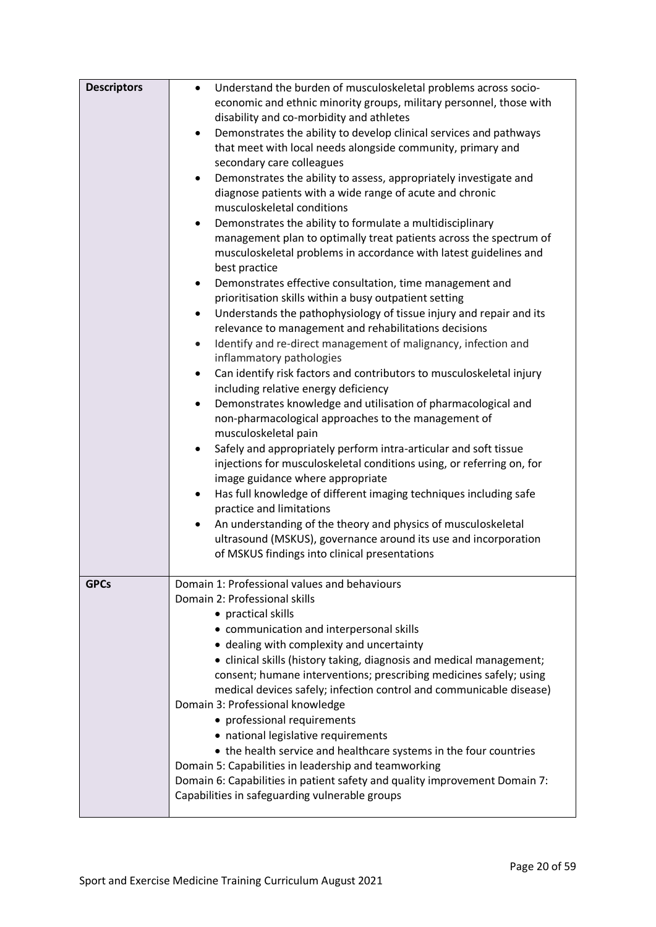| <b>Descriptors</b> | Understand the burden of musculoskeletal problems across socio-<br>$\bullet$                            |
|--------------------|---------------------------------------------------------------------------------------------------------|
|                    | economic and ethnic minority groups, military personnel, those with                                     |
|                    |                                                                                                         |
|                    | disability and co-morbidity and athletes                                                                |
|                    | Demonstrates the ability to develop clinical services and pathways<br>$\bullet$                         |
|                    | that meet with local needs alongside community, primary and                                             |
|                    | secondary care colleagues                                                                               |
|                    | Demonstrates the ability to assess, appropriately investigate and<br>$\bullet$                          |
|                    | diagnose patients with a wide range of acute and chronic                                                |
|                    | musculoskeletal conditions                                                                              |
|                    | Demonstrates the ability to formulate a multidisciplinary<br>٠                                          |
|                    | management plan to optimally treat patients across the spectrum of                                      |
|                    | musculoskeletal problems in accordance with latest guidelines and                                       |
|                    | best practice                                                                                           |
|                    | Demonstrates effective consultation, time management and<br>$\bullet$                                   |
|                    | prioritisation skills within a busy outpatient setting                                                  |
|                    | Understands the pathophysiology of tissue injury and repair and its<br>$\bullet$                        |
|                    | relevance to management and rehabilitations decisions                                                   |
|                    | Identify and re-direct management of malignancy, infection and<br>$\bullet$<br>inflammatory pathologies |
|                    | Can identify risk factors and contributors to musculoskeletal injury<br>$\bullet$                       |
|                    | including relative energy deficiency                                                                    |
|                    | Demonstrates knowledge and utilisation of pharmacological and<br>$\bullet$                              |
|                    | non-pharmacological approaches to the management of                                                     |
|                    | musculoskeletal pain                                                                                    |
|                    | Safely and appropriately perform intra-articular and soft tissue<br>$\bullet$                           |
|                    | injections for musculoskeletal conditions using, or referring on, for                                   |
|                    | image guidance where appropriate                                                                        |
|                    | Has full knowledge of different imaging techniques including safe<br>$\bullet$                          |
|                    | practice and limitations                                                                                |
|                    | An understanding of the theory and physics of musculoskeletal<br>$\bullet$                              |
|                    | ultrasound (MSKUS), governance around its use and incorporation                                         |
|                    | of MSKUS findings into clinical presentations                                                           |
|                    |                                                                                                         |
| <b>GPCs</b>        | Domain 1: Professional values and behaviours                                                            |
|                    | Domain 2: Professional skills                                                                           |
|                    | • practical skills                                                                                      |
|                    | • communication and interpersonal skills                                                                |
|                    | • dealing with complexity and uncertainty                                                               |
|                    | • clinical skills (history taking, diagnosis and medical management;                                    |
|                    | consent; humane interventions; prescribing medicines safely; using                                      |
|                    | medical devices safely; infection control and communicable disease)                                     |
|                    | Domain 3: Professional knowledge                                                                        |
|                    |                                                                                                         |
|                    | • professional requirements                                                                             |
|                    | • national legislative requirements                                                                     |
|                    | • the health service and healthcare systems in the four countries                                       |
|                    | Domain 5: Capabilities in leadership and teamworking                                                    |
|                    | Domain 6: Capabilities in patient safety and quality improvement Domain 7:                              |
|                    | Capabilities in safeguarding vulnerable groups                                                          |
|                    |                                                                                                         |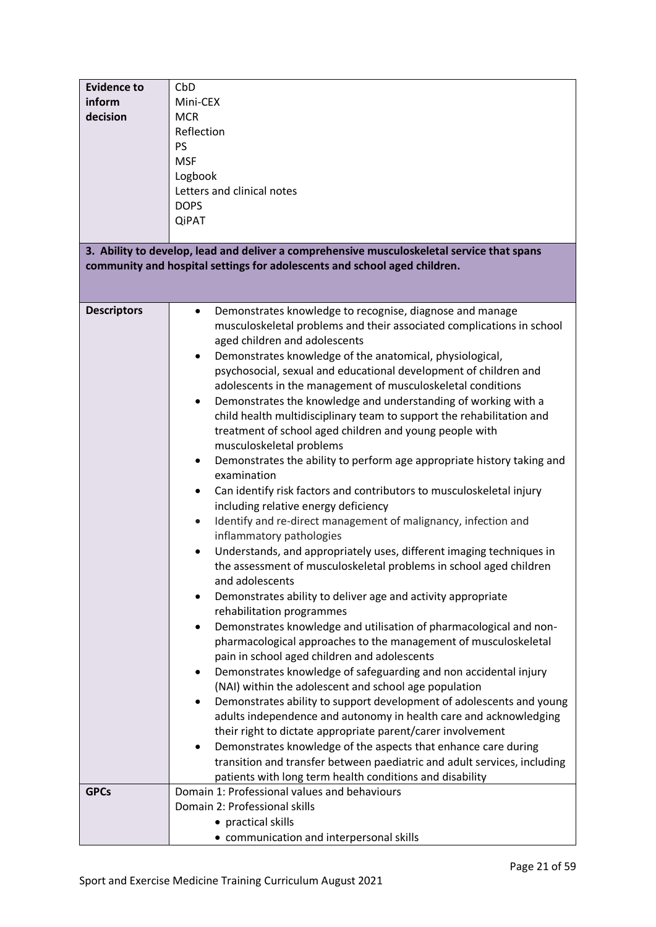| <b>Evidence to</b><br>inform<br>decision | CbD<br>Mini-CEX<br><b>MCR</b><br>Reflection<br><b>PS</b><br><b>MSF</b><br>Logbook<br>Letters and clinical notes                                                                                                                                                                                                                                                                                                                                                                                                                                                                                                                                                                                                                                                                                                                                                                                                                                                                                                                                                                                                                                                                                                                                                                                                                                                                                                                                                                                                                                                                                                                                                                                                                                                                                                                                                                                                                                                                        |
|------------------------------------------|----------------------------------------------------------------------------------------------------------------------------------------------------------------------------------------------------------------------------------------------------------------------------------------------------------------------------------------------------------------------------------------------------------------------------------------------------------------------------------------------------------------------------------------------------------------------------------------------------------------------------------------------------------------------------------------------------------------------------------------------------------------------------------------------------------------------------------------------------------------------------------------------------------------------------------------------------------------------------------------------------------------------------------------------------------------------------------------------------------------------------------------------------------------------------------------------------------------------------------------------------------------------------------------------------------------------------------------------------------------------------------------------------------------------------------------------------------------------------------------------------------------------------------------------------------------------------------------------------------------------------------------------------------------------------------------------------------------------------------------------------------------------------------------------------------------------------------------------------------------------------------------------------------------------------------------------------------------------------------------|
|                                          | <b>DOPS</b><br><b>QiPAT</b>                                                                                                                                                                                                                                                                                                                                                                                                                                                                                                                                                                                                                                                                                                                                                                                                                                                                                                                                                                                                                                                                                                                                                                                                                                                                                                                                                                                                                                                                                                                                                                                                                                                                                                                                                                                                                                                                                                                                                            |
|                                          | 3. Ability to develop, lead and deliver a comprehensive musculoskeletal service that spans                                                                                                                                                                                                                                                                                                                                                                                                                                                                                                                                                                                                                                                                                                                                                                                                                                                                                                                                                                                                                                                                                                                                                                                                                                                                                                                                                                                                                                                                                                                                                                                                                                                                                                                                                                                                                                                                                             |
|                                          | community and hospital settings for adolescents and school aged children.                                                                                                                                                                                                                                                                                                                                                                                                                                                                                                                                                                                                                                                                                                                                                                                                                                                                                                                                                                                                                                                                                                                                                                                                                                                                                                                                                                                                                                                                                                                                                                                                                                                                                                                                                                                                                                                                                                              |
| <b>Descriptors</b><br><b>GPCs</b>        | Demonstrates knowledge to recognise, diagnose and manage<br>musculoskeletal problems and their associated complications in school<br>aged children and adolescents<br>Demonstrates knowledge of the anatomical, physiological,<br>psychosocial, sexual and educational development of children and<br>adolescents in the management of musculoskeletal conditions<br>Demonstrates the knowledge and understanding of working with a<br>child health multidisciplinary team to support the rehabilitation and<br>treatment of school aged children and young people with<br>musculoskeletal problems<br>Demonstrates the ability to perform age appropriate history taking and<br>examination<br>Can identify risk factors and contributors to musculoskeletal injury<br>٠<br>including relative energy deficiency<br>Identify and re-direct management of malignancy, infection and<br>$\bullet$<br>inflammatory pathologies<br>Understands, and appropriately uses, different imaging techniques in<br>the assessment of musculoskeletal problems in school aged children<br>and adolescents<br>Demonstrates ability to deliver age and activity appropriate<br>rehabilitation programmes<br>Demonstrates knowledge and utilisation of pharmacological and non-<br>pharmacological approaches to the management of musculoskeletal<br>pain in school aged children and adolescents<br>Demonstrates knowledge of safeguarding and non accidental injury<br>(NAI) within the adolescent and school age population<br>Demonstrates ability to support development of adolescents and young<br>adults independence and autonomy in health care and acknowledging<br>their right to dictate appropriate parent/carer involvement<br>Demonstrates knowledge of the aspects that enhance care during<br>transition and transfer between paediatric and adult services, including<br>patients with long term health conditions and disability<br>Domain 1: Professional values and behaviours |
|                                          | Domain 2: Professional skills<br>• practical skills<br>• communication and interpersonal skills                                                                                                                                                                                                                                                                                                                                                                                                                                                                                                                                                                                                                                                                                                                                                                                                                                                                                                                                                                                                                                                                                                                                                                                                                                                                                                                                                                                                                                                                                                                                                                                                                                                                                                                                                                                                                                                                                        |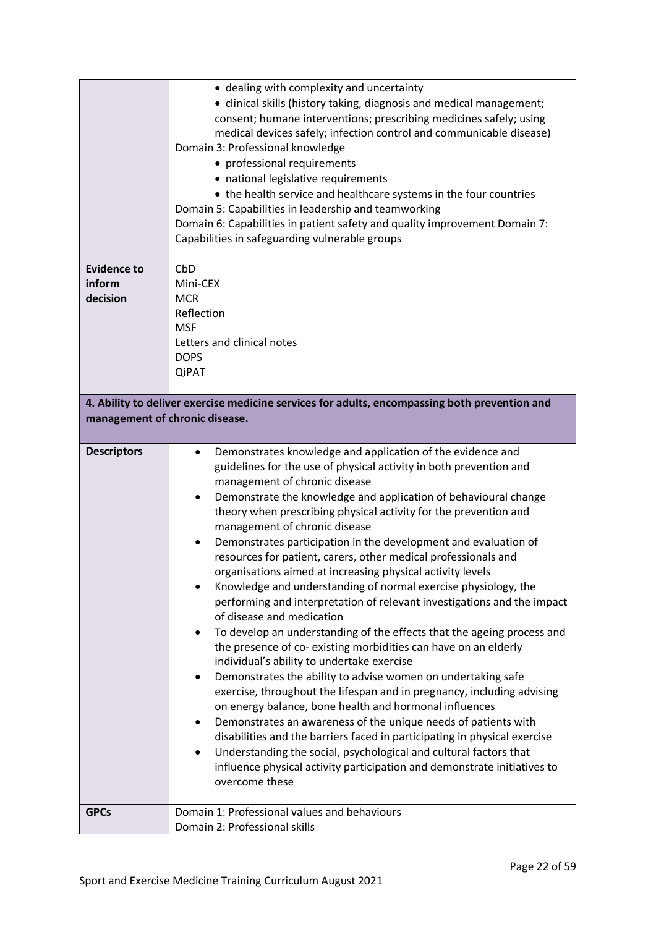|                                | • dealing with complexity and uncertainty<br>• clinical skills (history taking, diagnosis and medical management;<br>consent; humane interventions; prescribing medicines safely; using<br>medical devices safely; infection control and communicable disease)<br>Domain 3: Professional knowledge<br>• professional requirements<br>• national legislative requirements<br>• the health service and healthcare systems in the four countries<br>Domain 5: Capabilities in leadership and teamworking<br>Domain 6: Capabilities in patient safety and quality improvement Domain 7:<br>Capabilities in safeguarding vulnerable groups                                                                                                                                                                                                                                                                                                                                                                                                                                                                                                                                                                                                                                                                                                                                                                                                                         |
|--------------------------------|---------------------------------------------------------------------------------------------------------------------------------------------------------------------------------------------------------------------------------------------------------------------------------------------------------------------------------------------------------------------------------------------------------------------------------------------------------------------------------------------------------------------------------------------------------------------------------------------------------------------------------------------------------------------------------------------------------------------------------------------------------------------------------------------------------------------------------------------------------------------------------------------------------------------------------------------------------------------------------------------------------------------------------------------------------------------------------------------------------------------------------------------------------------------------------------------------------------------------------------------------------------------------------------------------------------------------------------------------------------------------------------------------------------------------------------------------------------|
| <b>Evidence to</b><br>inform   | CbD<br>Mini-CEX                                                                                                                                                                                                                                                                                                                                                                                                                                                                                                                                                                                                                                                                                                                                                                                                                                                                                                                                                                                                                                                                                                                                                                                                                                                                                                                                                                                                                                               |
| decision                       | <b>MCR</b><br>Reflection                                                                                                                                                                                                                                                                                                                                                                                                                                                                                                                                                                                                                                                                                                                                                                                                                                                                                                                                                                                                                                                                                                                                                                                                                                                                                                                                                                                                                                      |
|                                | <b>MSF</b>                                                                                                                                                                                                                                                                                                                                                                                                                                                                                                                                                                                                                                                                                                                                                                                                                                                                                                                                                                                                                                                                                                                                                                                                                                                                                                                                                                                                                                                    |
|                                | Letters and clinical notes<br><b>DOPS</b>                                                                                                                                                                                                                                                                                                                                                                                                                                                                                                                                                                                                                                                                                                                                                                                                                                                                                                                                                                                                                                                                                                                                                                                                                                                                                                                                                                                                                     |
|                                | <b>QiPAT</b>                                                                                                                                                                                                                                                                                                                                                                                                                                                                                                                                                                                                                                                                                                                                                                                                                                                                                                                                                                                                                                                                                                                                                                                                                                                                                                                                                                                                                                                  |
|                                | 4. Ability to deliver exercise medicine services for adults, encompassing both prevention and                                                                                                                                                                                                                                                                                                                                                                                                                                                                                                                                                                                                                                                                                                                                                                                                                                                                                                                                                                                                                                                                                                                                                                                                                                                                                                                                                                 |
| management of chronic disease. |                                                                                                                                                                                                                                                                                                                                                                                                                                                                                                                                                                                                                                                                                                                                                                                                                                                                                                                                                                                                                                                                                                                                                                                                                                                                                                                                                                                                                                                               |
| <b>Descriptors</b>             | Demonstrates knowledge and application of the evidence and<br>$\bullet$<br>guidelines for the use of physical activity in both prevention and<br>management of chronic disease<br>Demonstrate the knowledge and application of behavioural change<br>٠<br>theory when prescribing physical activity for the prevention and<br>management of chronic disease<br>Demonstrates participation in the development and evaluation of<br>resources for patient, carers, other medical professionals and<br>organisations aimed at increasing physical activity levels<br>Knowledge and understanding of normal exercise physiology, the<br>performing and interpretation of relevant investigations and the impact<br>of disease and medication<br>To develop an understanding of the effects that the ageing process and<br>the presence of co-existing morbidities can have on an elderly<br>individual's ability to undertake exercise<br>Demonstrates the ability to advise women on undertaking safe<br>٠<br>exercise, throughout the lifespan and in pregnancy, including advising<br>on energy balance, bone health and hormonal influences<br>Demonstrates an awareness of the unique needs of patients with<br>disabilities and the barriers faced in participating in physical exercise<br>Understanding the social, psychological and cultural factors that<br>influence physical activity participation and demonstrate initiatives to<br>overcome these |
| <b>GPCs</b>                    | Domain 1: Professional values and behaviours<br>Domain 2: Professional skills                                                                                                                                                                                                                                                                                                                                                                                                                                                                                                                                                                                                                                                                                                                                                                                                                                                                                                                                                                                                                                                                                                                                                                                                                                                                                                                                                                                 |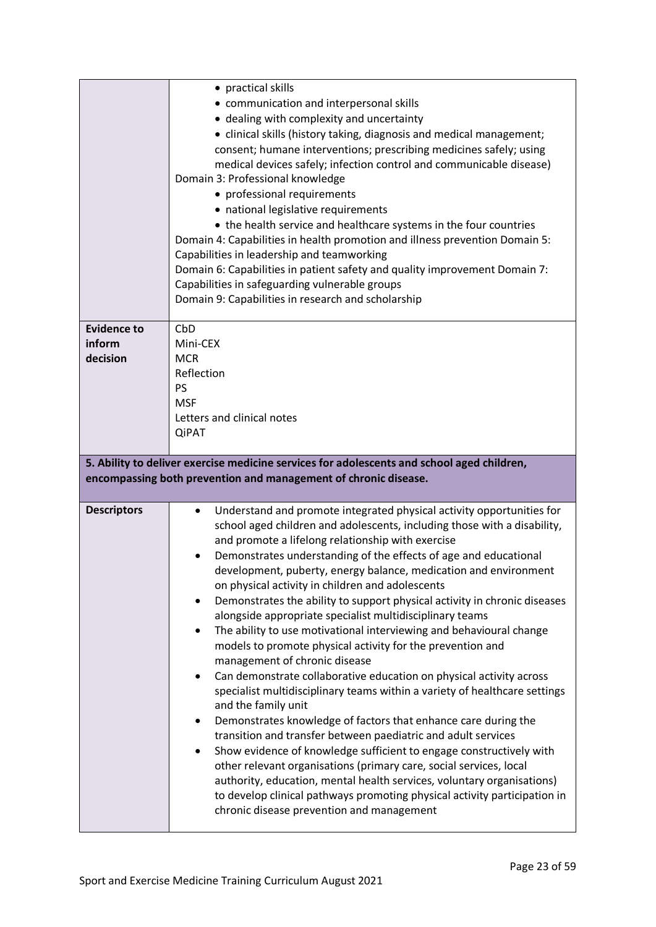|                    | • practical skills<br>• communication and interpersonal skills<br>• dealing with complexity and uncertainty<br>• clinical skills (history taking, diagnosis and medical management;<br>consent; humane interventions; prescribing medicines safely; using<br>medical devices safely; infection control and communicable disease)<br>Domain 3: Professional knowledge<br>• professional requirements<br>• national legislative requirements<br>• the health service and healthcare systems in the four countries<br>Domain 4: Capabilities in health promotion and illness prevention Domain 5:<br>Capabilities in leadership and teamworking<br>Domain 6: Capabilities in patient safety and quality improvement Domain 7:<br>Capabilities in safeguarding vulnerable groups<br>Domain 9: Capabilities in research and scholarship |
|--------------------|------------------------------------------------------------------------------------------------------------------------------------------------------------------------------------------------------------------------------------------------------------------------------------------------------------------------------------------------------------------------------------------------------------------------------------------------------------------------------------------------------------------------------------------------------------------------------------------------------------------------------------------------------------------------------------------------------------------------------------------------------------------------------------------------------------------------------------|
| <b>Evidence to</b> | CbD                                                                                                                                                                                                                                                                                                                                                                                                                                                                                                                                                                                                                                                                                                                                                                                                                                |
| inform<br>decision | Mini-CEX<br><b>MCR</b>                                                                                                                                                                                                                                                                                                                                                                                                                                                                                                                                                                                                                                                                                                                                                                                                             |
|                    | Reflection<br><b>PS</b>                                                                                                                                                                                                                                                                                                                                                                                                                                                                                                                                                                                                                                                                                                                                                                                                            |
|                    | <b>MSF</b>                                                                                                                                                                                                                                                                                                                                                                                                                                                                                                                                                                                                                                                                                                                                                                                                                         |
|                    | Letters and clinical notes<br><b>QiPAT</b>                                                                                                                                                                                                                                                                                                                                                                                                                                                                                                                                                                                                                                                                                                                                                                                         |
|                    | 5. Ability to deliver exercise medicine services for adolescents and school aged children,                                                                                                                                                                                                                                                                                                                                                                                                                                                                                                                                                                                                                                                                                                                                         |
|                    |                                                                                                                                                                                                                                                                                                                                                                                                                                                                                                                                                                                                                                                                                                                                                                                                                                    |
|                    | encompassing both prevention and management of chronic disease.                                                                                                                                                                                                                                                                                                                                                                                                                                                                                                                                                                                                                                                                                                                                                                    |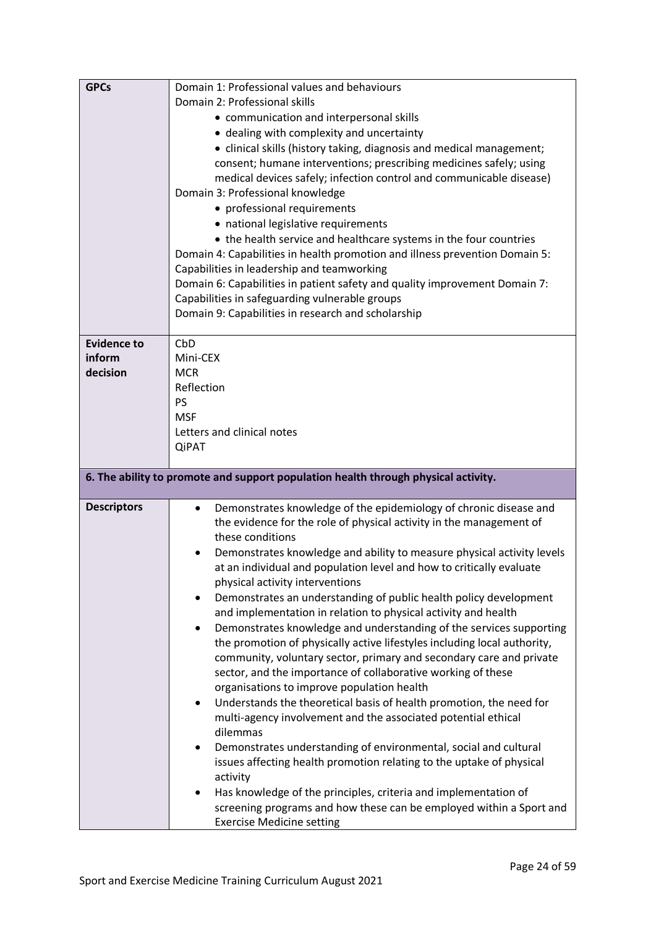| <b>GPCs</b>                  | Domain 1: Professional values and behaviours<br>Domain 2: Professional skills<br>• communication and interpersonal skills<br>• dealing with complexity and uncertainty<br>• clinical skills (history taking, diagnosis and medical management;<br>consent; humane interventions; prescribing medicines safely; using<br>medical devices safely; infection control and communicable disease)<br>Domain 3: Professional knowledge<br>• professional requirements<br>• national legislative requirements<br>• the health service and healthcare systems in the four countries<br>Domain 4: Capabilities in health promotion and illness prevention Domain 5:<br>Capabilities in leadership and teamworking<br>Domain 6: Capabilities in patient safety and quality improvement Domain 7:<br>Capabilities in safeguarding vulnerable groups<br>Domain 9: Capabilities in research and scholarship                                                                                                                                                                                                                                                                                                                                                                                                                                                        |
|------------------------------|------------------------------------------------------------------------------------------------------------------------------------------------------------------------------------------------------------------------------------------------------------------------------------------------------------------------------------------------------------------------------------------------------------------------------------------------------------------------------------------------------------------------------------------------------------------------------------------------------------------------------------------------------------------------------------------------------------------------------------------------------------------------------------------------------------------------------------------------------------------------------------------------------------------------------------------------------------------------------------------------------------------------------------------------------------------------------------------------------------------------------------------------------------------------------------------------------------------------------------------------------------------------------------------------------------------------------------------------------|
| <b>Evidence to</b><br>inform | CbD<br>Mini-CEX                                                                                                                                                                                                                                                                                                                                                                                                                                                                                                                                                                                                                                                                                                                                                                                                                                                                                                                                                                                                                                                                                                                                                                                                                                                                                                                                      |
| decision                     | <b>MCR</b>                                                                                                                                                                                                                                                                                                                                                                                                                                                                                                                                                                                                                                                                                                                                                                                                                                                                                                                                                                                                                                                                                                                                                                                                                                                                                                                                           |
|                              | Reflection<br><b>PS</b>                                                                                                                                                                                                                                                                                                                                                                                                                                                                                                                                                                                                                                                                                                                                                                                                                                                                                                                                                                                                                                                                                                                                                                                                                                                                                                                              |
|                              | <b>MSF</b>                                                                                                                                                                                                                                                                                                                                                                                                                                                                                                                                                                                                                                                                                                                                                                                                                                                                                                                                                                                                                                                                                                                                                                                                                                                                                                                                           |
|                              | Letters and clinical notes                                                                                                                                                                                                                                                                                                                                                                                                                                                                                                                                                                                                                                                                                                                                                                                                                                                                                                                                                                                                                                                                                                                                                                                                                                                                                                                           |
|                              | <b>QiPAT</b>                                                                                                                                                                                                                                                                                                                                                                                                                                                                                                                                                                                                                                                                                                                                                                                                                                                                                                                                                                                                                                                                                                                                                                                                                                                                                                                                         |
|                              | 6. The ability to promote and support population health through physical activity.                                                                                                                                                                                                                                                                                                                                                                                                                                                                                                                                                                                                                                                                                                                                                                                                                                                                                                                                                                                                                                                                                                                                                                                                                                                                   |
| <b>Descriptors</b>           | Demonstrates knowledge of the epidemiology of chronic disease and<br>the evidence for the role of physical activity in the management of<br>these conditions<br>Demonstrates knowledge and ability to measure physical activity levels<br>at an individual and population level and how to critically evaluate<br>physical activity interventions<br>Demonstrates an understanding of public health policy development<br>$\bullet$<br>and implementation in relation to physical activity and health<br>Demonstrates knowledge and understanding of the services supporting<br>the promotion of physically active lifestyles including local authority,<br>community, voluntary sector, primary and secondary care and private<br>sector, and the importance of collaborative working of these<br>organisations to improve population health<br>Understands the theoretical basis of health promotion, the need for<br>$\bullet$<br>multi-agency involvement and the associated potential ethical<br>dilemmas<br>Demonstrates understanding of environmental, social and cultural<br>issues affecting health promotion relating to the uptake of physical<br>activity<br>Has knowledge of the principles, criteria and implementation of<br>screening programs and how these can be employed within a Sport and<br><b>Exercise Medicine setting</b> |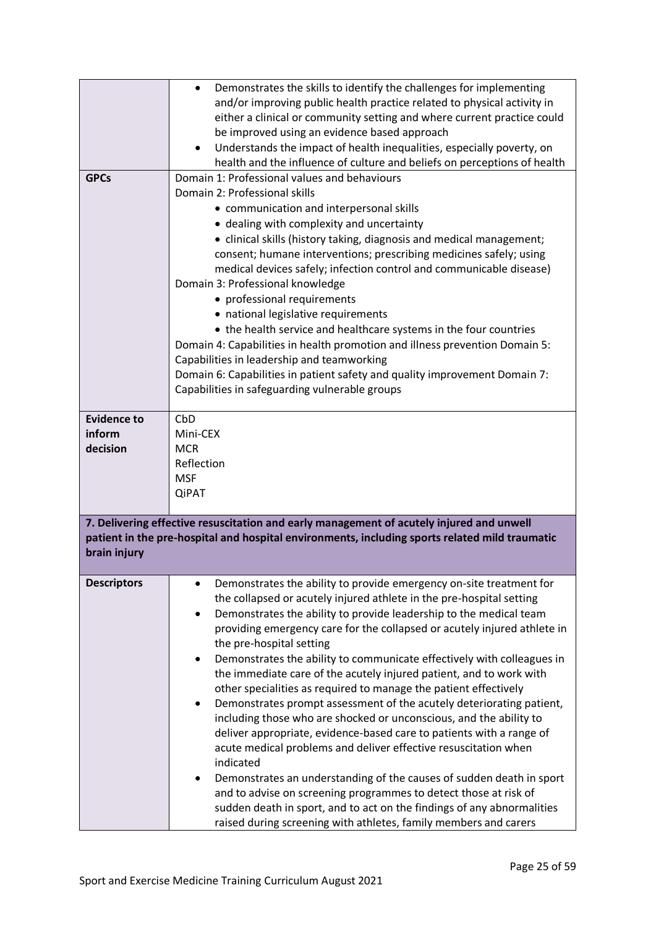|                                          | Demonstrates the skills to identify the challenges for implementing<br>$\bullet$<br>and/or improving public health practice related to physical activity in<br>either a clinical or community setting and where current practice could<br>be improved using an evidence based approach<br>Understands the impact of health inequalities, especially poverty, on<br>health and the influence of culture and beliefs on perceptions of health                                                                                                                                                                                                                                                                                                                                                                                                                                                                                                                                                                                                                                                                                                    |
|------------------------------------------|------------------------------------------------------------------------------------------------------------------------------------------------------------------------------------------------------------------------------------------------------------------------------------------------------------------------------------------------------------------------------------------------------------------------------------------------------------------------------------------------------------------------------------------------------------------------------------------------------------------------------------------------------------------------------------------------------------------------------------------------------------------------------------------------------------------------------------------------------------------------------------------------------------------------------------------------------------------------------------------------------------------------------------------------------------------------------------------------------------------------------------------------|
| <b>GPCs</b>                              | Domain 1: Professional values and behaviours<br>Domain 2: Professional skills<br>• communication and interpersonal skills<br>• dealing with complexity and uncertainty<br>• clinical skills (history taking, diagnosis and medical management;<br>consent; humane interventions; prescribing medicines safely; using<br>medical devices safely; infection control and communicable disease)<br>Domain 3: Professional knowledge<br>• professional requirements<br>• national legislative requirements<br>• the health service and healthcare systems in the four countries<br>Domain 4: Capabilities in health promotion and illness prevention Domain 5:<br>Capabilities in leadership and teamworking<br>Domain 6: Capabilities in patient safety and quality improvement Domain 7:<br>Capabilities in safeguarding vulnerable groups                                                                                                                                                                                                                                                                                                        |
| <b>Evidence to</b><br>inform<br>decision | CbD<br>Mini-CEX<br><b>MCR</b><br>Reflection<br><b>MSF</b><br><b>QiPAT</b>                                                                                                                                                                                                                                                                                                                                                                                                                                                                                                                                                                                                                                                                                                                                                                                                                                                                                                                                                                                                                                                                      |
| brain injury                             | 7. Delivering effective resuscitation and early management of acutely injured and unwell<br>patient in the pre-hospital and hospital environments, including sports related mild traumatic                                                                                                                                                                                                                                                                                                                                                                                                                                                                                                                                                                                                                                                                                                                                                                                                                                                                                                                                                     |
| <b>Descriptors</b>                       | Demonstrates the ability to provide emergency on-site treatment for<br>the collapsed or acutely injured athlete in the pre-hospital setting<br>Demonstrates the ability to provide leadership to the medical team<br>providing emergency care for the collapsed or acutely injured athlete in<br>the pre-hospital setting<br>Demonstrates the ability to communicate effectively with colleagues in<br>the immediate care of the acutely injured patient, and to work with<br>other specialities as required to manage the patient effectively<br>Demonstrates prompt assessment of the acutely deteriorating patient,<br>including those who are shocked or unconscious, and the ability to<br>deliver appropriate, evidence-based care to patients with a range of<br>acute medical problems and deliver effective resuscitation when<br>indicated<br>Demonstrates an understanding of the causes of sudden death in sport<br>and to advise on screening programmes to detect those at risk of<br>sudden death in sport, and to act on the findings of any abnormalities<br>raised during screening with athletes, family members and carers |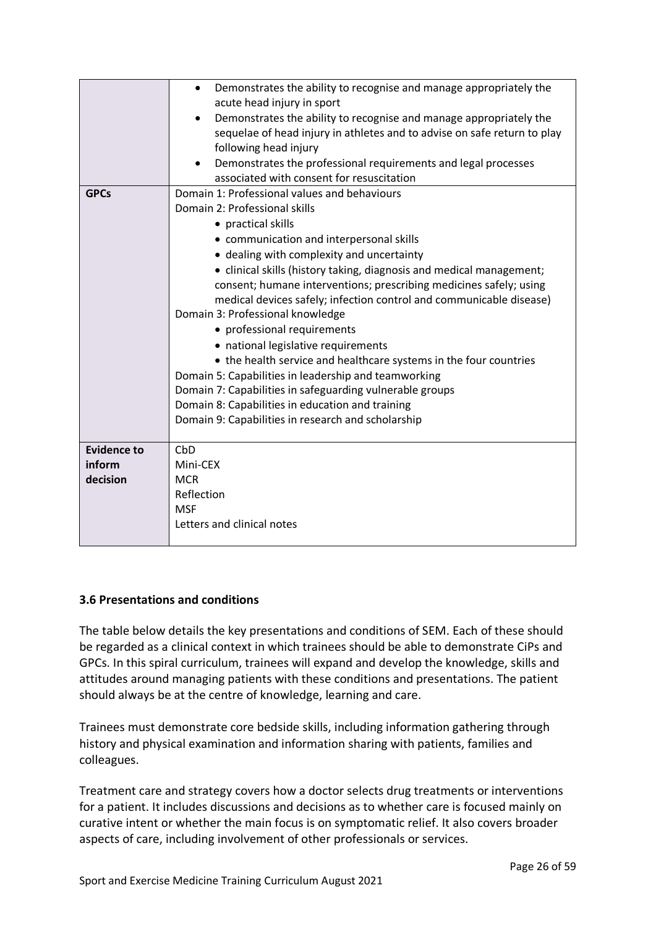|                                          | Demonstrates the ability to recognise and manage appropriately the<br>$\bullet$<br>acute head injury in sport<br>Demonstrates the ability to recognise and manage appropriately the<br>sequelae of head injury in athletes and to advise on safe return to play<br>following head injury                                                                                                                                                                                                                                                                                                                                                                                                                                                                                                                                       |
|------------------------------------------|--------------------------------------------------------------------------------------------------------------------------------------------------------------------------------------------------------------------------------------------------------------------------------------------------------------------------------------------------------------------------------------------------------------------------------------------------------------------------------------------------------------------------------------------------------------------------------------------------------------------------------------------------------------------------------------------------------------------------------------------------------------------------------------------------------------------------------|
|                                          | Demonstrates the professional requirements and legal processes<br>associated with consent for resuscitation                                                                                                                                                                                                                                                                                                                                                                                                                                                                                                                                                                                                                                                                                                                    |
| <b>GPCs</b>                              | Domain 1: Professional values and behaviours<br>Domain 2: Professional skills<br>• practical skills<br>• communication and interpersonal skills<br>• dealing with complexity and uncertainty<br>• clinical skills (history taking, diagnosis and medical management;<br>consent; humane interventions; prescribing medicines safely; using<br>medical devices safely; infection control and communicable disease)<br>Domain 3: Professional knowledge<br>• professional requirements<br>• national legislative requirements<br>• the health service and healthcare systems in the four countries<br>Domain 5: Capabilities in leadership and teamworking<br>Domain 7: Capabilities in safeguarding vulnerable groups<br>Domain 8: Capabilities in education and training<br>Domain 9: Capabilities in research and scholarship |
| <b>Evidence to</b><br>inform<br>decision | CbD<br>Mini-CEX<br><b>MCR</b><br>Reflection<br><b>MSF</b><br>Letters and clinical notes                                                                                                                                                                                                                                                                                                                                                                                                                                                                                                                                                                                                                                                                                                                                        |

## <span id="page-25-0"></span>**3.6 Presentations and conditions**

The table below details the key presentations and conditions of SEM. Each of these should be regarded as a clinical context in which trainees should be able to demonstrate CiPs and GPCs. In this spiral curriculum, trainees will expand and develop the knowledge, skills and attitudes around managing patients with these conditions and presentations. The patient should always be at the centre of knowledge, learning and care.

Trainees must demonstrate core bedside skills, including information gathering through history and physical examination and information sharing with patients, families and colleagues.

Treatment care and strategy covers how a doctor selects drug treatments or interventions for a patient. It includes discussions and decisions as to whether care is focused mainly on curative intent or whether the main focus is on symptomatic relief. It also covers broader aspects of care, including involvement of other professionals or services.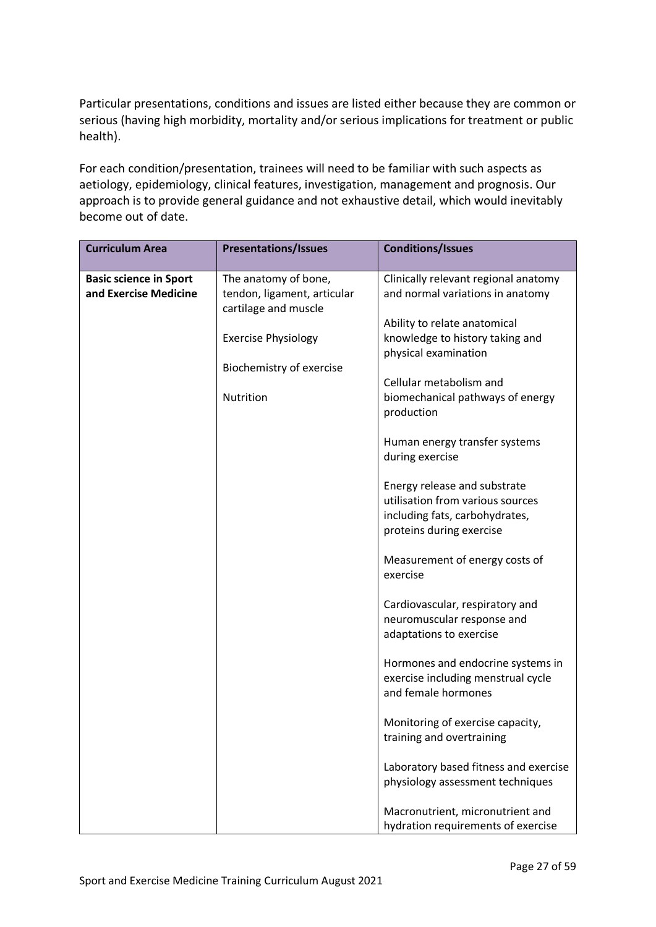Particular presentations, conditions and issues are listed either because they are common or serious (having high morbidity, mortality and/or serious implications for treatment or public health).

For each condition/presentation, trainees will need to be familiar with such aspects as aetiology, epidemiology, clinical features, investigation, management and prognosis. Our approach is to provide general guidance and not exhaustive detail, which would inevitably become out of date.

| <b>Curriculum Area</b>                                 | <b>Presentations/Issues</b>                                                                                                                        | <b>Conditions/Issues</b>                                                                                                                                                                                                                                                                                                                                                                                                                                                             |
|--------------------------------------------------------|----------------------------------------------------------------------------------------------------------------------------------------------------|--------------------------------------------------------------------------------------------------------------------------------------------------------------------------------------------------------------------------------------------------------------------------------------------------------------------------------------------------------------------------------------------------------------------------------------------------------------------------------------|
| <b>Basic science in Sport</b><br>and Exercise Medicine | The anatomy of bone,<br>tendon, ligament, articular<br>cartilage and muscle<br><b>Exercise Physiology</b><br>Biochemistry of exercise<br>Nutrition | Clinically relevant regional anatomy<br>and normal variations in anatomy<br>Ability to relate anatomical<br>knowledge to history taking and<br>physical examination<br>Cellular metabolism and<br>biomechanical pathways of energy<br>production<br>Human energy transfer systems<br>during exercise<br>Energy release and substrate<br>utilisation from various sources<br>including fats, carbohydrates,<br>proteins during exercise<br>Measurement of energy costs of<br>exercise |
|                                                        |                                                                                                                                                    | Cardiovascular, respiratory and<br>neuromuscular response and<br>adaptations to exercise                                                                                                                                                                                                                                                                                                                                                                                             |
|                                                        |                                                                                                                                                    | Hormones and endocrine systems in<br>exercise including menstrual cycle<br>and female hormones                                                                                                                                                                                                                                                                                                                                                                                       |
|                                                        |                                                                                                                                                    | Monitoring of exercise capacity,<br>training and overtraining                                                                                                                                                                                                                                                                                                                                                                                                                        |
|                                                        |                                                                                                                                                    | Laboratory based fitness and exercise<br>physiology assessment techniques                                                                                                                                                                                                                                                                                                                                                                                                            |
|                                                        |                                                                                                                                                    | Macronutrient, micronutrient and<br>hydration requirements of exercise                                                                                                                                                                                                                                                                                                                                                                                                               |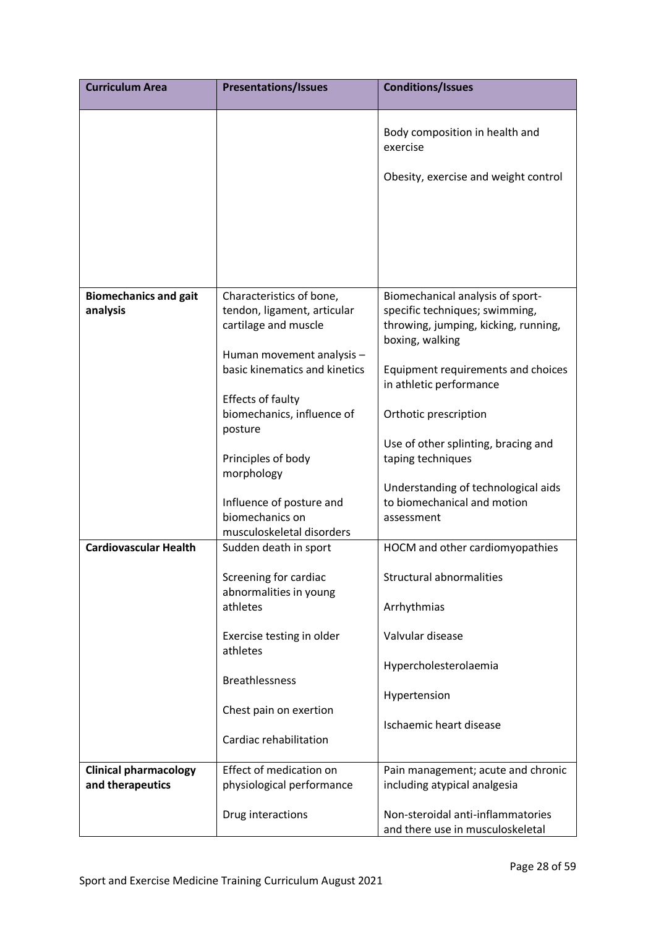| <b>Curriculum Area</b>       | <b>Presentations/Issues</b>                                              | <b>Conditions/Issues</b>                                                           |
|------------------------------|--------------------------------------------------------------------------|------------------------------------------------------------------------------------|
|                              |                                                                          | Body composition in health and<br>exercise<br>Obesity, exercise and weight control |
| <b>Biomechanics and gait</b> | Characteristics of bone,                                                 | Biomechanical analysis of sport-                                                   |
| analysis                     | tendon, ligament, articular<br>cartilage and muscle                      | specific techniques; swimming,<br>throwing, jumping, kicking, running,             |
|                              | Human movement analysis -                                                | boxing, walking                                                                    |
|                              | basic kinematics and kinetics                                            | Equipment requirements and choices<br>in athletic performance                      |
|                              | Effects of faulty<br>biomechanics, influence of<br>posture               | Orthotic prescription                                                              |
|                              |                                                                          | Use of other splinting, bracing and                                                |
|                              | Principles of body<br>morphology                                         | taping techniques                                                                  |
|                              | Influence of posture and<br>biomechanics on<br>musculoskeletal disorders | Understanding of technological aids<br>to biomechanical and motion<br>assessment   |
| <b>Cardiovascular Health</b> | Sudden death in sport                                                    | HOCM and other cardiomyopathies                                                    |
|                              | Screening for cardiac                                                    | <b>Structural abnormalities</b>                                                    |
|                              | abnormalities in young<br>athletes                                       | Arrhythmias                                                                        |
|                              | Exercise testing in older<br>athletes                                    | Valvular disease                                                                   |
|                              | <b>Breathlessness</b>                                                    | Hypercholesterolaemia                                                              |
|                              | Chest pain on exertion                                                   | Hypertension                                                                       |
|                              | Cardiac rehabilitation                                                   | Ischaemic heart disease                                                            |
| <b>Clinical pharmacology</b> | Effect of medication on                                                  | Pain management; acute and chronic                                                 |
| and therapeutics             | physiological performance                                                | including atypical analgesia                                                       |
|                              | Drug interactions                                                        | Non-steroidal anti-inflammatories<br>and there use in musculoskeletal              |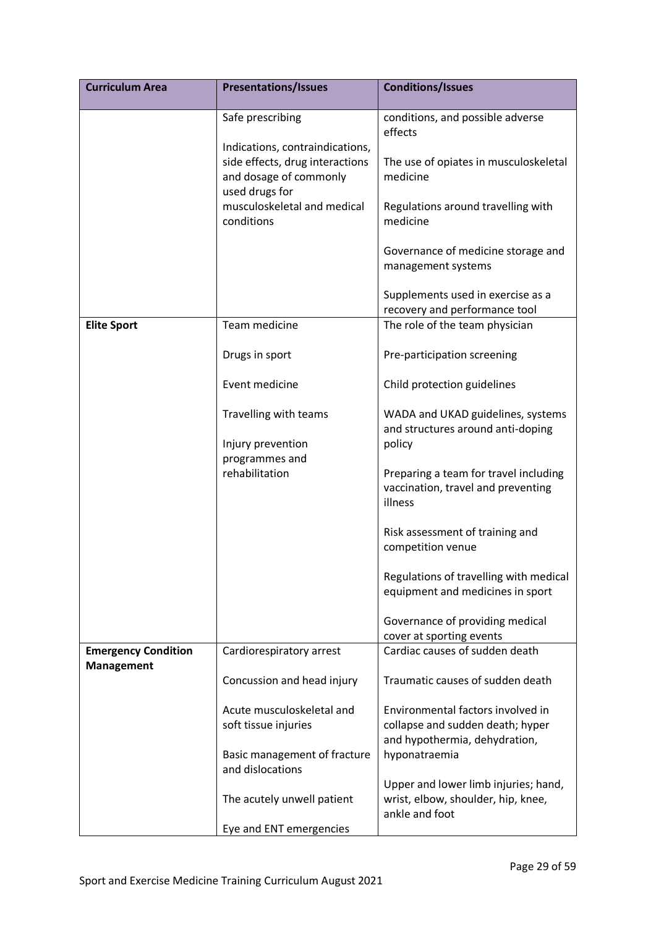| <b>Curriculum Area</b>                          | <b>Presentations/Issues</b>                                                 | <b>Conditions/Issues</b>                                                                               |
|-------------------------------------------------|-----------------------------------------------------------------------------|--------------------------------------------------------------------------------------------------------|
|                                                 | Safe prescribing<br>Indications, contraindications,                         | conditions, and possible adverse<br>effects                                                            |
|                                                 | side effects, drug interactions<br>and dosage of commonly<br>used drugs for | The use of opiates in musculoskeletal<br>medicine                                                      |
|                                                 | musculoskeletal and medical<br>conditions                                   | Regulations around travelling with<br>medicine                                                         |
|                                                 |                                                                             | Governance of medicine storage and<br>management systems                                               |
|                                                 |                                                                             | Supplements used in exercise as a<br>recovery and performance tool                                     |
| <b>Elite Sport</b>                              | Team medicine                                                               | The role of the team physician                                                                         |
|                                                 | Drugs in sport                                                              | Pre-participation screening                                                                            |
|                                                 | Event medicine                                                              | Child protection guidelines                                                                            |
|                                                 | Travelling with teams                                                       | WADA and UKAD guidelines, systems<br>and structures around anti-doping                                 |
|                                                 | Injury prevention                                                           | policy                                                                                                 |
|                                                 | programmes and<br>rehabilitation                                            | Preparing a team for travel including<br>vaccination, travel and preventing<br>illness                 |
|                                                 |                                                                             | Risk assessment of training and<br>competition venue                                                   |
|                                                 |                                                                             | Regulations of travelling with medical<br>equipment and medicines in sport                             |
|                                                 |                                                                             | Governance of providing medical<br>cover at sporting events                                            |
| <b>Emergency Condition</b><br><b>Management</b> | Cardiorespiratory arrest                                                    | Cardiac causes of sudden death                                                                         |
|                                                 | Concussion and head injury                                                  | Traumatic causes of sudden death                                                                       |
|                                                 | Acute musculoskeletal and<br>soft tissue injuries                           | Environmental factors involved in<br>collapse and sudden death; hyper<br>and hypothermia, dehydration, |
|                                                 | Basic management of fracture<br>and dislocations                            | hyponatraemia                                                                                          |
|                                                 | The acutely unwell patient                                                  | Upper and lower limb injuries; hand,<br>wrist, elbow, shoulder, hip, knee,<br>ankle and foot           |
|                                                 | Eye and ENT emergencies                                                     |                                                                                                        |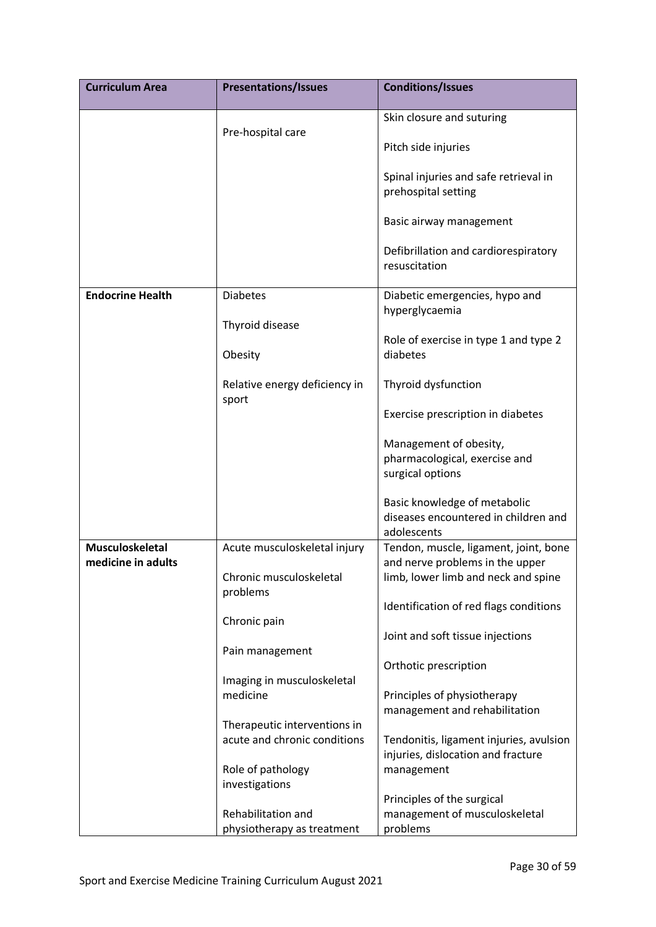| <b>Curriculum Area</b>  | <b>Presentations/Issues</b>            | <b>Conditions/Issues</b>                                                            |
|-------------------------|----------------------------------------|-------------------------------------------------------------------------------------|
|                         |                                        | Skin closure and suturing                                                           |
|                         | Pre-hospital care                      | Pitch side injuries                                                                 |
|                         |                                        | Spinal injuries and safe retrieval in<br>prehospital setting                        |
|                         |                                        | Basic airway management                                                             |
|                         |                                        | Defibrillation and cardiorespiratory<br>resuscitation                               |
| <b>Endocrine Health</b> | <b>Diabetes</b>                        | Diabetic emergencies, hypo and                                                      |
|                         | Thyroid disease                        | hyperglycaemia                                                                      |
|                         | Obesity                                | Role of exercise in type 1 and type 2<br>diabetes                                   |
|                         | Relative energy deficiency in<br>sport | Thyroid dysfunction                                                                 |
|                         |                                        | Exercise prescription in diabetes                                                   |
|                         |                                        | Management of obesity,                                                              |
|                         |                                        | pharmacological, exercise and<br>surgical options                                   |
|                         |                                        | Basic knowledge of metabolic<br>diseases encountered in children and<br>adolescents |
| <b>Musculoskeletal</b>  | Acute musculoskeletal injury           | Tendon, muscle, ligament, joint, bone                                               |
| medicine in adults      | Chronic musculoskeletal<br>problems    | and nerve problems in the upper<br>limb, lower limb and neck and spine              |
|                         |                                        | Identification of red flags conditions                                              |
|                         | Chronic pain                           |                                                                                     |
|                         | Pain management                        | Joint and soft tissue injections                                                    |
|                         |                                        | Orthotic prescription                                                               |
|                         | Imaging in musculoskeletal<br>medicine | Principles of physiotherapy                                                         |
|                         |                                        | management and rehabilitation                                                       |
|                         | Therapeutic interventions in           |                                                                                     |
|                         | acute and chronic conditions           | Tendonitis, ligament injuries, avulsion<br>injuries, dislocation and fracture       |
|                         | Role of pathology                      | management                                                                          |
|                         | investigations                         |                                                                                     |
|                         | Rehabilitation and                     | Principles of the surgical<br>management of musculoskeletal                         |
|                         | physiotherapy as treatment             | problems                                                                            |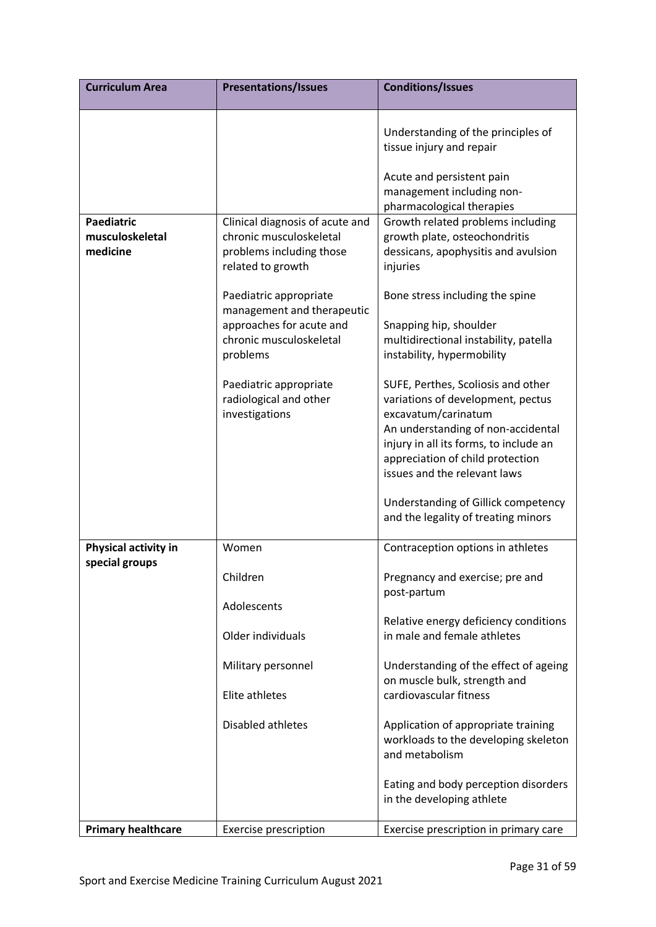| <b>Curriculum Area</b>                           | <b>Presentations/Issues</b>                                                                                                                                         | <b>Conditions/Issues</b>                                                                                                                                                                                                                                                                                                                                                                        |
|--------------------------------------------------|---------------------------------------------------------------------------------------------------------------------------------------------------------------------|-------------------------------------------------------------------------------------------------------------------------------------------------------------------------------------------------------------------------------------------------------------------------------------------------------------------------------------------------------------------------------------------------|
|                                                  |                                                                                                                                                                     | Understanding of the principles of<br>tissue injury and repair                                                                                                                                                                                                                                                                                                                                  |
|                                                  |                                                                                                                                                                     | Acute and persistent pain<br>management including non-<br>pharmacological therapies                                                                                                                                                                                                                                                                                                             |
| <b>Paediatric</b><br>musculoskeletal<br>medicine | Clinical diagnosis of acute and<br>chronic musculoskeletal<br>problems including those<br>related to growth<br>Paediatric appropriate<br>management and therapeutic | Growth related problems including<br>growth plate, osteochondritis<br>dessicans, apophysitis and avulsion<br>injuries<br>Bone stress including the spine                                                                                                                                                                                                                                        |
|                                                  | approaches for acute and<br>chronic musculoskeletal<br>problems                                                                                                     | Snapping hip, shoulder<br>multidirectional instability, patella<br>instability, hypermobility                                                                                                                                                                                                                                                                                                   |
|                                                  | Paediatric appropriate<br>radiological and other<br>investigations                                                                                                  | SUFE, Perthes, Scoliosis and other<br>variations of development, pectus<br>excavatum/carinatum<br>An understanding of non-accidental<br>injury in all its forms, to include an<br>appreciation of child protection<br>issues and the relevant laws<br>Understanding of Gillick competency<br>and the legality of treating minors                                                                |
| Physical activity in<br>special groups           | Women                                                                                                                                                               | Contraception options in athletes                                                                                                                                                                                                                                                                                                                                                               |
|                                                  | Children<br>Adolescents<br>Older individuals<br>Military personnel<br>Elite athletes<br>Disabled athletes                                                           | Pregnancy and exercise; pre and<br>post-partum<br>Relative energy deficiency conditions<br>in male and female athletes<br>Understanding of the effect of ageing<br>on muscle bulk, strength and<br>cardiovascular fitness<br>Application of appropriate training<br>workloads to the developing skeleton<br>and metabolism<br>Eating and body perception disorders<br>in the developing athlete |
| <b>Primary healthcare</b>                        | <b>Exercise prescription</b>                                                                                                                                        | Exercise prescription in primary care                                                                                                                                                                                                                                                                                                                                                           |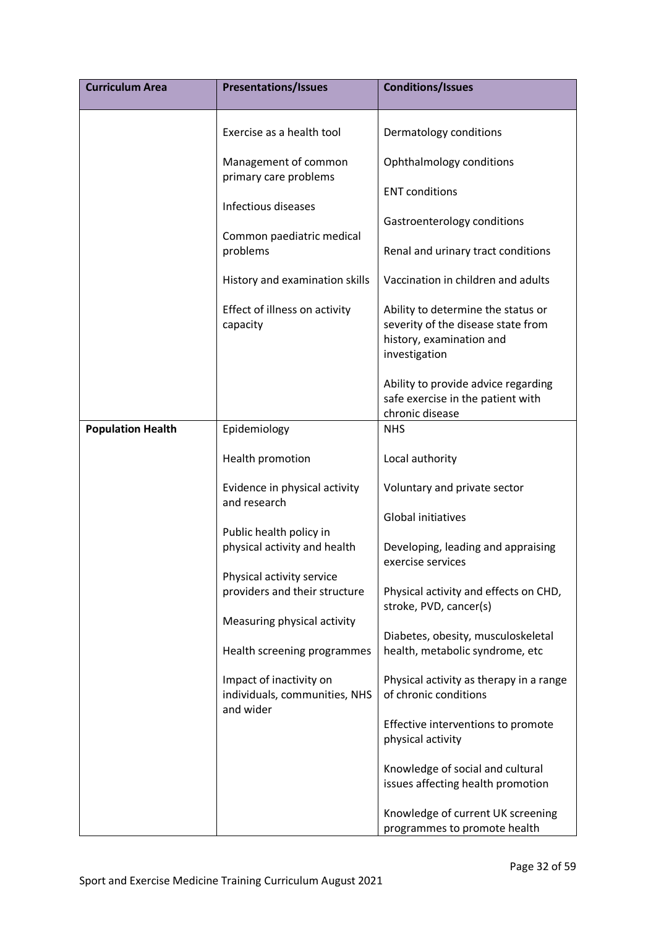| <b>Curriculum Area</b>   | <b>Presentations/Issues</b>                                           | <b>Conditions/Issues</b>                                                                                              |
|--------------------------|-----------------------------------------------------------------------|-----------------------------------------------------------------------------------------------------------------------|
|                          | Exercise as a health tool                                             | Dermatology conditions                                                                                                |
|                          | Management of common<br>primary care problems                         | Ophthalmology conditions                                                                                              |
|                          | Infectious diseases                                                   | <b>ENT conditions</b>                                                                                                 |
|                          | Common paediatric medical                                             | Gastroenterology conditions                                                                                           |
|                          | problems                                                              | Renal and urinary tract conditions                                                                                    |
|                          | History and examination skills                                        | Vaccination in children and adults                                                                                    |
|                          | Effect of illness on activity<br>capacity                             | Ability to determine the status or<br>severity of the disease state from<br>history, examination and<br>investigation |
|                          |                                                                       | Ability to provide advice regarding<br>safe exercise in the patient with<br>chronic disease                           |
| <b>Population Health</b> | Epidemiology                                                          | <b>NHS</b>                                                                                                            |
|                          | Health promotion                                                      | Local authority                                                                                                       |
|                          | Evidence in physical activity<br>and research                         | Voluntary and private sector                                                                                          |
|                          | Public health policy in                                               | Global initiatives                                                                                                    |
|                          | physical activity and health                                          | Developing, leading and appraising<br>exercise services                                                               |
|                          | Physical activity service                                             |                                                                                                                       |
|                          | providers and their structure                                         | Physical activity and effects on CHD,<br>stroke, PVD, cancer(s)                                                       |
|                          | Measuring physical activity                                           | Diabetes, obesity, musculoskeletal                                                                                    |
|                          | Health screening programmes                                           | health, metabolic syndrome, etc                                                                                       |
|                          | Impact of inactivity on<br>individuals, communities, NHS<br>and wider | Physical activity as therapy in a range<br>of chronic conditions                                                      |
|                          |                                                                       | Effective interventions to promote<br>physical activity                                                               |
|                          |                                                                       | Knowledge of social and cultural<br>issues affecting health promotion                                                 |
|                          |                                                                       | Knowledge of current UK screening<br>programmes to promote health                                                     |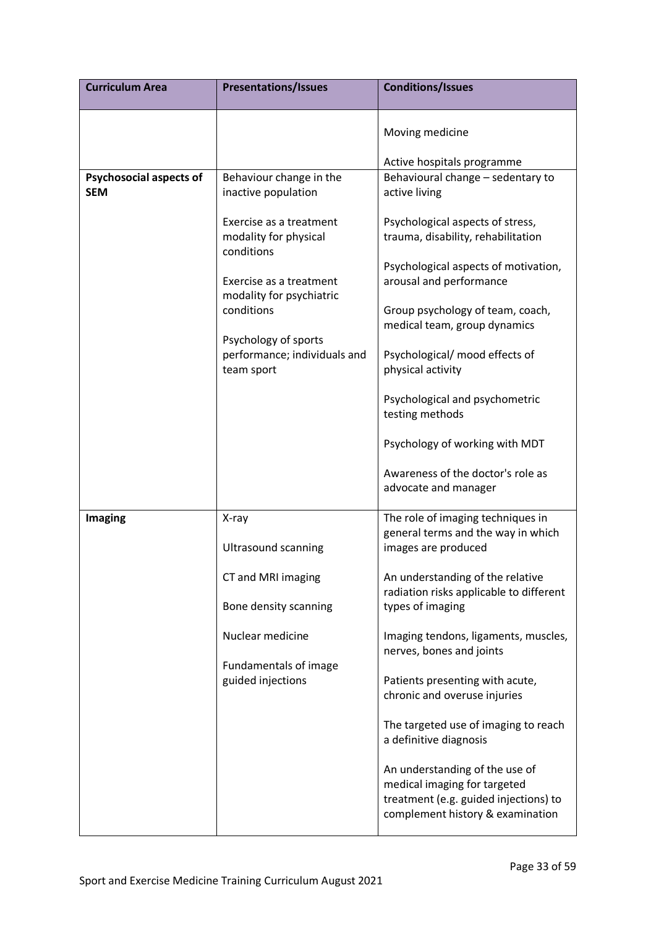| <b>Curriculum Area</b>         | <b>Presentations/Issues</b>                                        | <b>Conditions/Issues</b>                                                                                                                    |
|--------------------------------|--------------------------------------------------------------------|---------------------------------------------------------------------------------------------------------------------------------------------|
|                                |                                                                    | Moving medicine                                                                                                                             |
|                                |                                                                    | Active hospitals programme                                                                                                                  |
| <b>Psychosocial aspects of</b> | Behaviour change in the                                            | Behavioural change - sedentary to                                                                                                           |
| <b>SEM</b>                     | inactive population                                                | active living                                                                                                                               |
|                                | Exercise as a treatment<br>modality for physical<br>conditions     | Psychological aspects of stress,<br>trauma, disability, rehabilitation<br>Psychological aspects of motivation,                              |
|                                | Exercise as a treatment<br>modality for psychiatric                | arousal and performance                                                                                                                     |
|                                | conditions                                                         | Group psychology of team, coach,<br>medical team, group dynamics                                                                            |
|                                | Psychology of sports<br>performance; individuals and<br>team sport | Psychological/ mood effects of<br>physical activity                                                                                         |
|                                |                                                                    | Psychological and psychometric<br>testing methods                                                                                           |
|                                |                                                                    | Psychology of working with MDT                                                                                                              |
|                                |                                                                    | Awareness of the doctor's role as<br>advocate and manager                                                                                   |
| <b>Imaging</b>                 | X-ray<br><b>Ultrasound scanning</b>                                | The role of imaging techniques in<br>general terms and the way in which<br>images are produced                                              |
|                                | CT and MRI imaging                                                 | An understanding of the relative<br>radiation risks applicable to different                                                                 |
|                                | Bone density scanning                                              | types of imaging                                                                                                                            |
|                                | Nuclear medicine                                                   | Imaging tendons, ligaments, muscles,<br>nerves, bones and joints                                                                            |
|                                | Fundamentals of image<br>guided injections                         | Patients presenting with acute,<br>chronic and overuse injuries                                                                             |
|                                |                                                                    | The targeted use of imaging to reach<br>a definitive diagnosis                                                                              |
|                                |                                                                    | An understanding of the use of<br>medical imaging for targeted<br>treatment (e.g. guided injections) to<br>complement history & examination |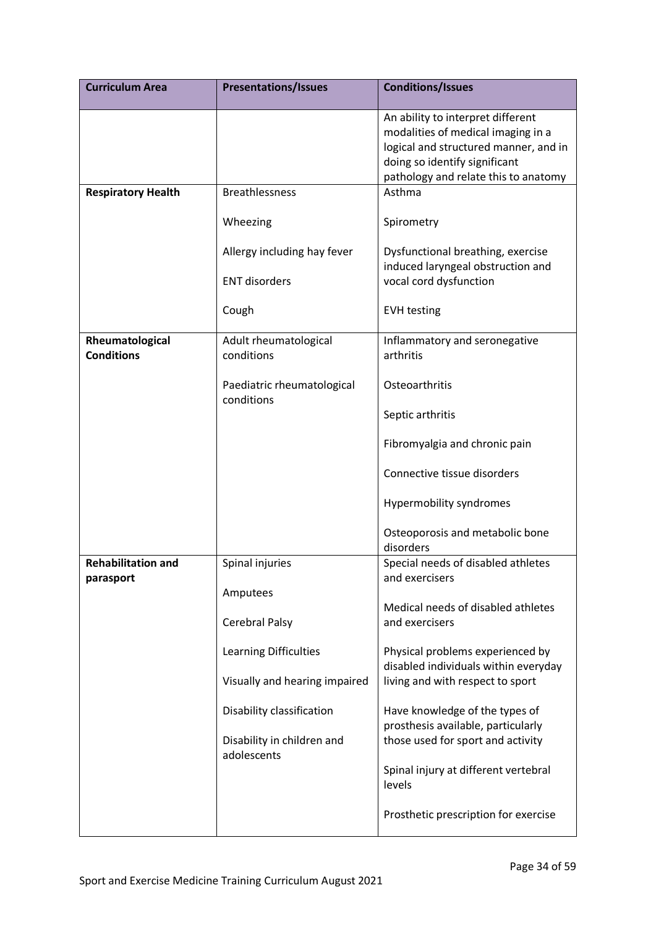| <b>Curriculum Area</b>                 | <b>Presentations/Issues</b>               | <b>Conditions/Issues</b>                                                                                                                                                                  |
|----------------------------------------|-------------------------------------------|-------------------------------------------------------------------------------------------------------------------------------------------------------------------------------------------|
|                                        |                                           | An ability to interpret different<br>modalities of medical imaging in a<br>logical and structured manner, and in<br>doing so identify significant<br>pathology and relate this to anatomy |
| <b>Respiratory Health</b>              | <b>Breathlessness</b>                     | Asthma                                                                                                                                                                                    |
|                                        | Wheezing                                  | Spirometry                                                                                                                                                                                |
|                                        | Allergy including hay fever               | Dysfunctional breathing, exercise                                                                                                                                                         |
|                                        | <b>ENT disorders</b>                      | induced laryngeal obstruction and<br>vocal cord dysfunction                                                                                                                               |
|                                        | Cough                                     | <b>EVH testing</b>                                                                                                                                                                        |
| Rheumatological<br><b>Conditions</b>   | Adult rheumatological<br>conditions       | Inflammatory and seronegative<br>arthritis                                                                                                                                                |
|                                        | Paediatric rheumatological<br>conditions  | Osteoarthritis                                                                                                                                                                            |
|                                        |                                           | Septic arthritis                                                                                                                                                                          |
|                                        |                                           | Fibromyalgia and chronic pain                                                                                                                                                             |
|                                        |                                           | Connective tissue disorders                                                                                                                                                               |
|                                        |                                           | Hypermobility syndromes                                                                                                                                                                   |
|                                        |                                           | Osteoporosis and metabolic bone<br>disorders                                                                                                                                              |
| <b>Rehabilitation and</b><br>parasport | Spinal injuries                           | Special needs of disabled athletes<br>and exercisers                                                                                                                                      |
|                                        | Amputees                                  |                                                                                                                                                                                           |
|                                        | Cerebral Palsy                            | Medical needs of disabled athletes<br>and exercisers                                                                                                                                      |
|                                        | Learning Difficulties                     | Physical problems experienced by<br>disabled individuals within everyday                                                                                                                  |
|                                        | Visually and hearing impaired             | living and with respect to sport                                                                                                                                                          |
|                                        | Disability classification                 | Have knowledge of the types of<br>prosthesis available, particularly                                                                                                                      |
|                                        | Disability in children and<br>adolescents | those used for sport and activity                                                                                                                                                         |
|                                        |                                           | Spinal injury at different vertebral<br>levels                                                                                                                                            |
|                                        |                                           | Prosthetic prescription for exercise                                                                                                                                                      |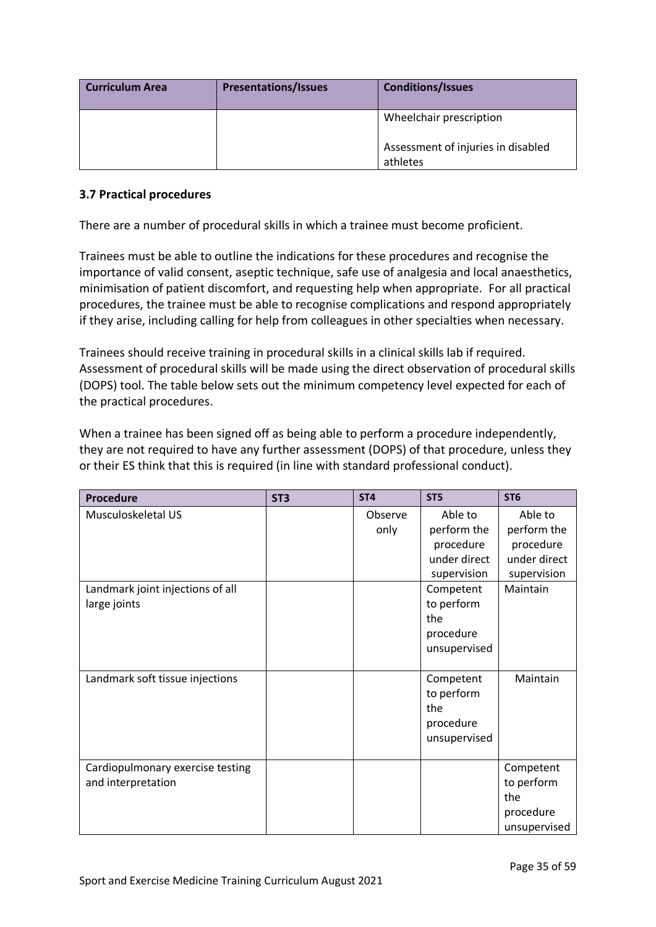| <b>Curriculum Area</b> | <b>Presentations/Issues</b> | <b>Conditions/Issues</b>                       |
|------------------------|-----------------------------|------------------------------------------------|
|                        |                             | Wheelchair prescription                        |
|                        |                             | Assessment of injuries in disabled<br>athletes |

## <span id="page-34-0"></span>**3.7 Practical procedures**

There are a number of procedural skills in which a trainee must become proficient.

Trainees must be able to outline the indications for these procedures and recognise the importance of valid consent, aseptic technique, safe use of analgesia and local anaesthetics, minimisation of patient discomfort, and requesting help when appropriate. For all practical procedures, the trainee must be able to recognise complications and respond appropriately if they arise, including calling for help from colleagues in other specialties when necessary.

Trainees should receive training in procedural skills in a clinical skills lab if required. Assessment of procedural skills will be made using the direct observation of procedural skills (DOPS) tool. The table below sets out the minimum competency level expected for each of the practical procedures.

When a trainee has been signed off as being able to perform a procedure independently, they are not required to have any further assessment (DOPS) of that procedure, unless they or their ES think that this is required (in line with standard professional conduct).

| <b>Procedure</b>                 | ST <sub>3</sub> | ST <sub>4</sub> | ST <sub>5</sub> | ST <sub>6</sub> |
|----------------------------------|-----------------|-----------------|-----------------|-----------------|
| Musculoskeletal US               |                 | Observe         | Able to         | Able to         |
|                                  |                 | only            | perform the     | perform the     |
|                                  |                 |                 | procedure       | procedure       |
|                                  |                 |                 | under direct    | under direct    |
|                                  |                 |                 | supervision     | supervision     |
| Landmark joint injections of all |                 |                 | Competent       | Maintain        |
| large joints                     |                 |                 | to perform      |                 |
|                                  |                 |                 | the             |                 |
|                                  |                 |                 | procedure       |                 |
|                                  |                 |                 | unsupervised    |                 |
|                                  |                 |                 |                 |                 |
| Landmark soft tissue injections  |                 |                 | Competent       | Maintain        |
|                                  |                 |                 | to perform      |                 |
|                                  |                 |                 | the             |                 |
|                                  |                 |                 | procedure       |                 |
|                                  |                 |                 | unsupervised    |                 |
|                                  |                 |                 |                 |                 |
| Cardiopulmonary exercise testing |                 |                 |                 | Competent       |
| and interpretation               |                 |                 |                 | to perform      |
|                                  |                 |                 |                 | the             |
|                                  |                 |                 |                 | procedure       |
|                                  |                 |                 |                 | unsupervised    |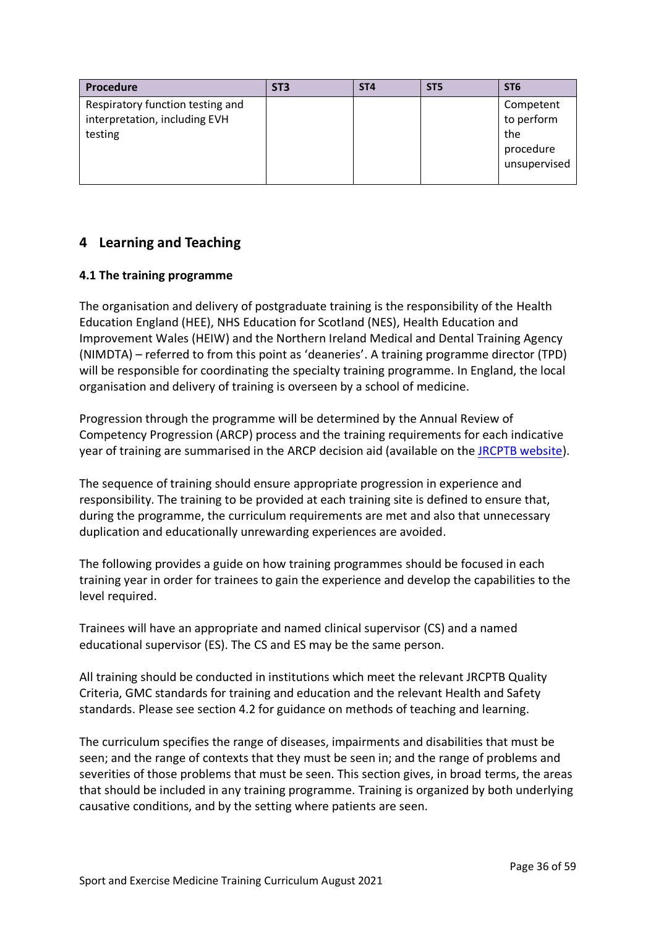| <b>Procedure</b>                                                             | ST <sub>3</sub> | ST <sub>4</sub> | ST <sub>5</sub> | ST <sub>6</sub>                                             |
|------------------------------------------------------------------------------|-----------------|-----------------|-----------------|-------------------------------------------------------------|
| Respiratory function testing and<br>interpretation, including EVH<br>testing |                 |                 |                 | Competent<br>to perform<br>the<br>procedure<br>unsupervised |

# <span id="page-35-0"></span>**4 Learning and Teaching**

## <span id="page-35-1"></span>**4.1 The training programme**

The organisation and delivery of postgraduate training is the responsibility of the Health Education England (HEE), NHS Education for Scotland (NES), Health Education and Improvement Wales (HEIW) and the Northern Ireland Medical and Dental Training Agency (NIMDTA) – referred to from this point as 'deaneries'. A training programme director (TPD) will be responsible for coordinating the specialty training programme. In England, the local organisation and delivery of training is overseen by a school of medicine.

Progression through the programme will be determined by the Annual Review of Competency Progression (ARCP) process and the training requirements for each indicative year of training are summarised in the ARCP decision aid (available on the [JRCPTB website\)](http://www.jrcptb.org.uk/).

The sequence of training should ensure appropriate progression in experience and responsibility. The training to be provided at each training site is defined to ensure that, during the programme, the curriculum requirements are met and also that unnecessary duplication and educationally unrewarding experiences are avoided.

The following provides a guide on how training programmes should be focused in each training year in order for trainees to gain the experience and develop the capabilities to the level required.

Trainees will have an appropriate and named clinical supervisor (CS) and a named educational supervisor (ES). The CS and ES may be the same person.

All training should be conducted in institutions which meet the relevant JRCPTB Quality Criteria, GMC standards for training and education and the relevant Health and Safety standards. Please see section 4.2 for guidance on methods of teaching and learning.

The curriculum specifies the range of diseases, impairments and disabilities that must be seen; and the range of contexts that they must be seen in; and the range of problems and severities of those problems that must be seen. This section gives, in broad terms, the areas that should be included in any training programme. Training is organized by both underlying causative conditions, and by the setting where patients are seen.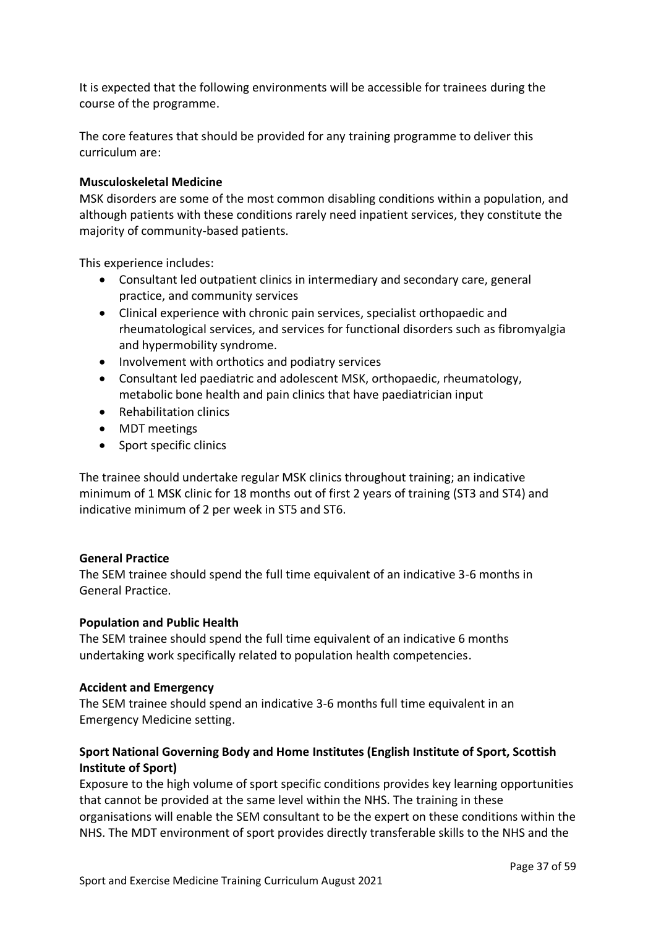It is expected that the following environments will be accessible for trainees during the course of the programme.

The core features that should be provided for any training programme to deliver this curriculum are:

### **Musculoskeletal Medicine**

MSK disorders are some of the most common disabling conditions within a population, and although patients with these conditions rarely need inpatient services, they constitute the majority of community-based patients.

This experience includes:

- Consultant led outpatient clinics in intermediary and secondary care, general practice, and community services
- Clinical experience with chronic pain services, specialist orthopaedic and rheumatological services, and services for functional disorders such as fibromyalgia and hypermobility syndrome.
- Involvement with orthotics and podiatry services
- Consultant led paediatric and adolescent MSK, orthopaedic, rheumatology, metabolic bone health and pain clinics that have paediatrician input
- Rehabilitation clinics
- MDT meetings
- Sport specific clinics

The trainee should undertake regular MSK clinics throughout training; an indicative minimum of 1 MSK clinic for 18 months out of first 2 years of training (ST3 and ST4) and indicative minimum of 2 per week in ST5 and ST6.

#### **General Practice**

The SEM trainee should spend the full time equivalent of an indicative 3-6 months in General Practice.

#### **Population and Public Health**

The SEM trainee should spend the full time equivalent of an indicative 6 months undertaking work specifically related to population health competencies.

#### **Accident and Emergency**

The SEM trainee should spend an indicative 3-6 months full time equivalent in an Emergency Medicine setting.

## **Sport National Governing Body and Home Institutes (English Institute of Sport, Scottish Institute of Sport)**

Exposure to the high volume of sport specific conditions provides key learning opportunities that cannot be provided at the same level within the NHS. The training in these organisations will enable the SEM consultant to be the expert on these conditions within the NHS. The MDT environment of sport provides directly transferable skills to the NHS and the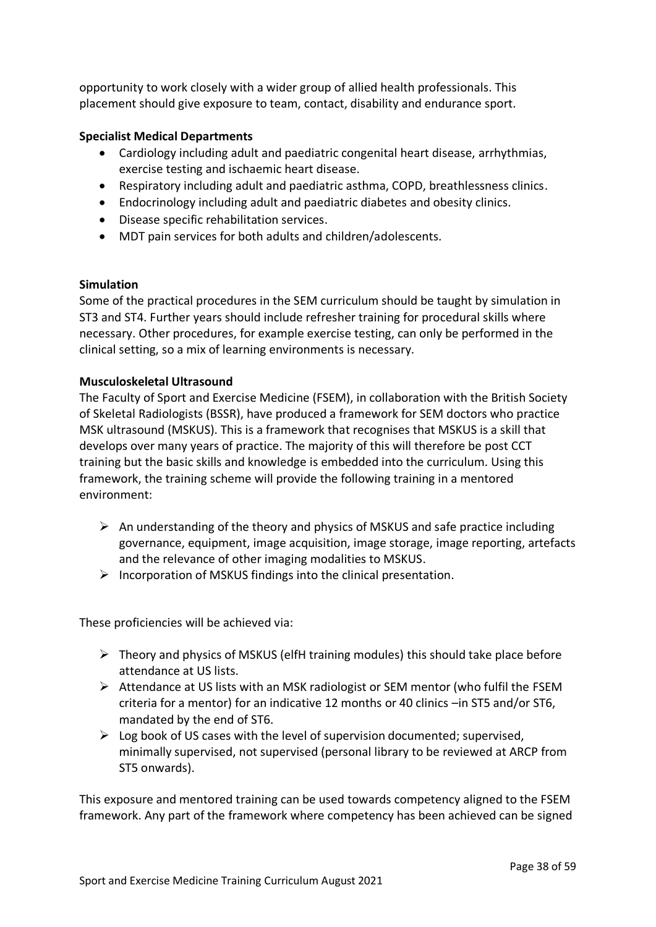opportunity to work closely with a wider group of allied health professionals. This placement should give exposure to team, contact, disability and endurance sport.

## **Specialist Medical Departments**

- Cardiology including adult and paediatric congenital heart disease, arrhythmias, exercise testing and ischaemic heart disease.
- Respiratory including adult and paediatric asthma, COPD, breathlessness clinics.
- Endocrinology including adult and paediatric diabetes and obesity clinics.
- Disease specific rehabilitation services.
- MDT pain services for both adults and children/adolescents.

## **Simulation**

Some of the practical procedures in the SEM curriculum should be taught by simulation in ST3 and ST4. Further years should include refresher training for procedural skills where necessary. Other procedures, for example exercise testing, can only be performed in the clinical setting, so a mix of learning environments is necessary.

## **Musculoskeletal Ultrasound**

The Faculty of Sport and Exercise Medicine (FSEM), in collaboration with the British Society of Skeletal Radiologists (BSSR), have produced a framework for SEM doctors who practice MSK ultrasound (MSKUS). This is a framework that recognises that MSKUS is a skill that develops over many years of practice. The majority of this will therefore be post CCT training but the basic skills and knowledge is embedded into the curriculum. Using this framework, the training scheme will provide the following training in a mentored environment:

- $\triangleright$  An understanding of the theory and physics of MSKUS and safe practice including governance, equipment, image acquisition, image storage, image reporting, artefacts and the relevance of other imaging modalities to MSKUS.
- $\triangleright$  Incorporation of MSKUS findings into the clinical presentation.

These proficiencies will be achieved via:

- ➢ Theory and physics of MSKUS (elfH training modules) this should take place before attendance at US lists.
- $\triangleright$  Attendance at US lists with an MSK radiologist or SEM mentor (who fulfil the FSEM criteria for a mentor) for an indicative 12 months or 40 clinics –in ST5 and/or ST6, mandated by the end of ST6.
- $\triangleright$  Log book of US cases with the level of supervision documented; supervised, minimally supervised, not supervised (personal library to be reviewed at ARCP from ST5 onwards).

This exposure and mentored training can be used towards competency aligned to the FSEM framework. Any part of the framework where competency has been achieved can be signed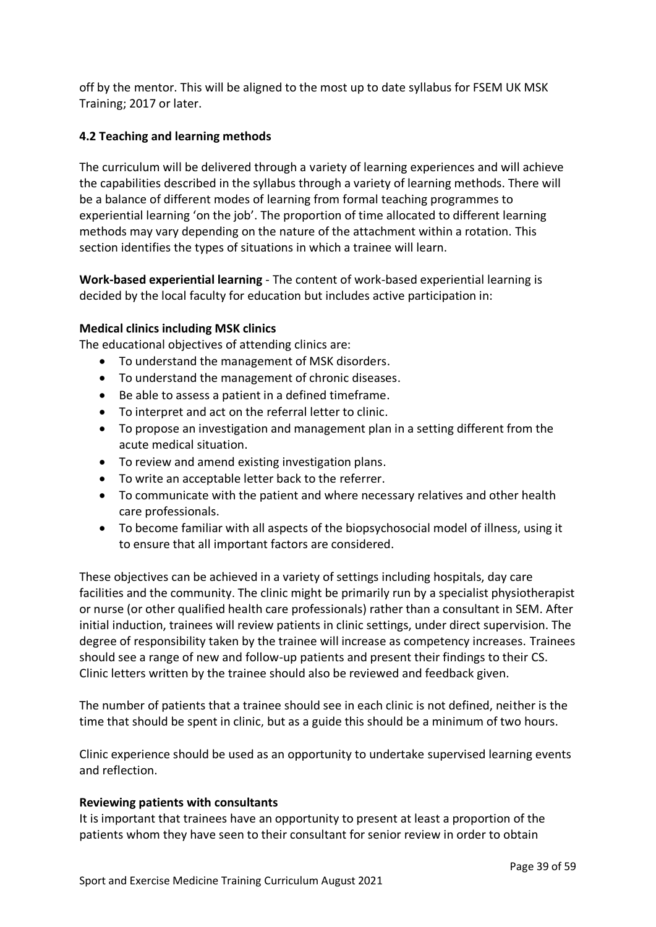off by the mentor. This will be aligned to the most up to date syllabus for FSEM UK MSK Training; 2017 or later.

## <span id="page-38-0"></span>**4.2 Teaching and learning methods**

The curriculum will be delivered through a variety of learning experiences and will achieve the capabilities described in the syllabus through a variety of learning methods. There will be a balance of different modes of learning from formal teaching programmes to experiential learning 'on the job'. The proportion of time allocated to different learning methods may vary depending on the nature of the attachment within a rotation. This section identifies the types of situations in which a trainee will learn.

**Work-based experiential learning** - The content of work-based experiential learning is decided by the local faculty for education but includes active participation in:

## **Medical clinics including MSK clinics**

The educational objectives of attending clinics are:

- To understand the management of MSK disorders.
- To understand the management of chronic diseases.
- Be able to assess a patient in a defined timeframe.
- To interpret and act on the referral letter to clinic.
- To propose an investigation and management plan in a setting different from the acute medical situation.
- To review and amend existing investigation plans.
- To write an acceptable letter back to the referrer.
- To communicate with the patient and where necessary relatives and other health care professionals.
- To become familiar with all aspects of the biopsychosocial model of illness, using it to ensure that all important factors are considered.

These objectives can be achieved in a variety of settings including hospitals, day care facilities and the community. The clinic might be primarily run by a specialist physiotherapist or nurse (or other qualified health care professionals) rather than a consultant in SEM. After initial induction, trainees will review patients in clinic settings, under direct supervision. The degree of responsibility taken by the trainee will increase as competency increases. Trainees should see a range of new and follow-up patients and present their findings to their CS. Clinic letters written by the trainee should also be reviewed and feedback given.

The number of patients that a trainee should see in each clinic is not defined, neither is the time that should be spent in clinic, but as a guide this should be a minimum of two hours.

Clinic experience should be used as an opportunity to undertake supervised learning events and reflection.

#### **Reviewing patients with consultants**

It is important that trainees have an opportunity to present at least a proportion of the patients whom they have seen to their consultant for senior review in order to obtain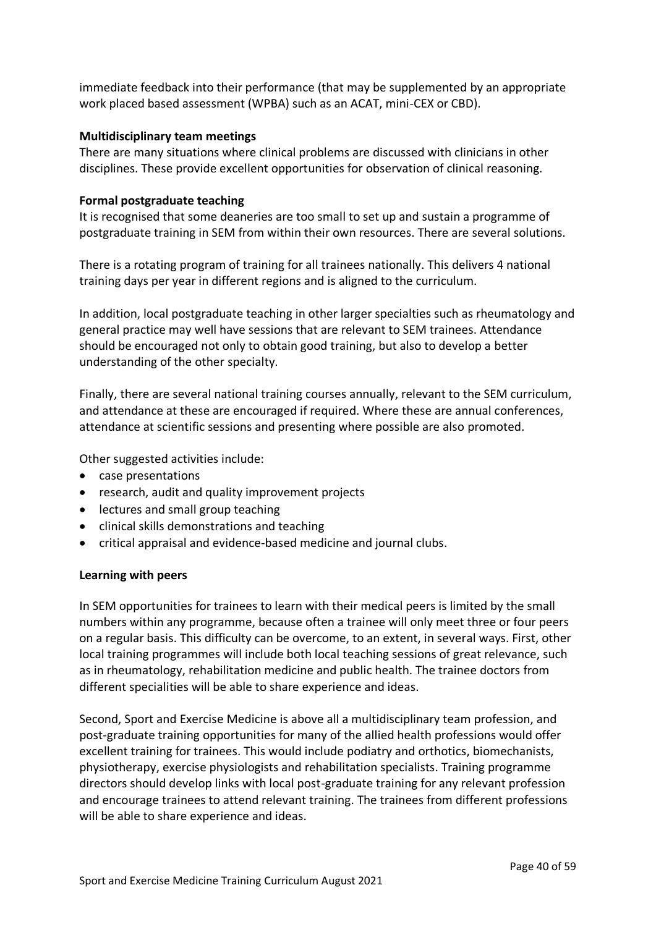immediate feedback into their performance (that may be supplemented by an appropriate work placed based assessment (WPBA) such as an ACAT, mini-CEX or CBD).

#### **Multidisciplinary team meetings**

There are many situations where clinical problems are discussed with clinicians in other disciplines. These provide excellent opportunities for observation of clinical reasoning.

### **Formal postgraduate teaching**

It is recognised that some deaneries are too small to set up and sustain a programme of postgraduate training in SEM from within their own resources. There are several solutions.

There is a rotating program of training for all trainees nationally. This delivers 4 national training days per year in different regions and is aligned to the curriculum.

In addition, local postgraduate teaching in other larger specialties such as rheumatology and general practice may well have sessions that are relevant to SEM trainees. Attendance should be encouraged not only to obtain good training, but also to develop a better understanding of the other specialty.

Finally, there are several national training courses annually, relevant to the SEM curriculum, and attendance at these are encouraged if required. Where these are annual conferences, attendance at scientific sessions and presenting where possible are also promoted.

Other suggested activities include:

- case presentations
- research, audit and quality improvement projects
- lectures and small group teaching
- clinical skills demonstrations and teaching
- critical appraisal and evidence-based medicine and journal clubs.

## **Learning with peers**

In SEM opportunities for trainees to learn with their medical peers is limited by the small numbers within any programme, because often a trainee will only meet three or four peers on a regular basis. This difficulty can be overcome, to an extent, in several ways. First, other local training programmes will include both local teaching sessions of great relevance, such as in rheumatology, rehabilitation medicine and public health. The trainee doctors from different specialities will be able to share experience and ideas.

Second, Sport and Exercise Medicine is above all a multidisciplinary team profession, and post-graduate training opportunities for many of the allied health professions would offer excellent training for trainees. This would include podiatry and orthotics, biomechanists, physiotherapy, exercise physiologists and rehabilitation specialists. Training programme directors should develop links with local post-graduate training for any relevant profession and encourage trainees to attend relevant training. The trainees from different professions will be able to share experience and ideas.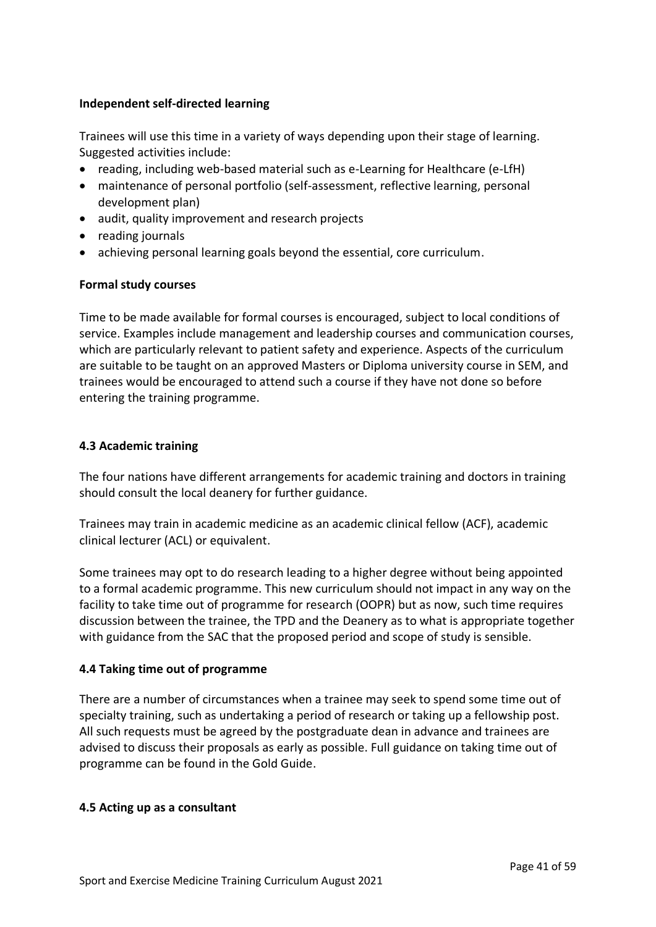## **Independent self-directed learning**

Trainees will use this time in a variety of ways depending upon their stage of learning. Suggested activities include:

- reading, including web-based material such as e-Learning for Healthcare (e-LfH)
- maintenance of personal portfolio (self-assessment, reflective learning, personal development plan)
- audit, quality improvement and research projects
- reading journals
- achieving personal learning goals beyond the essential, core curriculum.

## **Formal study courses**

Time to be made available for formal courses is encouraged, subject to local conditions of service. Examples include management and leadership courses and communication courses, which are particularly relevant to patient safety and experience. Aspects of the curriculum are suitable to be taught on an approved Masters or Diploma university course in SEM, and trainees would be encouraged to attend such a course if they have not done so before entering the training programme.

## <span id="page-40-0"></span>**4.3 Academic training**

The four nations have different arrangements for academic training and doctors in training should consult the local deanery for further guidance.

Trainees may train in academic medicine as an academic clinical fellow (ACF), academic clinical lecturer (ACL) or equivalent.

Some trainees may opt to do research leading to a higher degree without being appointed to a formal academic programme. This new curriculum should not impact in any way on the facility to take time out of programme for research (OOPR) but as now, such time requires discussion between the trainee, the TPD and the Deanery as to what is appropriate together with guidance from the SAC that the proposed period and scope of study is sensible.

## <span id="page-40-1"></span>**4.4 Taking time out of programme**

There are a number of circumstances when a trainee may seek to spend some time out of specialty training, such as undertaking a period of research or taking up a fellowship post. All such requests must be agreed by the postgraduate dean in advance and trainees are advised to discuss their proposals as early as possible. Full guidance on taking time out of programme can be found in the Gold Guide.

## <span id="page-40-2"></span>**4.5 Acting up as a consultant**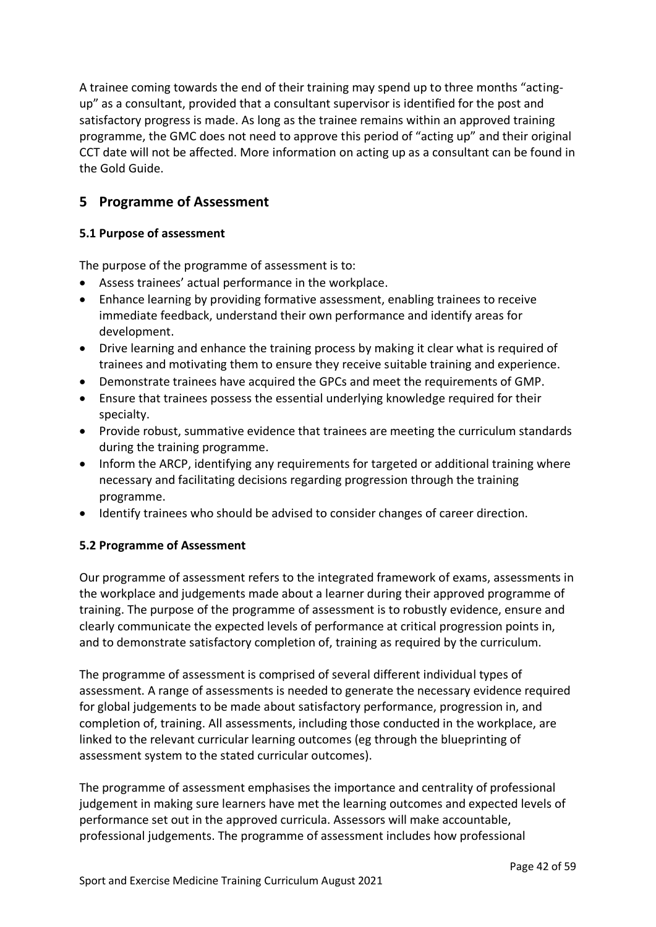A trainee coming towards the end of their training may spend up to three months "actingup" as a consultant, provided that a consultant supervisor is identified for the post and satisfactory progress is made. As long as the trainee remains within an approved training programme, the GMC does not need to approve this period of "acting up" and their original CCT date will not be affected. More information on acting up as a consultant can be found in the Gold Guide.

# <span id="page-41-0"></span>**5 Programme of Assessment**

## <span id="page-41-1"></span>**5.1 Purpose of assessment**

The purpose of the programme of assessment is to:

- Assess trainees' actual performance in the workplace.
- Enhance learning by providing formative assessment, enabling trainees to receive immediate feedback, understand their own performance and identify areas for development.
- Drive learning and enhance the training process by making it clear what is required of trainees and motivating them to ensure they receive suitable training and experience.
- Demonstrate trainees have acquired the GPCs and meet the requirements of GMP.
- Ensure that trainees possess the essential underlying knowledge required for their specialty.
- Provide robust, summative evidence that trainees are meeting the curriculum standards during the training programme.
- Inform the ARCP, identifying any requirements for targeted or additional training where necessary and facilitating decisions regarding progression through the training programme.
- Identify trainees who should be advised to consider changes of career direction.

## <span id="page-41-2"></span>**5.2 Programme of Assessment**

Our programme of assessment refers to the integrated framework of exams, assessments in the workplace and judgements made about a learner during their approved programme of training. The purpose of the programme of assessment is to robustly evidence, ensure and clearly communicate the expected levels of performance at critical progression points in, and to demonstrate satisfactory completion of, training as required by the curriculum.

The programme of assessment is comprised of several different individual types of assessment. A range of assessments is needed to generate the necessary evidence required for global judgements to be made about satisfactory performance, progression in, and completion of, training. All assessments, including those conducted in the workplace, are linked to the relevant curricular learning outcomes (eg through the blueprinting of assessment system to the stated curricular outcomes).

The programme of assessment emphasises the importance and centrality of professional judgement in making sure learners have met the learning outcomes and expected levels of performance set out in the approved curricula. Assessors will make accountable, professional judgements. The programme of assessment includes how professional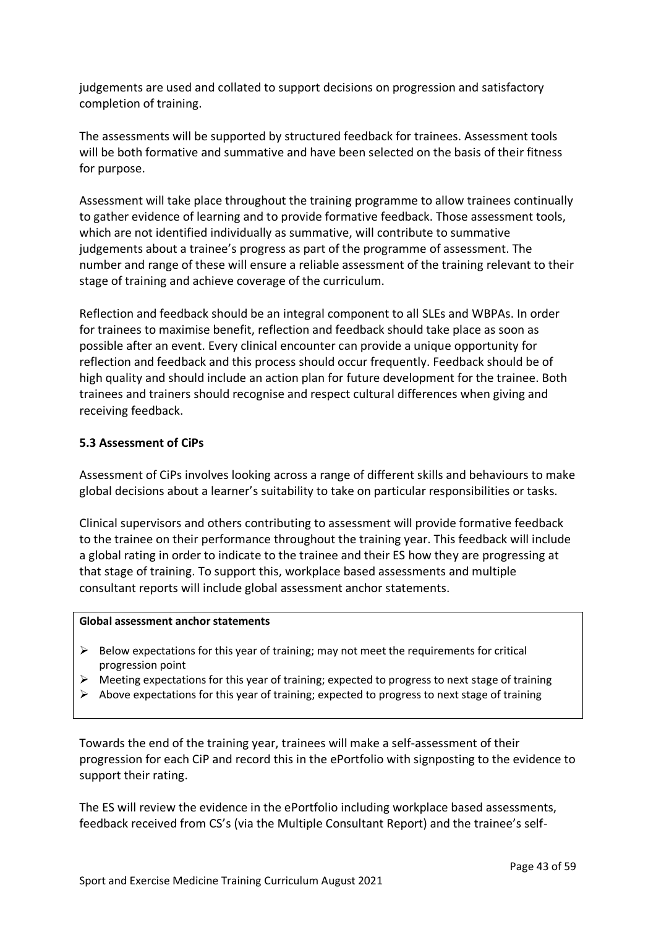judgements are used and collated to support decisions on progression and satisfactory completion of training.

The assessments will be supported by structured feedback for trainees. Assessment tools will be both formative and summative and have been selected on the basis of their fitness for purpose.

Assessment will take place throughout the training programme to allow trainees continually to gather evidence of learning and to provide formative feedback. Those assessment tools, which are not identified individually as summative, will contribute to summative judgements about a trainee's progress as part of the programme of assessment. The number and range of these will ensure a reliable assessment of the training relevant to their stage of training and achieve coverage of the curriculum.

Reflection and feedback should be an integral component to all SLEs and WBPAs. In order for trainees to maximise benefit, reflection and feedback should take place as soon as possible after an event. Every clinical encounter can provide a unique opportunity for reflection and feedback and this process should occur frequently. Feedback should be of high quality and should include an action plan for future development for the trainee. Both trainees and trainers should recognise and respect cultural differences when giving and receiving feedback.

## <span id="page-42-0"></span>**5.3 Assessment of CiPs**

Assessment of CiPs involves looking across a range of different skills and behaviours to make global decisions about a learner's suitability to take on particular responsibilities or tasks.

Clinical supervisors and others contributing to assessment will provide formative feedback to the trainee on their performance throughout the training year. This feedback will include a global rating in order to indicate to the trainee and their ES how they are progressing at that stage of training. To support this, workplace based assessments and multiple consultant reports will include global assessment anchor statements.

#### **Global assessment anchor statements**

- $\triangleright$  Below expectations for this year of training; may not meet the requirements for critical progression point
- ➢ Meeting expectations for this year of training; expected to progress to next stage of training
- $\triangleright$  Above expectations for this year of training; expected to progress to next stage of training

Towards the end of the training year, trainees will make a self-assessment of their progression for each CiP and record this in the ePortfolio with signposting to the evidence to support their rating.

The ES will review the evidence in the ePortfolio including workplace based assessments, feedback received from CS's (via the Multiple Consultant Report) and the trainee's self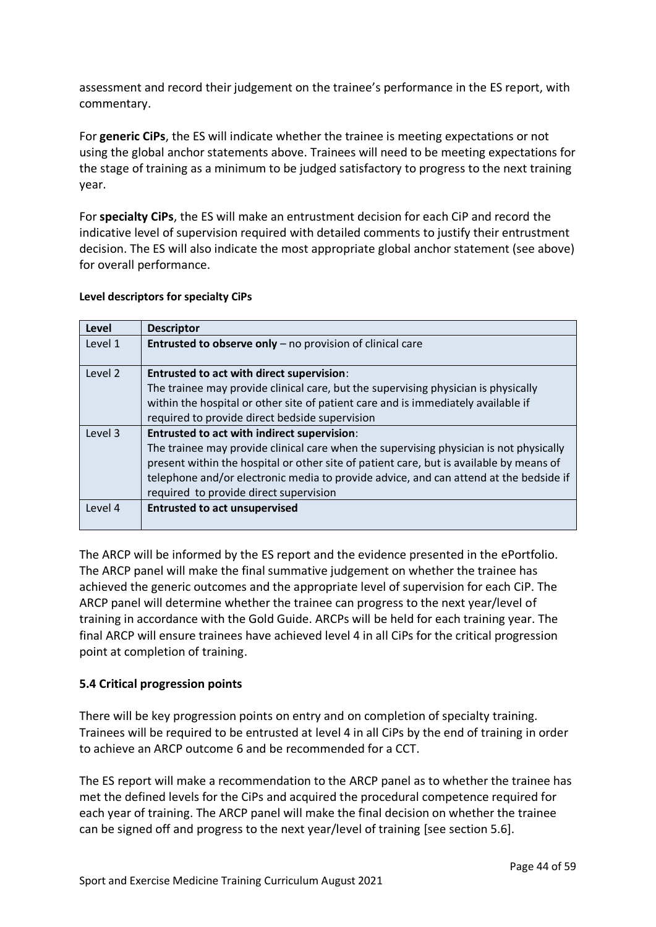assessment and record their judgement on the trainee's performance in the ES report, with commentary.

For **generic CiPs**, the ES will indicate whether the trainee is meeting expectations or not using the global anchor statements above. Trainees will need to be meeting expectations for the stage of training as a minimum to be judged satisfactory to progress to the next training year.

For **specialty CiPs**, the ES will make an entrustment decision for each CiP and record the indicative level of supervision required with detailed comments to justify their entrustment decision. The ES will also indicate the most appropriate global anchor statement (see above) for overall performance.

#### **Level descriptors for specialty CiPs**

| Level   | <b>Descriptor</b>                                                                       |
|---------|-----------------------------------------------------------------------------------------|
| Level 1 | <b>Entrusted to observe only</b> $-$ no provision of clinical care                      |
| Level 2 | <b>Entrusted to act with direct supervision:</b>                                        |
|         | The trainee may provide clinical care, but the supervising physician is physically      |
|         | within the hospital or other site of patient care and is immediately available if       |
|         | required to provide direct bedside supervision                                          |
| Level 3 | <b>Entrusted to act with indirect supervision:</b>                                      |
|         | The trainee may provide clinical care when the supervising physician is not physically  |
|         | present within the hospital or other site of patient care, but is available by means of |
|         | telephone and/or electronic media to provide advice, and can attend at the bedside if   |
|         | required to provide direct supervision                                                  |
| Level 4 | <b>Entrusted to act unsupervised</b>                                                    |

The ARCP will be informed by the ES report and the evidence presented in the ePortfolio. The ARCP panel will make the final summative judgement on whether the trainee has achieved the generic outcomes and the appropriate level of supervision for each CiP. The ARCP panel will determine whether the trainee can progress to the next year/level of training in accordance with the Gold Guide. ARCPs will be held for each training year. The final ARCP will ensure trainees have achieved level 4 in all CiPs for the critical progression point at completion of training.

## <span id="page-43-0"></span>**5.4 Critical progression points**

There will be key progression points on entry and on completion of specialty training. Trainees will be required to be entrusted at level 4 in all CiPs by the end of training in order to achieve an ARCP outcome 6 and be recommended for a CCT.

The ES report will make a recommendation to the ARCP panel as to whether the trainee has met the defined levels for the CiPs and acquired the procedural competence required for each year of training. The ARCP panel will make the final decision on whether the trainee can be signed off and progress to the next year/level of training [see section 5.6].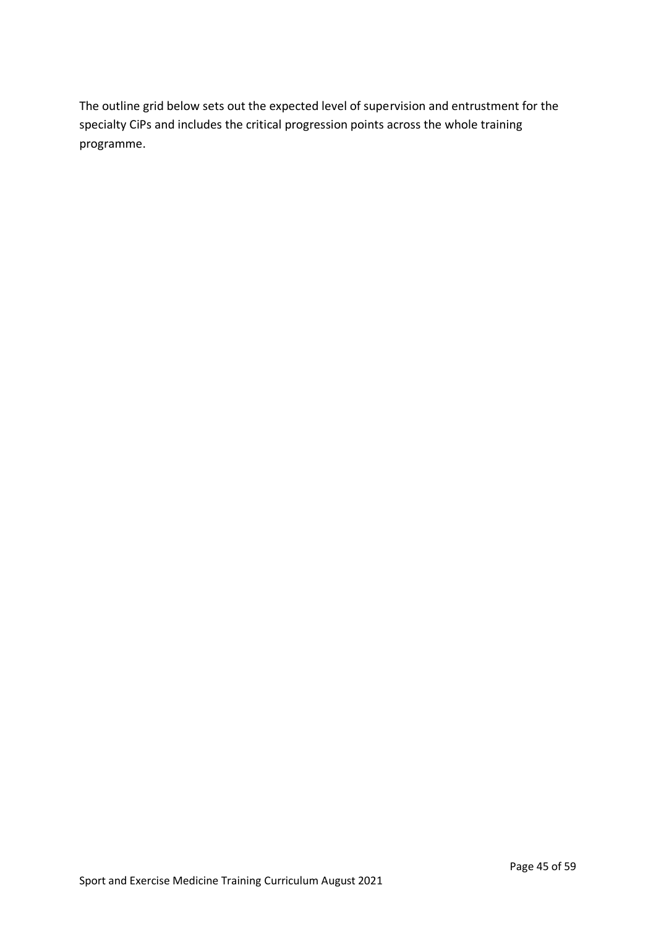The outline grid below sets out the expected level of supervision and entrustment for the specialty CiPs and includes the critical progression points across the whole training programme.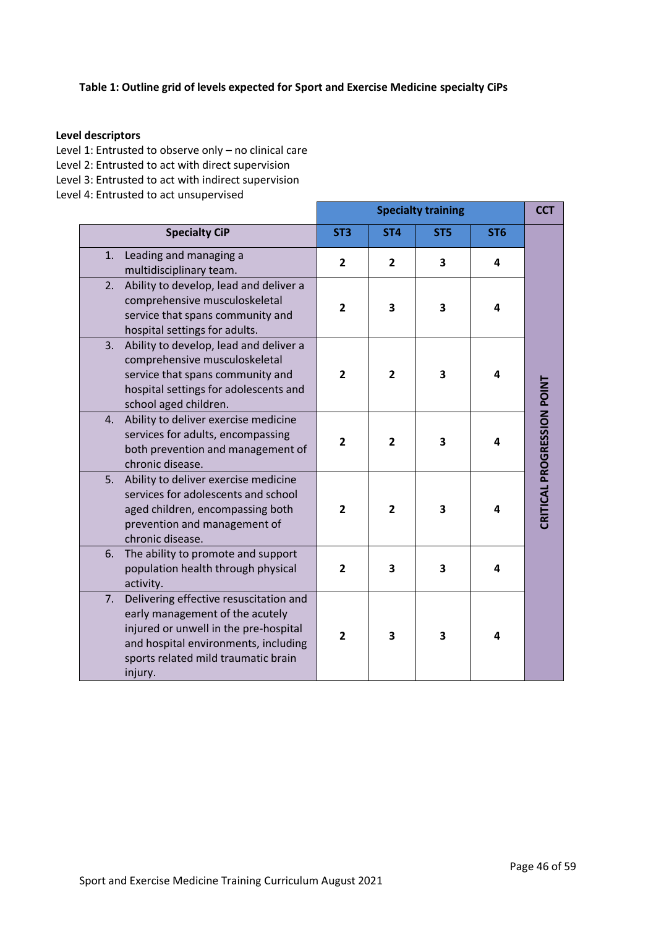## **Table 1: Outline grid of levels expected for Sport and Exercise Medicine specialty CiPs**

#### **Level descriptors**

Level 1: Entrusted to observe only – no clinical care

Level 2: Entrusted to act with direct supervision

Level 3: Entrusted to act with indirect supervision

Level 4: Entrusted to act unsupervised

|    |                                                                                                                                                                                                              |                 | <b>CCT</b>      |                         |                 |                            |
|----|--------------------------------------------------------------------------------------------------------------------------------------------------------------------------------------------------------------|-----------------|-----------------|-------------------------|-----------------|----------------------------|
|    | <b>Specialty CiP</b>                                                                                                                                                                                         | ST <sub>3</sub> | ST <sub>4</sub> | ST <sub>5</sub>         | ST <sub>6</sub> |                            |
| 1. | Leading and managing a<br>multidisciplinary team.                                                                                                                                                            | $\overline{2}$  | $\overline{2}$  | 3                       | 4               |                            |
| 2. | Ability to develop, lead and deliver a<br>comprehensive musculoskeletal<br>service that spans community and<br>hospital settings for adults.                                                                 | $\overline{2}$  | 3               | 3                       | 4               |                            |
| 3. | Ability to develop, lead and deliver a<br>comprehensive musculoskeletal<br>service that spans community and<br>hospital settings for adolescents and<br>school aged children.                                | $\overline{2}$  | $\overline{2}$  | 3                       | 4               |                            |
| 4. | Ability to deliver exercise medicine<br>services for adults, encompassing<br>both prevention and management of<br>chronic disease.                                                                           | $\overline{2}$  | $\overline{2}$  | 3                       | 4               | CRITICAL PROGRESSION POINT |
| 5. | Ability to deliver exercise medicine<br>services for adolescents and school<br>aged children, encompassing both<br>prevention and management of<br>chronic disease.                                          | $\overline{2}$  | $\overline{2}$  | 3                       | 4               |                            |
| 6. | The ability to promote and support<br>population health through physical<br>activity.                                                                                                                        | $\overline{2}$  | 3               | $\overline{\mathbf{3}}$ | 4               |                            |
| 7. | Delivering effective resuscitation and<br>early management of the acutely<br>injured or unwell in the pre-hospital<br>and hospital environments, including<br>sports related mild traumatic brain<br>injury. | $\overline{2}$  | 3               | 3                       | 4               |                            |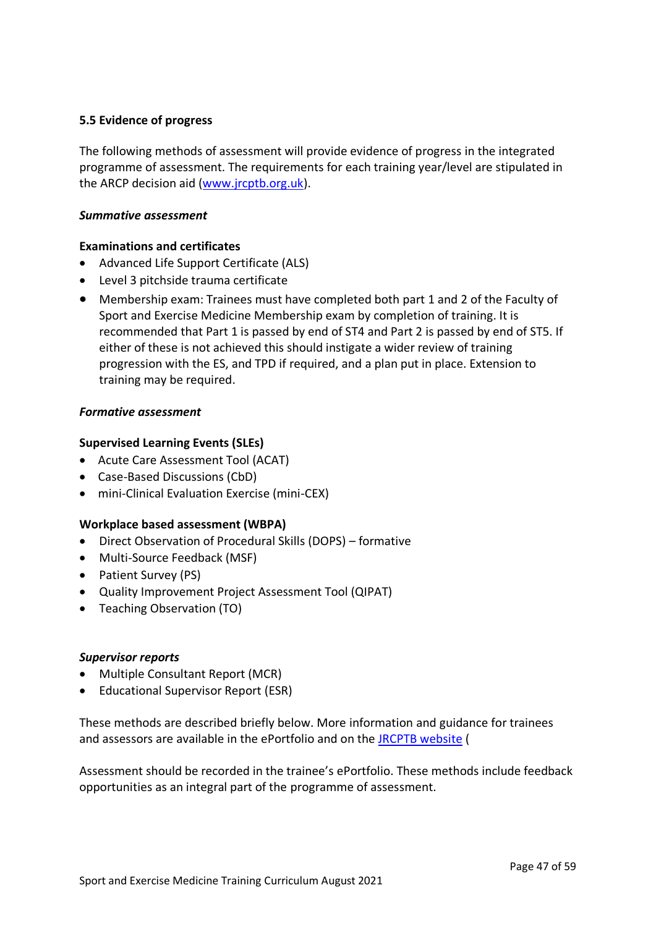## <span id="page-46-0"></span>**5.5 Evidence of progress**

The following methods of assessment will provide evidence of progress in the integrated programme of assessment. The requirements for each training year/level are stipulated in the ARCP decision aid [\(www.jrcptb.org.uk\)](http://www.jrcptb.org.uk/).

### *Summative assessment*

## **Examinations and certificates**

- Advanced Life Support Certificate (ALS)
- Level 3 pitchside trauma certificate
- Membership exam: Trainees must have completed both part 1 and 2 of the Faculty of Sport and Exercise Medicine Membership exam by completion of training. It is recommended that Part 1 is passed by end of ST4 and Part 2 is passed by end of ST5. If either of these is not achieved this should instigate a wider review of training progression with the ES, and TPD if required, and a plan put in place. Extension to training may be required.

#### *Formative assessment*

## **Supervised Learning Events (SLEs)**

- Acute Care Assessment Tool (ACAT)
- Case-Based Discussions (CbD)
- mini-Clinical Evaluation Exercise (mini-CEX)

## **Workplace based assessment (WBPA)**

- Direct Observation of Procedural Skills (DOPS) formative
- Multi-Source Feedback (MSF)
- Patient Survey (PS)
- Quality Improvement Project Assessment Tool (QIPAT)
- Teaching Observation (TO)

#### *Supervisor reports*

- Multiple Consultant Report (MCR)
- Educational Supervisor Report (ESR)

These methods are described briefly below. More information and guidance for trainees and assessors are available in the ePortfolio and on the [JRCPTB website](http://www.jrcptb.org.uk/) (

Assessment should be recorded in the trainee's ePortfolio. These methods include feedback opportunities as an integral part of the programme of assessment.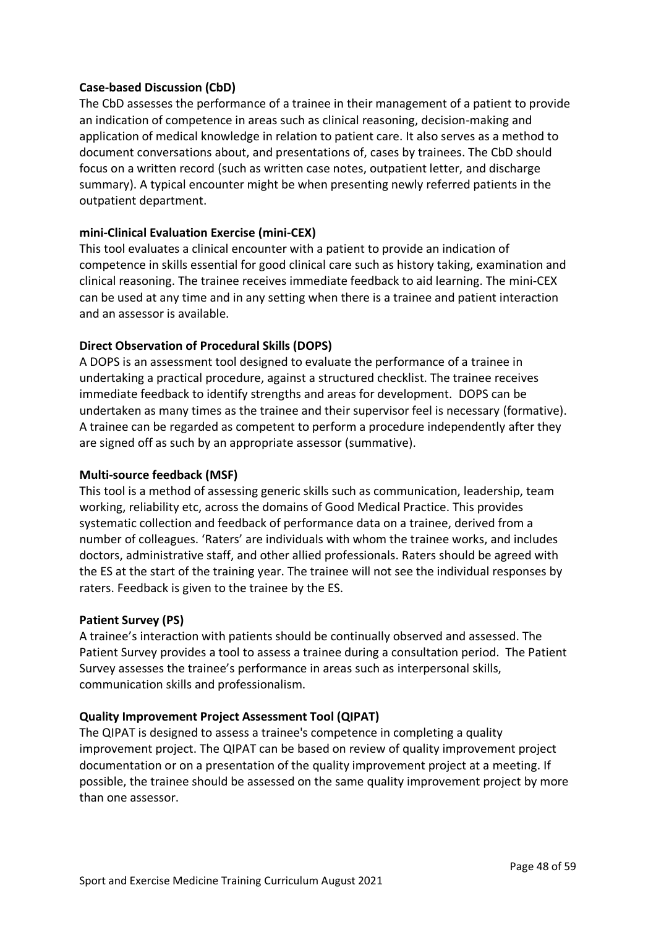## **Case-based Discussion (CbD)**

The CbD assesses the performance of a trainee in their management of a patient to provide an indication of competence in areas such as clinical reasoning, decision-making and application of medical knowledge in relation to patient care. It also serves as a method to document conversations about, and presentations of, cases by trainees. The CbD should focus on a written record (such as written case notes, outpatient letter, and discharge summary). A typical encounter might be when presenting newly referred patients in the outpatient department.

## **mini-Clinical Evaluation Exercise (mini-CEX)**

This tool evaluates a clinical encounter with a patient to provide an indication of competence in skills essential for good clinical care such as history taking, examination and clinical reasoning. The trainee receives immediate feedback to aid learning. The mini-CEX can be used at any time and in any setting when there is a trainee and patient interaction and an assessor is available.

## **Direct Observation of Procedural Skills (DOPS)**

A DOPS is an assessment tool designed to evaluate the performance of a trainee in undertaking a practical procedure, against a structured checklist. The trainee receives immediate feedback to identify strengths and areas for development. DOPS can be undertaken as many times as the trainee and their supervisor feel is necessary (formative). A trainee can be regarded as competent to perform a procedure independently after they are signed off as such by an appropriate assessor (summative).

## **Multi-source feedback (MSF)**

This tool is a method of assessing generic skills such as communication, leadership, team working, reliability etc, across the domains of Good Medical Practice. This provides systematic collection and feedback of performance data on a trainee, derived from a number of colleagues. 'Raters' are individuals with whom the trainee works, and includes doctors, administrative staff, and other allied professionals. Raters should be agreed with the ES at the start of the training year. The trainee will not see the individual responses by raters. Feedback is given to the trainee by the ES.

## **Patient Survey (PS)**

A trainee's interaction with patients should be continually observed and assessed. The Patient Survey provides a tool to assess a trainee during a consultation period. The Patient Survey assesses the trainee's performance in areas such as interpersonal skills, communication skills and professionalism.

## **Quality Improvement Project Assessment Tool (QIPAT)**

The QIPAT is designed to assess a trainee's competence in completing a quality improvement project. The QIPAT can be based on review of quality improvement project documentation or on a presentation of the quality improvement project at a meeting. If possible, the trainee should be assessed on the same quality improvement project by more than one assessor.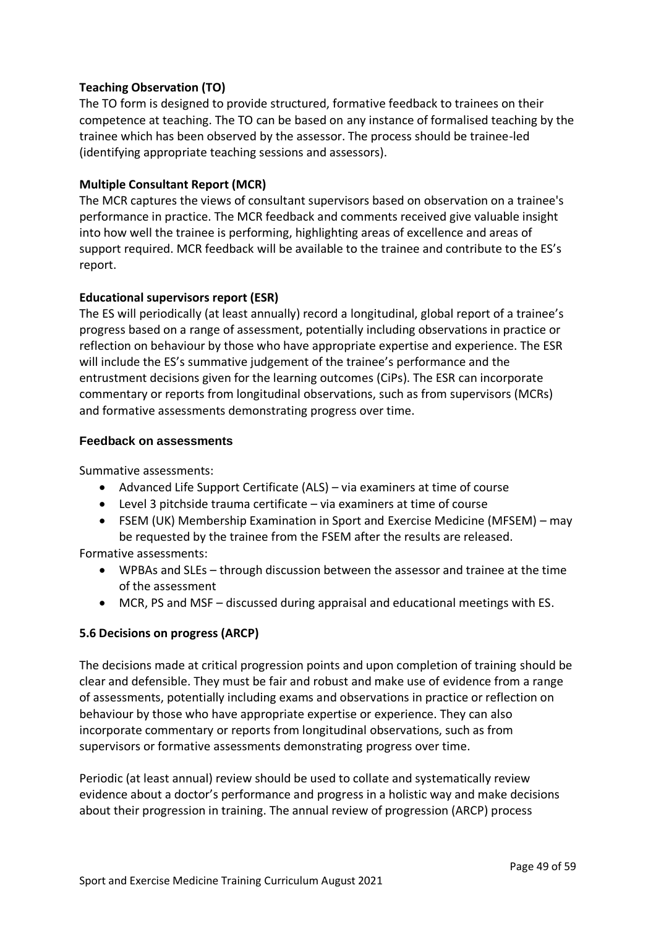## **Teaching Observation (TO)**

The TO form is designed to provide structured, formative feedback to trainees on their competence at teaching. The TO can be based on any instance of formalised teaching by the trainee which has been observed by the assessor. The process should be trainee-led (identifying appropriate teaching sessions and assessors).

## **Multiple Consultant Report (MCR)**

The MCR captures the views of consultant supervisors based on observation on a trainee's performance in practice. The MCR feedback and comments received give valuable insight into how well the trainee is performing, highlighting areas of excellence and areas of support required. MCR feedback will be available to the trainee and contribute to the ES's report.

## **Educational supervisors report (ESR)**

The ES will periodically (at least annually) record a longitudinal, global report of a trainee's progress based on a range of assessment, potentially including observations in practice or reflection on behaviour by those who have appropriate expertise and experience. The ESR will include the ES's summative judgement of the trainee's performance and the entrustment decisions given for the learning outcomes (CiPs). The ESR can incorporate commentary or reports from longitudinal observations, such as from supervisors (MCRs) and formative assessments demonstrating progress over time.

## **Feedback on assessments**

Summative assessments:

- Advanced Life Support Certificate (ALS) via examiners at time of course
- Level 3 pitchside trauma certificate via examiners at time of course
- FSEM (UK) Membership Examination in Sport and Exercise Medicine (MFSEM) may be requested by the trainee from the FSEM after the results are released.

Formative assessments:

- WPBAs and SLEs through discussion between the assessor and trainee at the time of the assessment
- MCR, PS and MSF discussed during appraisal and educational meetings with ES.

## <span id="page-48-0"></span>**5.6 Decisions on progress (ARCP)**

The decisions made at critical progression points and upon completion of training should be clear and defensible. They must be fair and robust and make use of evidence from a range of assessments, potentially including exams and observations in practice or reflection on behaviour by those who have appropriate expertise or experience. They can also incorporate commentary or reports from longitudinal observations, such as from supervisors or formative assessments demonstrating progress over time.

Periodic (at least annual) review should be used to collate and systematically review evidence about a doctor's performance and progress in a holistic way and make decisions about their progression in training. The annual review of progression (ARCP) process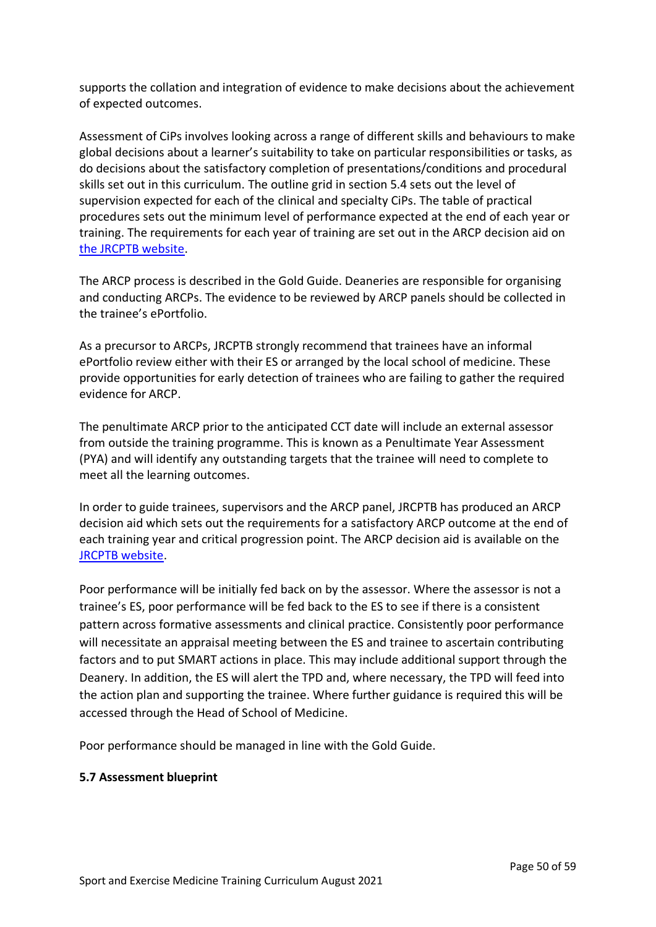supports the collation and integration of evidence to make decisions about the achievement of expected outcomes.

Assessment of CiPs involves looking across a range of different skills and behaviours to make global decisions about a learner's suitability to take on particular responsibilities or tasks, as do decisions about the satisfactory completion of presentations/conditions and procedural skills set out in this curriculum. The outline grid in section 5.4 sets out the level of supervision expected for each of the clinical and specialty CiPs. The table of practical procedures sets out the minimum level of performance expected at the end of each year or training. The requirements for each year of training are set out in the ARCP decision aid on [the JRCPTB website.](http://www.jrcptb.org.uk/)

The ARCP process is described in the Gold Guide. Deaneries are responsible for organising and conducting ARCPs. The evidence to be reviewed by ARCP panels should be collected in the trainee's ePortfolio.

As a precursor to ARCPs, JRCPTB strongly recommend that trainees have an informal ePortfolio review either with their ES or arranged by the local school of medicine. These provide opportunities for early detection of trainees who are failing to gather the required evidence for ARCP.

The penultimate ARCP prior to the anticipated CCT date will include an external assessor from outside the training programme. This is known as a Penultimate Year Assessment (PYA) and will identify any outstanding targets that the trainee will need to complete to meet all the learning outcomes.

In order to guide trainees, supervisors and the ARCP panel, JRCPTB has produced an ARCP decision aid which sets out the requirements for a satisfactory ARCP outcome at the end of each training year and critical progression point. The ARCP decision aid is available on the [JRCPTB website.](http://www.jrcptb.org.uk/news/alternative-certificate-enter-group-1-higher-physician-specialty-training-2022)

Poor performance will be initially fed back on by the assessor. Where the assessor is not a trainee's ES, poor performance will be fed back to the ES to see if there is a consistent pattern across formative assessments and clinical practice. Consistently poor performance will necessitate an appraisal meeting between the ES and trainee to ascertain contributing factors and to put SMART actions in place. This may include additional support through the Deanery. In addition, the ES will alert the TPD and, where necessary, the TPD will feed into the action plan and supporting the trainee. Where further guidance is required this will be accessed through the Head of School of Medicine.

Poor performance should be managed in line with the Gold Guide.

## <span id="page-49-0"></span>**5.7 Assessment blueprint**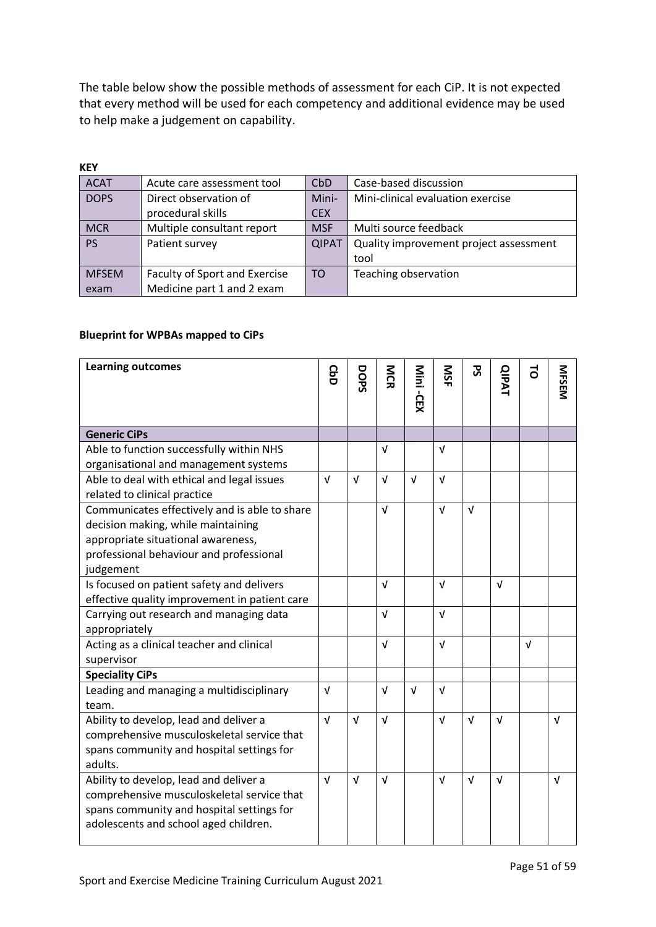The table below show the possible methods of assessment for each CiP. It is not expected that every method will be used for each competency and additional evidence may be used to help make a judgement on capability.

| <b>KEY</b>   |                               |              |                                        |
|--------------|-------------------------------|--------------|----------------------------------------|
| <b>ACAT</b>  | Acute care assessment tool    | CbD          | Case-based discussion                  |
| <b>DOPS</b>  | Direct observation of         | Mini-        | Mini-clinical evaluation exercise      |
|              | procedural skills             | <b>CEX</b>   |                                        |
| <b>MCR</b>   | Multiple consultant report    | <b>MSF</b>   | Multi source feedback                  |
| <b>PS</b>    | Patient survey                | <b>QIPAT</b> | Quality improvement project assessment |
|              |                               |              | tool                                   |
| <b>MFSEM</b> | Faculty of Sport and Exercise | TO           | Teaching observation                   |
| exam         | Medicine part 1 and 2 exam    |              |                                        |

#### **Blueprint for WPBAs mapped to CiPs**

| <b>Learning outcomes</b>                                                                                                                                                          | <b>GbD</b> | DOPS       | <b>NGR</b> | Mini<br>i-CEX | SK         | 59         | <b>QIPAT</b> | 5          | <b>MFSEM</b> |
|-----------------------------------------------------------------------------------------------------------------------------------------------------------------------------------|------------|------------|------------|---------------|------------|------------|--------------|------------|--------------|
|                                                                                                                                                                                   |            |            |            |               |            |            |              |            |              |
| <b>Generic CiPs</b>                                                                                                                                                               |            |            |            |               |            |            |              |            |              |
| Able to function successfully within NHS<br>organisational and management systems                                                                                                 |            |            | v          |               | V          |            |              |            |              |
| Able to deal with ethical and legal issues<br>related to clinical practice                                                                                                        | $\sqrt{ }$ | $\sqrt{ }$ | $\sqrt{ }$ | $\sqrt{ }$    | $\sqrt{ }$ |            |              |            |              |
| Communicates effectively and is able to share<br>decision making, while maintaining<br>appropriate situational awareness,<br>professional behaviour and professional<br>judgement |            |            | $\sqrt{ }$ |               | $\sqrt{ }$ | $\sqrt{ }$ |              |            |              |
| Is focused on patient safety and delivers<br>effective quality improvement in patient care                                                                                        |            |            | $\sqrt{ }$ |               | $\sqrt{ }$ |            | $\sqrt{ }$   |            |              |
| Carrying out research and managing data<br>appropriately                                                                                                                          |            |            | $\sqrt{ }$ |               | $\sqrt{ }$ |            |              |            |              |
| Acting as a clinical teacher and clinical<br>supervisor                                                                                                                           |            |            | $\sqrt{ }$ |               | $\sqrt{ }$ |            |              | $\sqrt{ }$ |              |
| <b>Speciality CiPs</b>                                                                                                                                                            |            |            |            |               |            |            |              |            |              |
| Leading and managing a multidisciplinary<br>team.                                                                                                                                 | $\sqrt{ }$ |            | $\sqrt{ }$ | $\sqrt{ }$    | $\sqrt{ }$ |            |              |            |              |
| Ability to develop, lead and deliver a<br>comprehensive musculoskeletal service that<br>spans community and hospital settings for<br>adults.                                      | $\sqrt{ }$ | $\sqrt{ }$ | $\sqrt{ }$ |               | $\sqrt{ }$ | $\sqrt{ }$ | $\sqrt{ }$   |            | $\sqrt{ }$   |
| Ability to develop, lead and deliver a<br>comprehensive musculoskeletal service that<br>spans community and hospital settings for<br>adolescents and school aged children.        | $\sqrt{ }$ | $\sqrt{ }$ | $\sqrt{ }$ |               | $\sqrt{ }$ | $\sqrt{ }$ | $\sqrt{ }$   |            | $\sqrt{ }$   |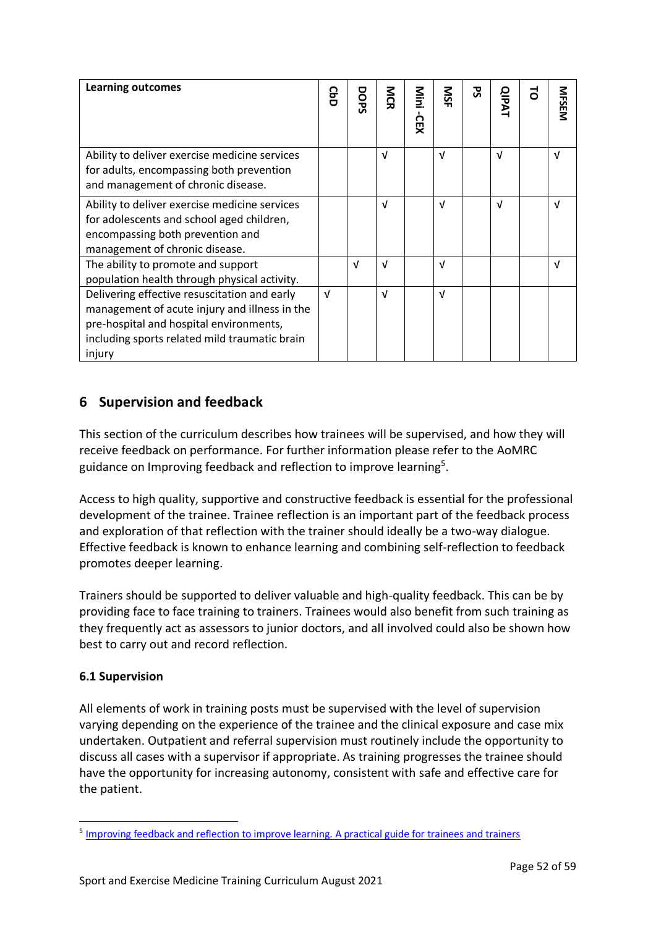| <b>Learning outcomes</b>                                                                                                                                                                            | ဥ          | DOPS | ΣÑ<br>刀    | Nini<br>СEX | SIN        | ऊ | <b>QIPAT</b> | $\vec{0}$ | <b>MFSEM</b> |
|-----------------------------------------------------------------------------------------------------------------------------------------------------------------------------------------------------|------------|------|------------|-------------|------------|---|--------------|-----------|--------------|
| Ability to deliver exercise medicine services<br>for adults, encompassing both prevention<br>and management of chronic disease.                                                                     |            |      | $\sqrt{ }$ |             | $\sqrt{ }$ |   | V            |           | V            |
| Ability to deliver exercise medicine services<br>for adolescents and school aged children,<br>encompassing both prevention and<br>management of chronic disease.                                    |            |      | $\sqrt{ }$ |             | V          |   | V            |           | V            |
| The ability to promote and support<br>population health through physical activity.                                                                                                                  |            | V    | V          |             | V          |   |              |           | V            |
| Delivering effective resuscitation and early<br>management of acute injury and illness in the<br>pre-hospital and hospital environments,<br>including sports related mild traumatic brain<br>injury | $\sqrt{ }$ |      | $\sqrt{ }$ |             | V          |   |              |           |              |

# <span id="page-51-0"></span>**6 Supervision and feedback**

This section of the curriculum describes how trainees will be supervised, and how they will receive feedback on performance. For further information please refer to the AoMRC guidance on Improving feedback and reflection to improve learning<sup>5</sup>.

Access to high quality, supportive and constructive feedback is essential for the professional development of the trainee. Trainee reflection is an important part of the feedback process and exploration of that reflection with the trainer should ideally be a two-way dialogue. Effective feedback is known to enhance learning and combining self-reflection to feedback promotes deeper learning.

Trainers should be supported to deliver valuable and high-quality feedback. This can be by providing face to face training to trainers. Trainees would also benefit from such training as they frequently act as assessors to junior doctors, and all involved could also be shown how best to carry out and record reflection.

## <span id="page-51-1"></span>**6.1 Supervision**

All elements of work in training posts must be supervised with the level of supervision varying depending on the experience of the trainee and the clinical exposure and case mix undertaken. Outpatient and referral supervision must routinely include the opportunity to discuss all cases with a supervisor if appropriate. As training progresses the trainee should have the opportunity for increasing autonomy, consistent with safe and effective care for the patient.

<sup>&</sup>lt;sup>5</sup> [Improving feedback and reflection to improve learning. A practical guide for trainees and trainers](http://www.aomrc.org.uk/publications/reports-guidance/improving-feedback-reflection-improve-learning-practical-guide-trainees-trainers/)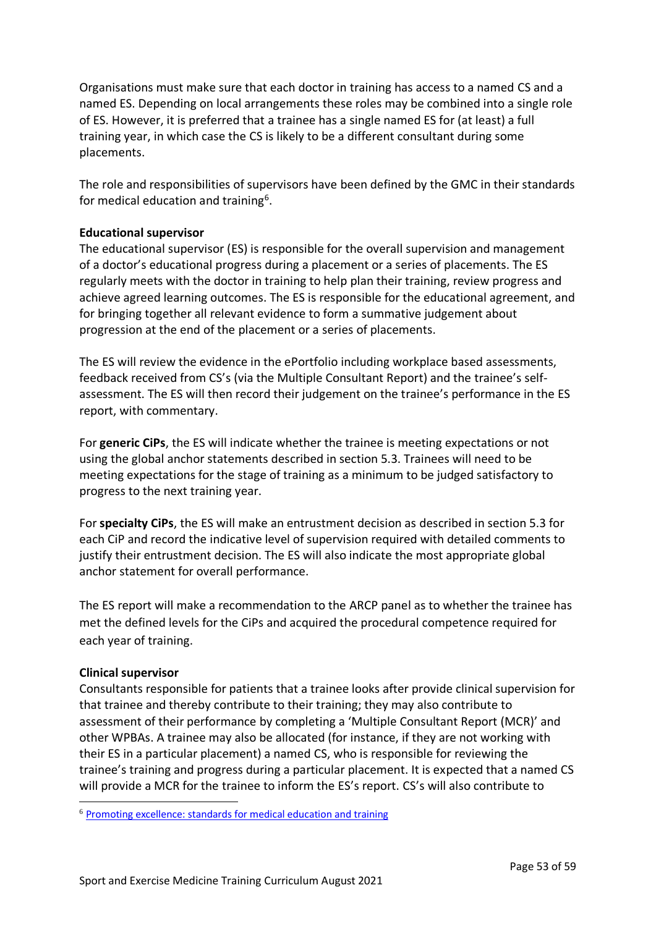Organisations must make sure that each doctor in training has access to a named CS and a named ES. Depending on local arrangements these roles may be combined into a single role of ES. However, it is preferred that a trainee has a single named ES for (at least) a full training year, in which case the CS is likely to be a different consultant during some placements.

The role and responsibilities of supervisors have been defined by the GMC in their standards for medical education and training<sup>6</sup>.

## **Educational supervisor**

The educational supervisor (ES) is responsible for the overall supervision and management of a doctor's educational progress during a placement or a series of placements. The ES regularly meets with the doctor in training to help plan their training, review progress and achieve agreed learning outcomes. The ES is responsible for the educational agreement, and for bringing together all relevant evidence to form a summative judgement about progression at the end of the placement or a series of placements.

The ES will review the evidence in the ePortfolio including workplace based assessments, feedback received from CS's (via the Multiple Consultant Report) and the trainee's selfassessment. The ES will then record their judgement on the trainee's performance in the ES report, with commentary.

For **generic CiPs**, the ES will indicate whether the trainee is meeting expectations or not using the global anchor statements described in section 5.3. Trainees will need to be meeting expectations for the stage of training as a minimum to be judged satisfactory to progress to the next training year.

For **specialty CiPs**, the ES will make an entrustment decision as described in section 5.3 for each CiP and record the indicative level of supervision required with detailed comments to justify their entrustment decision. The ES will also indicate the most appropriate global anchor statement for overall performance.

The ES report will make a recommendation to the ARCP panel as to whether the trainee has met the defined levels for the CiPs and acquired the procedural competence required for each year of training.

#### **Clinical supervisor**

Consultants responsible for patients that a trainee looks after provide clinical supervision for that trainee and thereby contribute to their training; they may also contribute to assessment of their performance by completing a 'Multiple Consultant Report (MCR)' and other WPBAs. A trainee may also be allocated (for instance, if they are not working with their ES in a particular placement) a named CS, who is responsible for reviewing the trainee's training and progress during a particular placement. It is expected that a named CS will provide a MCR for the trainee to inform the ES's report. CS's will also contribute to

<sup>6</sup> [Promoting excellence: standards for medical education and training](http://www.gmc-uk.org/education/standards.asp)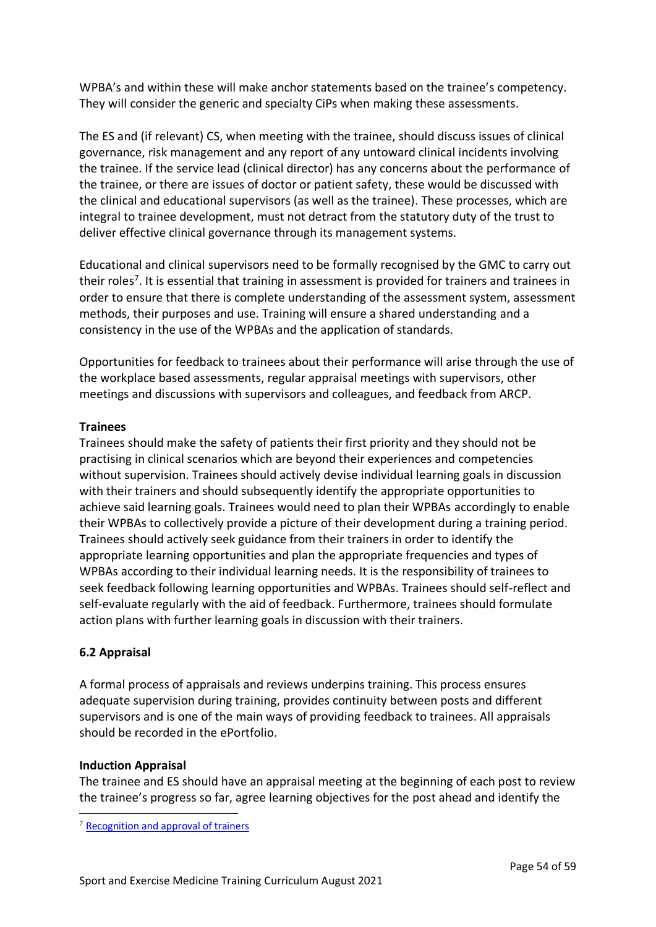WPBA's and within these will make anchor statements based on the trainee's competency. They will consider the generic and specialty CiPs when making these assessments.

The ES and (if relevant) CS, when meeting with the trainee, should discuss issues of clinical governance, risk management and any report of any untoward clinical incidents involving the trainee. If the service lead (clinical director) has any concerns about the performance of the trainee, or there are issues of doctor or patient safety, these would be discussed with the clinical and educational supervisors (as well as the trainee). These processes, which are integral to trainee development, must not detract from the statutory duty of the trust to deliver effective clinical governance through its management systems.

Educational and clinical supervisors need to be formally recognised by the GMC to carry out their roles<sup>7</sup>. It is essential that training in assessment is provided for trainers and trainees in order to ensure that there is complete understanding of the assessment system, assessment methods, their purposes and use. Training will ensure a shared understanding and a consistency in the use of the WPBAs and the application of standards.

Opportunities for feedback to trainees about their performance will arise through the use of the workplace based assessments, regular appraisal meetings with supervisors, other meetings and discussions with supervisors and colleagues, and feedback from ARCP.

## **Trainees**

Trainees should make the safety of patients their first priority and they should not be practising in clinical scenarios which are beyond their experiences and competencies without supervision. Trainees should actively devise individual learning goals in discussion with their trainers and should subsequently identify the appropriate opportunities to achieve said learning goals. Trainees would need to plan their WPBAs accordingly to enable their WPBAs to collectively provide a picture of their development during a training period. Trainees should actively seek guidance from their trainers in order to identify the appropriate learning opportunities and plan the appropriate frequencies and types of WPBAs according to their individual learning needs. It is the responsibility of trainees to seek feedback following learning opportunities and WPBAs. Trainees should self-reflect and self-evaluate regularly with the aid of feedback. Furthermore, trainees should formulate action plans with further learning goals in discussion with their trainers.

## <span id="page-53-0"></span>**6.2 Appraisal**

A formal process of appraisals and reviews underpins training. This process ensures adequate supervision during training, provides continuity between posts and different supervisors and is one of the main ways of providing feedback to trainees. All appraisals should be recorded in the ePortfolio.

## **Induction Appraisal**

The trainee and ES should have an appraisal meeting at the beginning of each post to review the trainee's progress so far, agree learning objectives for the post ahead and identify the

<sup>7</sup> [Recognition and approval of trainers](http://www.gmc-uk.org/education/10264.asp)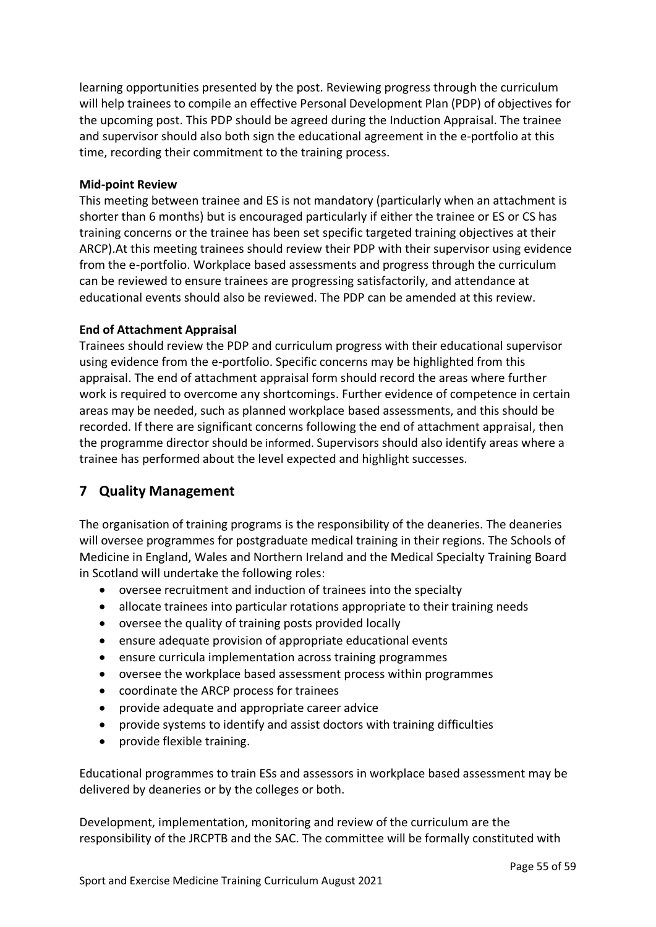learning opportunities presented by the post. Reviewing progress through the curriculum will help trainees to compile an effective Personal Development Plan (PDP) of objectives for the upcoming post. This PDP should be agreed during the Induction Appraisal. The trainee and supervisor should also both sign the educational agreement in the e-portfolio at this time, recording their commitment to the training process.

#### **Mid-point Review**

This meeting between trainee and ES is not mandatory (particularly when an attachment is shorter than 6 months) but is encouraged particularly if either the trainee or ES or CS has training concerns or the trainee has been set specific targeted training objectives at their ARCP).At this meeting trainees should review their PDP with their supervisor using evidence from the e-portfolio. Workplace based assessments and progress through the curriculum can be reviewed to ensure trainees are progressing satisfactorily, and attendance at educational events should also be reviewed. The PDP can be amended at this review.

#### **End of Attachment Appraisal**

Trainees should review the PDP and curriculum progress with their educational supervisor using evidence from the e-portfolio. Specific concerns may be highlighted from this appraisal. The end of attachment appraisal form should record the areas where further work is required to overcome any shortcomings. Further evidence of competence in certain areas may be needed, such as planned workplace based assessments, and this should be recorded. If there are significant concerns following the end of attachment appraisal, then the programme director should be informed. Supervisors should also identify areas where a trainee has performed about the level expected and highlight successes.

# <span id="page-54-0"></span>**7 Quality Management**

The organisation of training programs is the responsibility of the deaneries. The deaneries will oversee programmes for postgraduate medical training in their regions. The Schools of Medicine in England, Wales and Northern Ireland and the Medical Specialty Training Board in Scotland will undertake the following roles:

- oversee recruitment and induction of trainees into the specialty
- allocate trainees into particular rotations appropriate to their training needs
- oversee the quality of training posts provided locally
- ensure adequate provision of appropriate educational events
- ensure curricula implementation across training programmes
- oversee the workplace based assessment process within programmes
- coordinate the ARCP process for trainees
- provide adequate and appropriate career advice
- provide systems to identify and assist doctors with training difficulties
- provide flexible training.

Educational programmes to train ESs and assessors in workplace based assessment may be delivered by deaneries or by the colleges or both.

Development, implementation, monitoring and review of the curriculum are the responsibility of the JRCPTB and the SAC. The committee will be formally constituted with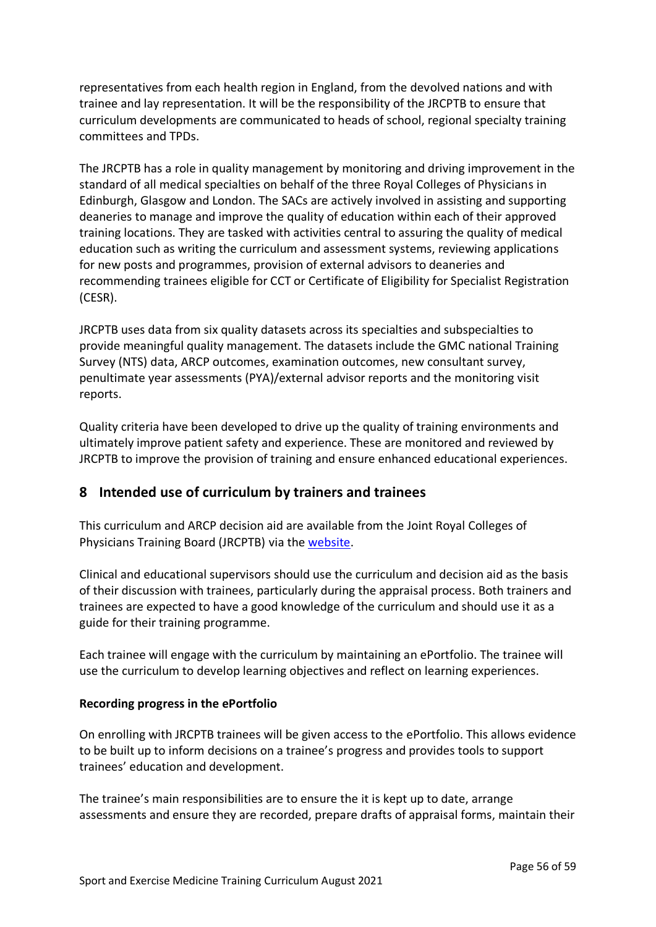representatives from each health region in England, from the devolved nations and with trainee and lay representation. It will be the responsibility of the JRCPTB to ensure that curriculum developments are communicated to heads of school, regional specialty training committees and TPDs.

The JRCPTB has a role in quality management by monitoring and driving improvement in the standard of all medical specialties on behalf of the three Royal Colleges of Physicians in Edinburgh, Glasgow and London. The SACs are actively involved in assisting and supporting deaneries to manage and improve the quality of education within each of their approved training locations. They are tasked with activities central to assuring the quality of medical education such as writing the curriculum and assessment systems, reviewing applications for new posts and programmes, provision of external advisors to deaneries and recommending trainees eligible for CCT or Certificate of Eligibility for Specialist Registration (CESR).

JRCPTB uses data from six quality datasets across its specialties and subspecialties to provide meaningful quality management. The datasets include the GMC national Training Survey (NTS) data, ARCP outcomes, examination outcomes, new consultant survey, penultimate year assessments (PYA)/external advisor reports and the monitoring visit reports.

Quality criteria have been developed to drive up the quality of training environments and ultimately improve patient safety and experience. These are monitored and reviewed by JRCPTB to improve the provision of training and ensure enhanced educational experiences.

# <span id="page-55-0"></span>**8 Intended use of curriculum by trainers and trainees**

This curriculum and ARCP decision aid are available from the Joint Royal Colleges of Physicians Training Board (JRCPTB) via the [website.](http://www.jrcptb.org.uk/news/alternative-certificate-enter-group-1-higher-physician-specialty-training-2022)

Clinical and educational supervisors should use the curriculum and decision aid as the basis of their discussion with trainees, particularly during the appraisal process. Both trainers and trainees are expected to have a good knowledge of the curriculum and should use it as a guide for their training programme.

Each trainee will engage with the curriculum by maintaining an ePortfolio. The trainee will use the curriculum to develop learning objectives and reflect on learning experiences.

## **Recording progress in the ePortfolio**

On enrolling with JRCPTB trainees will be given access to the ePortfolio. This allows evidence to be built up to inform decisions on a trainee's progress and provides tools to support trainees' education and development.

The trainee's main responsibilities are to ensure the it is kept up to date, arrange assessments and ensure they are recorded, prepare drafts of appraisal forms, maintain their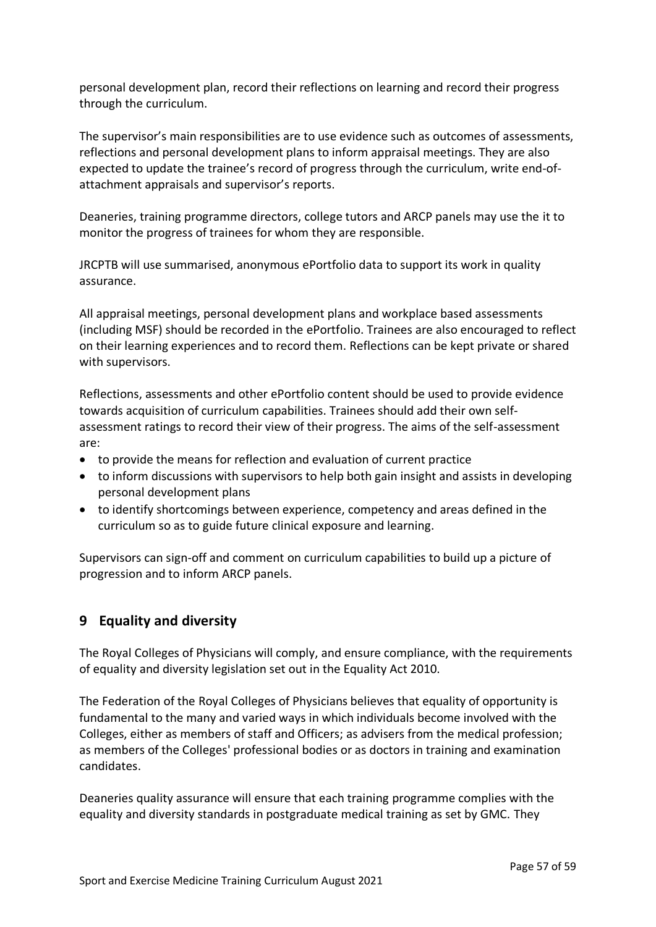personal development plan, record their reflections on learning and record their progress through the curriculum.

The supervisor's main responsibilities are to use evidence such as outcomes of assessments, reflections and personal development plans to inform appraisal meetings. They are also expected to update the trainee's record of progress through the curriculum, write end-ofattachment appraisals and supervisor's reports.

Deaneries, training programme directors, college tutors and ARCP panels may use the it to monitor the progress of trainees for whom they are responsible.

JRCPTB will use summarised, anonymous ePortfolio data to support its work in quality assurance.

All appraisal meetings, personal development plans and workplace based assessments (including MSF) should be recorded in the ePortfolio. Trainees are also encouraged to reflect on their learning experiences and to record them. Reflections can be kept private or shared with supervisors.

Reflections, assessments and other ePortfolio content should be used to provide evidence towards acquisition of curriculum capabilities. Trainees should add their own selfassessment ratings to record their view of their progress. The aims of the self-assessment are:

- to provide the means for reflection and evaluation of current practice
- to inform discussions with supervisors to help both gain insight and assists in developing personal development plans
- to identify shortcomings between experience, competency and areas defined in the curriculum so as to guide future clinical exposure and learning.

Supervisors can sign-off and comment on curriculum capabilities to build up a picture of progression and to inform ARCP panels.

# <span id="page-56-0"></span>**9 Equality and diversity**

The Royal Colleges of Physicians will comply, and ensure compliance, with the requirements of equality and diversity legislation set out in the Equality Act 2010.

The Federation of the Royal Colleges of Physicians believes that equality of opportunity is fundamental to the many and varied ways in which individuals become involved with the Colleges, either as members of staff and Officers; as advisers from the medical profession; as members of the Colleges' professional bodies or as doctors in training and examination candidates.

Deaneries quality assurance will ensure that each training programme complies with the equality and diversity standards in postgraduate medical training as set by GMC. They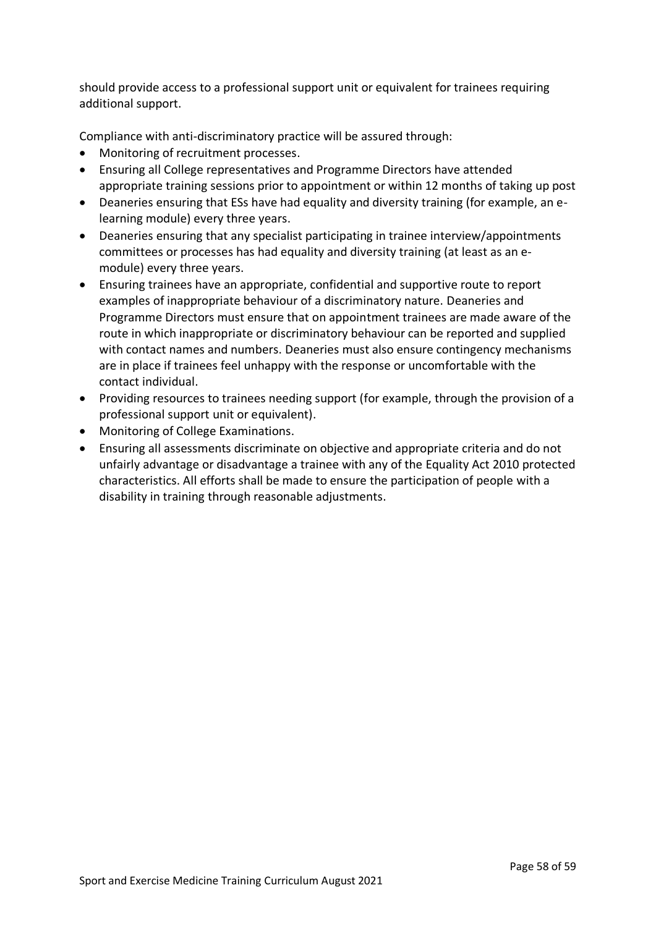should provide access to a professional support unit or equivalent for trainees requiring additional support.

Compliance with anti-discriminatory practice will be assured through:

- Monitoring of recruitment processes.
- Ensuring all College representatives and Programme Directors have attended appropriate training sessions prior to appointment or within 12 months of taking up post
- Deaneries ensuring that ESs have had equality and diversity training (for example, an elearning module) every three years.
- Deaneries ensuring that any specialist participating in trainee interview/appointments committees or processes has had equality and diversity training (at least as an emodule) every three years.
- Ensuring trainees have an appropriate, confidential and supportive route to report examples of inappropriate behaviour of a discriminatory nature. Deaneries and Programme Directors must ensure that on appointment trainees are made aware of the route in which inappropriate or discriminatory behaviour can be reported and supplied with contact names and numbers. Deaneries must also ensure contingency mechanisms are in place if trainees feel unhappy with the response or uncomfortable with the contact individual.
- Providing resources to trainees needing support (for example, through the provision of a professional support unit or equivalent).
- Monitoring of College Examinations.
- Ensuring all assessments discriminate on objective and appropriate criteria and do not unfairly advantage or disadvantage a trainee with any of the Equality Act 2010 protected characteristics. All efforts shall be made to ensure the participation of people with a disability in training through reasonable adjustments.